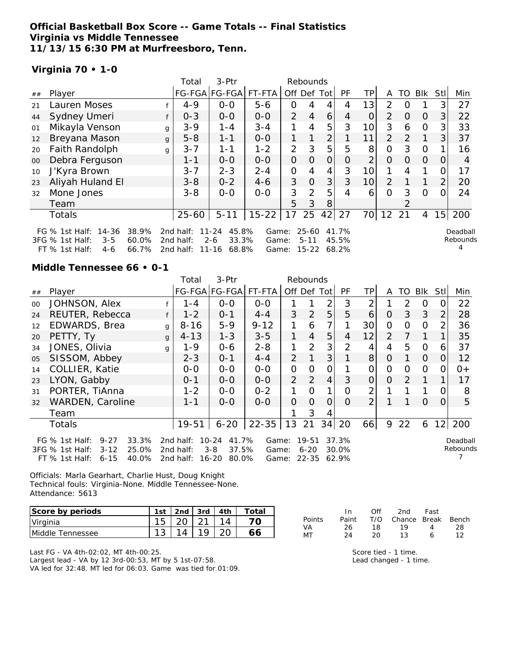## **Official Basketball Box Score -- Game Totals -- Final Statistics Virginia vs Middle Tennessee 11/13/15 6:30 PM at Murfreesboro, Tenn.**

2nd half: 11-16 68.8%

## **Virginia 70 • 1-0**

|        |                                                                           |   | Total                  | 3-Ptr                              |                |                | Rebounds              |                |                |                 |                |          |            |                |                      |
|--------|---------------------------------------------------------------------------|---|------------------------|------------------------------------|----------------|----------------|-----------------------|----------------|----------------|-----------------|----------------|----------|------------|----------------|----------------------|
| ##     | Player                                                                    |   |                        | FG-FGA FG-FGA                      | FT-FTA         | Off Def Tot    |                       |                | PF             | TPI             | A              | TO       | <b>BIK</b> | Stll           | Min                  |
| 21     | Lauren Moses                                                              |   | $4 - 9$                | $0 - 0$                            | $5 - 6$        | 0              | 4                     | 4              | 4              | 13              | 2              | $\Omega$ |            | 3              | 27                   |
| 44     | Sydney Umeri                                                              |   | $0 - 3$                | $0 - 0$                            | $0 - 0$        | $\overline{2}$ | $\overline{4}$        | 6              | 4              | $\overline{O}$  | $\overline{2}$ | $\Omega$ | $\Omega$   | 3              | 22                   |
| 01     | Mikayla Venson                                                            | g | $3 - 9$                | $1 - 4$                            | $3 - 4$        | 1              | 4                     | 5              | 3              | 10 <sup>1</sup> | 3              | 6        | $\Omega$   | 3              | 33                   |
| 12     | Breyana Mason                                                             | g | $5 - 8$                | $1 - 1$                            | $0 - 0$        | 1              |                       | $\overline{2}$ |                | 11              | 2              | 2        |            | 3 <sup>1</sup> | 37                   |
| 20     | Faith Randolph                                                            | g | $3 - 7$                | $1 - 1$                            | $1 - 2$        | 2              | 3                     | 5              | 5              | 8               | $\Omega$       | 3        | $\Omega$   |                | 16                   |
| $00\,$ | Debra Ferguson                                                            |   | $1 - 1$                | $0 - 0$                            | $0 - 0$        | $\Omega$       | $\Omega$              | $\Omega$       | $\Omega$       | $\overline{2}$  | $\Omega$       | $\Omega$ | $\Omega$   | $\Omega$       | 4                    |
| 10     | J'Kyra Brown                                                              |   | $3 - 7$                | $2 - 3$                            | $2 - 4$        | $\mathcal{O}$  | 4                     | 4              | 3              | 10 <sup>1</sup> |                | 4        |            |                | 17                   |
| 23     | Aliyah Huland El                                                          |   | $3 - 8$                | $0 - 2$                            | $4-6$          | 3              | $\overline{O}$        | 3              | 3              | 10 <sup>1</sup> | 2              |          |            | $\overline{2}$ | 20                   |
| 32     | Mone Jones                                                                |   | $3 - 8$                | $0-0$                              | $0-0$          | 3              | $\overline{2}$        | 5              | 4              | 6               | $\Omega$       | 3        | $\Omega$   | $\Omega$       | 24                   |
|        | Team                                                                      |   |                        |                                    |                | 5              | 3                     | 8              |                |                 |                | っ        |            |                |                      |
|        | Totals                                                                    |   | $25 - 60$              | $5 - 11$                           | $15 - 22$      | 17             | 25                    | 42             | 27             | 70              | 12             | 21       | 4          | 15             | 200                  |
|        | 14-36<br>38.9%<br>FG $%$ 1st Half:<br>3FG % 1st Half:<br>$3 - 5$<br>60.0% |   | 2nd half:<br>2nd half: | 45.8%<br>11-24<br>$2 - 6$<br>33.3% | Game:<br>Game: |                | $25 - 60$<br>$5 - 11$ |                | 41.7%<br>45.5% |                 |                |          |            |                | Deadball<br>Rebound: |

Game: 15-22 68.2%

ds 4

#### **Middle Tennessee 66 • 0-1**

FT % 1st Half: 4-6 66.7%

|    |                                                                                                                      |              | Total                               | 3-Ptr                                                        |                         |                | Rebounds                       |                |                         |                |                |          |                |                |                      |
|----|----------------------------------------------------------------------------------------------------------------------|--------------|-------------------------------------|--------------------------------------------------------------|-------------------------|----------------|--------------------------------|----------------|-------------------------|----------------|----------------|----------|----------------|----------------|----------------------|
| ## | Player                                                                                                               |              |                                     | FG-FGA FG-FGA                                                | FT-FTA                  | Off Def Tot    |                                |                | <b>PF</b>               | TPI            | A              | TO       | Blk            | Stll           | Min                  |
| 00 | JOHNSON, Alex                                                                                                        |              | 1 - 4                               | $0-0$                                                        | $0-0$                   |                |                                | 2              | 3                       | $\overline{2}$ |                | 2        | O              | 0              | 22                   |
| 24 | REUTER, Rebecca                                                                                                      |              | $1 - 2$                             | $0 - 1$                                                      | $4 - 4$                 | 3              | 2                              | 5              | 5                       | 6              | $\overline{O}$ | 3        | 3              | 2              | 28                   |
| 12 | EDWARDS, Brea                                                                                                        | g            | $8 - 16$                            | $5 - 9$                                                      | $9 - 12$                | 1              | 6                              |                |                         | 30             | $\Omega$       | $\Omega$ | $\Omega$       | $\overline{2}$ | 36                   |
| 20 | PETTY, Ty                                                                                                            | $\mathsf{q}$ | $4 - 13$                            | $1 - 3$                                                      | $3 - 5$                 | 1              | $\overline{4}$                 | 5              | 4                       | 12             | $\overline{2}$ | 7        | 1              |                | 35                   |
| 34 | JONES, Olivia                                                                                                        | q            | $1 - 9$                             | $0 - 6$                                                      | $2 - 8$                 | 1              | $\overline{2}$                 | 3              | $\overline{2}$          | 4              | 4              | 5        | $\Omega$       | 6              | 37                   |
| 05 | SISSOM, Abbey                                                                                                        |              | $2 - 3$                             | $0 - 1$                                                      | $4 - 4$                 | $\overline{2}$ |                                | 3              |                         | 8 <sup>1</sup> | $\Omega$       | 1        | $\overline{O}$ | $\overline{O}$ | 12                   |
| 14 | COLLIER, Katie                                                                                                       |              | $O-O$                               | $0-0$                                                        | $0 - 0$                 | 0              | $\Omega$                       | $\mathcal{O}$  |                         | 0              | $\Omega$       | $\Omega$ | $\Omega$       | 0              | $0+$                 |
| 23 | LYON, Gabby                                                                                                          |              | $0 - 1$                             | $O-O$                                                        | $0-0$                   | $\overline{2}$ | 2                              | $\overline{4}$ | 3                       | 0              | $\Omega$       | 2        | 1              |                | 17                   |
| 31 | PORTER, TiAnna                                                                                                       |              | $1 - 2$                             | $0 - 0$                                                      | $0 - 2$                 | 1              | $\Omega$                       |                | 0                       | 2              |                |          |                | 0              | 8                    |
| 32 | WARDEN, Caroline                                                                                                     |              | $1 - 1$                             | $0 - 0$                                                      | $0 - 0$                 | $\Omega$       | $\Omega$                       | $\overline{O}$ | $\Omega$                | $\overline{2}$ |                |          | $\Omega$       | $\Omega$       | 5                    |
|    | Team                                                                                                                 |              |                                     |                                                              |                         |                | 3                              | 4              |                         |                |                |          |                |                |                      |
|    | Totals                                                                                                               |              | $19 - 51$                           | $6 - 20$                                                     | $22 - 35$               | 13             | 21                             | 34             | 20                      | 66             | 9              | 22       | 6              | 12             | 200                  |
|    | FG % 1st Half:<br>$9 - 27$<br>33.3%<br>$3 - 12$<br>25.0%<br>3FG % 1st Half:<br>40.0%<br>$FT$ % 1st Half:<br>$6 - 15$ |              | 2nd half:<br>2nd half:<br>2nd half: | $10 - 24$<br>41.7%<br>$3 - 8$<br>37.5%<br>$16 - 20$<br>80.0% | Game:<br>Game:<br>Game: |                | 19-51<br>$6 - 20$<br>$22 - 35$ |                | 37.3%<br>30.0%<br>62.9% |                |                |          |                |                | Deadball<br>Rebounds |

Officials: Marla Gearhart, Charlie Hust, Doug Knight Technical fouls: Virginia-None. Middle Tennessee-None. Attendance: 5613

| Score by periods | 1st             | 2 <sub>nd</sub> | $3rd$ $\vert$ | 4th | Total |
|------------------|-----------------|-----------------|---------------|-----|-------|
| Virginia         | 15 <sub>1</sub> | $\sqrt{20}$     |               |     |       |
| Middle Tennessee |                 |                 |               |     |       |

Last FG - VA 4th-02:02, MT 4th-00:25. Largest lead - VA by 12 3rd-00:53, MT by 5 1st-07:58. VA led for 32:48. MT led for 06:03. Game was tied for 01:09.

|        | In.   | Off  | 2nd                    | Fast |    |
|--------|-------|------|------------------------|------|----|
| Points | Paint |      | T/O Chance Break Bench |      |    |
| VA     | 26    | - 18 | 19.                    | Δ    | 28 |
| МT     | 24    | 20.  | 13.                    | А    |    |

Score tied - 1 time. Lead changed - 1 time.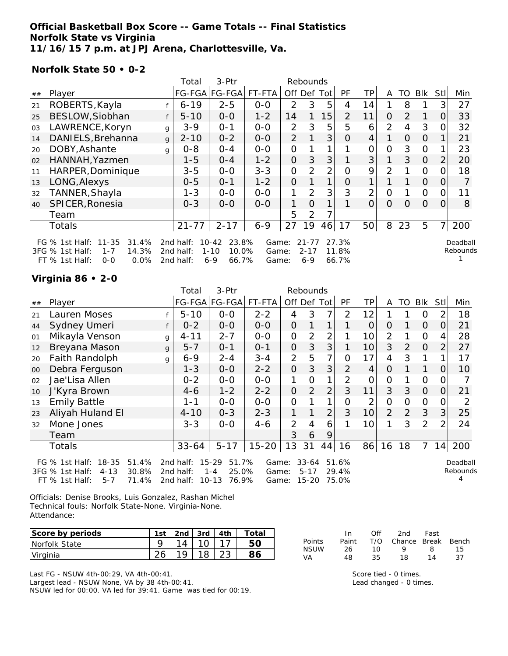## **Official Basketball Box Score -- Game Totals -- Final Statistics Norfolk State vs Virginia 11/16/15 7 p.m. at JPJ Arena, Charlottesville, Va.**

**Norfolk State 50 • 0-2**

|    |                                                                                                                      |              | Total                               | 3-Ptr                                                       |                         |                | Rebounds                         |                |                         |                 |                |          |                |                |                      |
|----|----------------------------------------------------------------------------------------------------------------------|--------------|-------------------------------------|-------------------------------------------------------------|-------------------------|----------------|----------------------------------|----------------|-------------------------|-----------------|----------------|----------|----------------|----------------|----------------------|
| ## | Player                                                                                                               |              |                                     | FG-FGA FG-FGA                                               | FT-FTA                  |                | Off Def Tot                      |                | <b>PF</b>               | TP              | A              | TO       | <b>BIK</b>     | StII           | Min                  |
| 21 | ROBERTS, Kayla                                                                                                       |              | $6 - 19$                            | $2 - 5$                                                     | $0 - 0$                 | $\mathcal{P}$  | 3                                | 5              | 4                       | 14              |                | 8        |                | 3              | 27                   |
| 25 | BESLOW, Siobhan                                                                                                      | f            | $5 - 10$                            | $0 - 0$                                                     | $1 - 2$                 | 14             | 1                                | 15             | $\overline{2}$          | 11              | 0              | 2        | 1              | 0              | 33                   |
| 03 | LAWRENCE, Koryn                                                                                                      | g            | $3 - 9$                             | $0 - 1$                                                     | $0 - 0$                 | $\overline{2}$ | 3                                | 5              | 5                       | 6               | $\overline{2}$ | 4        | 3              | 0              | 32                   |
| 14 | DANIELS, Brehanna                                                                                                    | $\mathbf{q}$ | $2 - 10$                            | $0 - 2$                                                     | $0 - 0$                 | $\overline{2}$ |                                  | 3              | 0                       | 4               |                | $\Omega$ | $\Omega$       |                | 21                   |
| 20 | DOBY, Ashante                                                                                                        | q            | $0 - 8$                             | $0 - 4$                                                     | $0-0$                   | $\overline{O}$ |                                  |                |                         | 0               | $\Omega$       | 3        | $\Omega$       |                | 23                   |
| 02 | HANNAH, Yazmen                                                                                                       |              | $1 - 5$                             | $O - 4$                                                     | $1 - 2$                 | 0              | 3                                | 3              |                         | 3 <sup>1</sup>  | 1              | 3        | $\Omega$       | $\overline{2}$ | 20                   |
| 11 | HARPER, Dominique                                                                                                    |              | $3 - 5$                             | $O-O$                                                       | $3 - 3$                 | $\overline{O}$ | $\overline{2}$                   | $\overline{2}$ | $\overline{O}$          | 9               | 2              |          | $\Omega$       | 0              | 18                   |
| 13 | LONG, Alexys                                                                                                         |              | $0 - 5$                             | $0 - 1$                                                     | $1 - 2$                 | 0              |                                  |                | O                       |                 |                |          | $\overline{O}$ | 0              |                      |
| 32 | TANNER, Shayla                                                                                                       |              | $1 - 3$                             | $0 - 0$                                                     | $0-0$                   | 1              | 2                                | 3              | 3                       | 2               | $\Omega$       |          | $\Omega$       | 0              | 11                   |
| 40 | SPICER, Ronesia                                                                                                      |              | $0 - 3$                             | $0 - 0$                                                     | $0 - 0$                 | 1              | $\Omega$                         |                |                         | $\Omega$        | $\Omega$       | $\Omega$ | $\Omega$       | $\Omega$       | 8                    |
|    | Team                                                                                                                 |              |                                     |                                                             |                         | 5              | 2                                |                |                         |                 |                |          |                |                |                      |
|    | Totals                                                                                                               |              | $21 - 77$                           | $2 - 17$                                                    | $6 - 9$                 | 27             | 19                               | 46             | 17                      | 50 <sup>1</sup> | 8              | 23       | 5              | $\overline{7}$ | 200                  |
|    | $11 - 35$<br>31.4%<br>FG $%$ 1st Half:<br>3FG % 1st Half:<br>14.3%<br>$1 - 7$<br>0.0%<br>$FT$ % 1st Half:<br>$0 - 0$ |              | 2nd half:<br>2nd half:<br>2nd half: | 23.8%<br>$10 - 42$<br>10.0%<br>$1 - 10$<br>66.7%<br>$6 - 9$ | Game:<br>Game:<br>Game: |                | $21 - 77$<br>$2 - 17$<br>$6 - 9$ |                | 27.3%<br>11.8%<br>66.7% |                 |                |          |                |                | Deadball<br>Rebounds |

## **Virginia 86 • 2-0**

|                                         |                                                                           | Total    | $3-Ptr$                             |                                            |                         |                                                    |                |                                    |                                              |                |    |                |      |                      |
|-----------------------------------------|---------------------------------------------------------------------------|----------|-------------------------------------|--------------------------------------------|-------------------------|----------------------------------------------------|----------------|------------------------------------|----------------------------------------------|----------------|----|----------------|------|----------------------|
| Player                                  |                                                                           |          |                                     |                                            |                         |                                                    |                | <b>PF</b>                          | ΤP                                           | A              | TO | Blk            | Stll | Min                  |
| Lauren Moses                            |                                                                           | $5 - 10$ | $0-0$                               | $2 - 2$                                    | 4                       | 3                                                  | 7              | 2                                  | 12                                           |                |    | O              |      | 18                   |
| Sydney Umeri                            | f                                                                         | $0 - 2$  | $0-0$                               | $0 - 0$                                    | 0                       |                                                    | 1              |                                    | $\overline{O}$                               | $\Omega$       |    | $\overline{O}$ | 0    | 21                   |
| Mikayla Venson                          | g                                                                         | 4-11     | $2 - 7$                             | $0-0$                                      | $\overline{O}$          | 2                                                  | $\overline{2}$ |                                    | 10                                           | $\overline{2}$ |    | $\Omega$       | 4    | 28                   |
| Breyana Mason                           | g                                                                         | $5 - 7$  | $0 - 1$                             | $0 - 1$                                    | 0                       | 3                                                  | 3              |                                    | 10                                           | 3              | 2  | $\overline{O}$ | 2    | 27                   |
| Faith Randolph                          | q                                                                         | $6 - 9$  | $2 - 4$                             | $3 - 4$                                    | $\overline{2}$          | 5                                                  | 7 <sub>1</sub> | $\Omega$                           | 17                                           | 4              | 3  |                |      | 17                   |
| Debra Ferguson                          |                                                                           | 1-3      | $0 - 0$                             | $2 - 2$                                    | 0                       | 3                                                  | 3              | 2                                  | $\overline{4}$                               | $\Omega$       |    |                | O    | 10                   |
| Jae'Lisa Allen                          |                                                                           | $0 - 2$  | $0-0$                               | $0-0$                                      | 1                       | O                                                  | 1              | 2                                  | $\overline{0}$                               | $\mathcal{O}$  |    | $\Omega$       |      |                      |
| J'Kyra Brown                            |                                                                           | $4-6$    | $1 - 2$                             | $2 - 2$                                    | 0                       | $\overline{2}$                                     | $\overline{2}$ | 3                                  | 11                                           | 3              | 3  | $\overline{O}$ | O    | 21                   |
| <b>Emily Battle</b>                     |                                                                           | 1-1      | $0-0$                               | $0-0$                                      | 0                       |                                                    | 1              | Ω                                  | 2                                            | 0              | 0  | $\overline{O}$ |      | 2                    |
| Aliyah Huland El                        |                                                                           | $4 - 10$ | $0 - 3$                             | $2 - 3$                                    | 1                       |                                                    | $\overline{2}$ | 3                                  | 10                                           | $\overline{2}$ | 2  | 3              | 3    | 25                   |
| Mone Jones                              |                                                                           | $3 - 3$  | $0 - 0$                             | $4 - 6$                                    | $\overline{2}$          | 4                                                  | 6              |                                    | 10 <sup>1</sup>                              | 1              | 3  | 2              | 2    | 24                   |
| Team                                    |                                                                           |          |                                     |                                            | 3                       | 6                                                  | 9              |                                    |                                              |                |    |                |      |                      |
| Totals                                  |                                                                           |          | $5 - 17$                            | $15 - 20$                                  | 13                      | 31                                                 |                | 16                                 | 86                                           | 16             | 18 | 7              | 14   | 200                  |
| $18 - 35$<br>51.4%<br>$4 - 13$<br>30.8% |                                                                           |          |                                     |                                            |                         |                                                    |                |                                    |                                              |                |    |                |      | Deadball<br>Rebounds |
|                                         | FG $%$ 1st Half:<br>3FG % 1st Half:<br>71.4%<br>FT % 1st Half:<br>$5 - 7$ |          | 2nd half:<br>2nd half:<br>2nd half: | 33-64<br>$15 - 29$<br>$1 - 4$<br>$10 - 13$ | 51.7%<br>25.0%<br>76.9% | FG-FGA FG-FGA  FT-FTA  <br>Game:<br>Game:<br>Game: | $5 - 17$       | Rebounds<br>$33 - 64$<br>$15 - 20$ | Off Def Tot<br>44<br>51.6%<br>29.4%<br>75.0% |                |    |                |      |                      |

Officials: Denise Brooks, Luis Gonzalez, Rashan Michel Technical fouls: Norfolk State-None. Virginia-None. Attendance:

| Score by periods     | 1st      |     | 2nd $\sqrt{3}$ rd $\sqrt{4}$ th | Total |
|----------------------|----------|-----|---------------------------------|-------|
| <b>Norfolk State</b> |          | 14  |                                 |       |
| Virginia             | $\Omega$ | 1 Q |                                 |       |

Last FG - NSUW 4th-00:29, VA 4th-00:41.

Largest lead - NSUW None, VA by 38 4th-00:41.

NSUW led for 00:00. VA led for 39:41. Game was tied for 00:19.

|        | In.   | Off | 2nd                    | Fast |    |
|--------|-------|-----|------------------------|------|----|
| Points | Paint |     | T/O Chance Break Bench |      |    |
| NSUW   | 26    | 10  | o                      | 8    | 15 |
| VA     | 48.   | 35  | 18                     | 14   | 37 |

Score tied - 0 times. Lead changed - 0 times.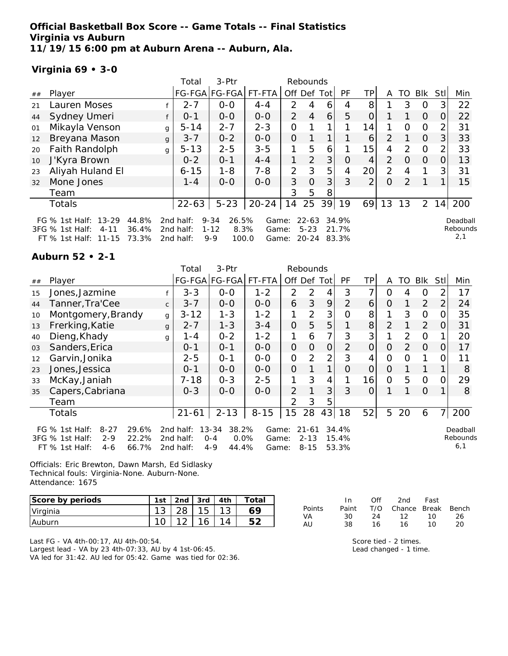**Official Basketball Box Score -- Game Totals -- Final Statistics Virginia vs Auburn 11/19/15 6:00 pm at Auburn Arena -- Auburn, Ala.**

## **Virginia 69 • 3-0**

|    |                                                                                                           |   | Total                               | 3-Ptr                                                     |                         |                | Rebounds                       |                |                         |                 |                |                |          |          |                             |
|----|-----------------------------------------------------------------------------------------------------------|---|-------------------------------------|-----------------------------------------------------------|-------------------------|----------------|--------------------------------|----------------|-------------------------|-----------------|----------------|----------------|----------|----------|-----------------------------|
| ## | Player                                                                                                    |   | FG-FGA FG-FGA                       |                                                           | FT-FTA                  | Off Def Tot    |                                |                | PF                      | ΤP              | A              | TO             | Blk      | Stl      | Min                         |
| 21 | Lauren Moses                                                                                              |   | $2 - 7$                             | $0 - 0$                                                   | $4 - 4$                 | $\mathcal{P}$  | 4                              | 6              | 4                       | 8               |                | 3              | 0        | 3        | 22                          |
| 44 | Sydney Umeri                                                                                              |   | $0 - 1$                             | $0-0$                                                     | $0-0$                   | $\overline{2}$ | $\overline{4}$                 | 6              | 5                       | $\overline{O}$  |                |                | $\Omega$ | 0        | 22                          |
| 01 | Mikayla Venson                                                                                            | g | $5 - 14$                            | $2 - 7$                                                   | $2 - 3$                 | O              |                                |                |                         | 14              |                | $\Omega$       | $\Omega$ |          | 31                          |
| 12 | Breyana Mason                                                                                             | g | $3 - 7$                             | $0 - 2$                                                   | $0-0$                   | $\overline{O}$ |                                | 1 <sub>1</sub> |                         | 6               | $\overline{2}$ |                | $\Omega$ | 3        | 33                          |
| 20 | Faith Randolph                                                                                            | g | $5 - 13$                            | $2 - 5$                                                   | $3 - 5$                 | 1              | 5                              | 6              |                         | 15 <sub>1</sub> | 4              | $\mathcal{P}$  | $\Omega$ |          | 33                          |
| 10 | J'Kyra Brown                                                                                              |   | $0 - 2$                             | $0 - 1$                                                   | $4 - 4$                 | 1              | $\overline{2}$                 | 3 <sub>l</sub> | 0                       | 4               | $\overline{2}$ | $\Omega$       | $\Omega$ | $\Omega$ | 13                          |
| 23 | Aliyah Huland El                                                                                          |   | $6 - 15$                            | $1 - 8$                                                   | $7 - 8$                 | 2              | 3                              | 5              | 4                       | 20              | 2              | 4              |          | 3        | 31                          |
| 32 | Mone Jones                                                                                                |   | $1 - 4$                             | $0 - 0$                                                   | $0 - 0$                 | 3              | $\overline{O}$                 | 3 <sup>1</sup> | 3                       | $\overline{2}$  | $\Omega$       | $\overline{2}$ |          |          | 15                          |
|    | Team                                                                                                      |   |                                     |                                                           |                         | 3              | 5                              | 8              |                         |                 |                |                |          |          |                             |
|    | Totals                                                                                                    |   | $22 - 63$                           | $5 - 23$                                                  | $20 - 24$               | 14             | 25                             | 39             | 19                      | 69              | 13             | 13             | 2        | 14       | 200                         |
|    | FG % 1st Half: 13-29<br>44.8%<br>$3FG \% 1st Half:$<br>36.4%<br>$4 - 11$<br>73.3%<br>FT % 1st Half: 11-15 |   | 2nd half:<br>2nd half:<br>2nd half: | $9 - 34$<br>26.5%<br>$1 - 12$<br>8.3%<br>$9 - 9$<br>100.0 | Game:<br>Game:<br>Game: |                | $22 - 63$<br>$5 - 23$<br>20-24 |                | 34.9%<br>21.7%<br>83.3% |                 |                |                |          |          | Deadball<br>Rebounds<br>2,1 |

## **Auburn 52 • 2-1**

|    |                                                                                                                |              | Total                               | 3-Ptr                                                     |                         |                | Rebounds                          |                |                         |                |                |               |            |                |                             |
|----|----------------------------------------------------------------------------------------------------------------|--------------|-------------------------------------|-----------------------------------------------------------|-------------------------|----------------|-----------------------------------|----------------|-------------------------|----------------|----------------|---------------|------------|----------------|-----------------------------|
| ## | Player                                                                                                         |              |                                     | FG-FGA FG-FGA                                             | FT-FTA                  | Off Def Tot    |                                   |                | PF                      | <b>TP</b>      | A              | TO.           | <b>Blk</b> | Stll           | Min                         |
| 15 | Jones, Jazmine                                                                                                 |              | $3 - 3$                             | $O-O$                                                     | $1 - 2$                 | 2              | 2                                 | 4              | 3                       | 7              | $\Omega$       | 4             | 0          | $\overline{2}$ | 17                          |
| 44 | Tanner, Tra'Cee                                                                                                | $\mathsf{C}$ | $3 - 7$                             | $0 - 0$                                                   | $0 - 0$                 | 6              | 3                                 | 9              | 2                       | 6              | $\Omega$       | 1             | 2          | $\overline{2}$ | 24                          |
| 10 | Montgomery, Brandy                                                                                             | g            | $3 - 12$                            | $1 - 3$                                                   | $1 - 2$                 | 1              | 2                                 | 3              | 0                       | 8              |                | 3             | $\Omega$   | 0              | 35                          |
| 13 | Frerking, Katie                                                                                                | $\mathbf{q}$ | $2 - 7$                             | $1 - 3$                                                   | $3 - 4$                 | $\overline{O}$ | 5                                 | 5              |                         | 8 <sup>1</sup> | $\overline{2}$ |               | 2          | 0              | 31                          |
| 40 | Dieng, Khady                                                                                                   | g            | 1 - 4                               | $0 - 2$                                                   | $1 - 2$                 | 1              | 6                                 | 7              | 3                       | 3              |                | 2             | $\Omega$   |                | 20                          |
| 03 | Sanders, Erica                                                                                                 |              | $0 - 1$                             | $0 - 1$                                                   | $O-O$                   | $\overline{O}$ | $\overline{O}$                    | 0              | $\overline{2}$          | $\Omega$       | $\Omega$       | $\mathcal{P}$ | $\Omega$   | $\Omega$       | 17                          |
| 12 | Garvin, Jonika                                                                                                 |              | $2 - 5$                             | $O - 1$                                                   | $0-0$                   | $\overline{O}$ | 2                                 | $\overline{2}$ | 3                       | 4              | $\Omega$       | 0             | 1          | 0              | 11                          |
| 23 | Jones, Jessica                                                                                                 |              | $0 - 1$                             | $O-O$                                                     | $0 - 0$                 | $\overline{O}$ |                                   | 1              | $\Omega$                | $\overline{O}$ | $\Omega$       |               |            |                | 8                           |
| 33 | McKay, Janiah                                                                                                  |              | $7 - 18$                            | $0 - 3$                                                   | $2 - 5$                 | 1              | 3                                 | 4              |                         | 16             | 0              | 5             | O          | $\Omega$       | 29                          |
| 35 | Capers, Cabriana                                                                                               |              | $O - 3$                             | $0-0$                                                     | $0 - 0$                 | $\overline{2}$ |                                   | 3              | 3                       | $\overline{O}$ |                |               | $\Omega$   | 1.             | 8                           |
|    | Team                                                                                                           |              |                                     |                                                           |                         | $\mathcal{P}$  | 3                                 | 5              |                         |                |                |               |            |                |                             |
|    | Totals                                                                                                         |              | $21 - 61$                           | $2 - 13$                                                  | $8 - 15$                | 15             | 28                                | 43             | 18                      | 52             | 5              | 20            | 6          | 7              | 200                         |
|    | 29.6%<br>FG % 1st Half:<br>$8 - 27$<br>3FG % 1st Half:<br>22.2%<br>$2 - 9$<br>66.7%<br>FT % 1st Half:<br>$4-6$ |              | 2nd half:<br>2nd half:<br>2nd half: | $13 - 34$<br>38.2%<br>0.0%<br>$0 - 4$<br>$4 - 9$<br>44.4% | Game:<br>Game:<br>Game: |                | $21 - 61$<br>$2 - 13$<br>$8 - 15$ |                | 34.4%<br>15.4%<br>53.3% |                |                |               |            |                | Deadball<br>Rebounds<br>6,1 |

Officials: Eric Brewton, Dawn Marsh, Ed Sidlasky Technical fouls: Virginia-None. Auburn-None. Attendance: 1675

| Score by periods | 1st | 2 <sub>nd</sub> | 3rd | 4th | Total |
|------------------|-----|-----------------|-----|-----|-------|
| Virginia         |     |                 |     |     |       |
| <b>Auburn</b>    |     |                 |     |     |       |

|        | In.   | ∩ff | 2nd                    | Fast |    |
|--------|-------|-----|------------------------|------|----|
| Points | Paint |     | T/O Chance Break Bench |      |    |
| VA     | 30.   | 24  | 12 10                  |      | 26 |
| AU     | 38.   | 16. | 16.                    | 10   | 20 |

Last FG - VA 4th-00:17, AU 4th-00:54. Largest lead - VA by 23 4th-07:33, AU by 4 1st-06:45. VA led for 31:42. AU led for 05:42. Game was tied for 02:36. Score tied - 2 times. Lead changed - 1 time.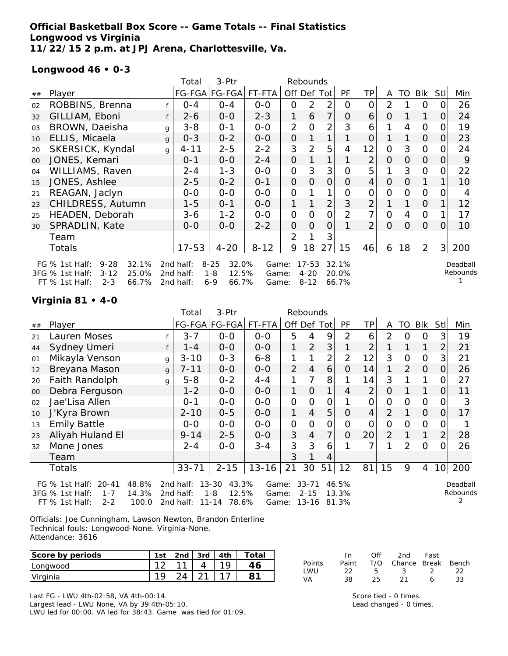## **Official Basketball Box Score -- Game Totals -- Final Statistics Longwood vs Virginia 11/22/15 2 p.m. at JPJ Arena, Charlottesville, Va.**

#### **Longwood 46 • 0-3**

|    |                                                                                                                     |              | 3-Ptr<br>Total<br>Rebounds          |                                                           |                         |                |                                   |                |                         |                 |                |                |                |          |                      |
|----|---------------------------------------------------------------------------------------------------------------------|--------------|-------------------------------------|-----------------------------------------------------------|-------------------------|----------------|-----------------------------------|----------------|-------------------------|-----------------|----------------|----------------|----------------|----------|----------------------|
| ## | Player                                                                                                              |              |                                     | FG-FGA FG-FGA FT-FTA                                      |                         | Off Def        |                                   | Tot            | PF                      | ТP              | A              | TO             | Blk            | Stll     | Min                  |
| 02 | ROBBINS, Brenna                                                                                                     |              | $O - 4$                             | $O - 4$                                                   | $O-O$                   | 0              | 2                                 | $\overline{2}$ | 0                       | 0               | 2              |                | O              |          | 26                   |
| 32 | GILLIAM, Eboni                                                                                                      | f            | $2 - 6$                             | $0 - 0$                                                   | $2 - 3$                 | 1              | 6                                 | $\overline{7}$ | 0                       | 6               | O              |                |                | 0        | 24                   |
| 03 | BROWN, Daeisha                                                                                                      | $\mathsf{q}$ | $3 - 8$                             | $0 - 1$                                                   | $0 - 0$                 | $\overline{2}$ | O                                 | $\overline{2}$ | 3                       | 6               |                | 4              | $\overline{O}$ |          | 19                   |
| 10 | ELLIS, Micaela                                                                                                      | g            | $0 - 3$                             | $0 - 2$                                                   | $0 - 0$                 | 0              |                                   | 1              |                         | $\overline{O}$  |                |                | $\overline{O}$ | 0        | 23                   |
| 20 | SKERSICK, Kyndal                                                                                                    | $\mathsf{q}$ | 4-11                                | $2 - 5$                                                   | $2 - 2$                 | 3              | 2                                 | 5              | 4                       | 12              | 0              | 3              | $\overline{O}$ | O        | 24                   |
| 00 | JONES, Kemari                                                                                                       |              | $0 - 1$                             | $O-O$                                                     | $2 - 4$                 | 0              |                                   | 1              |                         | $\overline{2}$  | 0              | $\Omega$       | $\overline{0}$ | 0        | 9                    |
| 04 | WILLIAMS, Raven                                                                                                     |              | $2 - 4$                             | $1 - 3$                                                   | $0 - 0$                 | 0              | 3                                 | 3              | 0                       | 5               |                | 3              | $\overline{O}$ | O        | 22                   |
| 15 | JONES, Ashlee                                                                                                       |              | $2 - 5$                             | $0 - 2$                                                   | $0 - 1$                 | 0              | $\Omega$                          | $\overline{O}$ | $\Omega$                | $\vert 4 \vert$ | $\Omega$       | $\Omega$       | 1              |          | 10                   |
| 21 | REAGAN, Jaclyn                                                                                                      |              | $0 - 0$                             | $0 - 0$                                                   | $0 - 0$                 | 0              |                                   | 1              | $\Omega$                | $\overline{O}$  | 0              | $\Omega$       | $\Omega$       |          | 4                    |
| 23 | CHILDRESS, Autumn                                                                                                   |              | $1 - 5$                             | $0 - 1$                                                   | $0 - 0$                 | 1              |                                   | $\overline{2}$ | 3                       | $\overline{2}$  |                |                | $\Omega$       |          | 12                   |
| 25 | HEADEN, Deborah                                                                                                     |              | 3-6                                 | $1 - 2$                                                   | $0 - 0$                 | $\overline{O}$ | $\Omega$                          | $\Omega$       | 2                       | 7               | $\overline{O}$ | $\overline{4}$ | $\mathbf{O}$   |          | 17                   |
| 30 | SPRADLIN, Kate                                                                                                      |              | $0 - 0$                             | $0 - 0$                                                   | $2 - 2$                 | 0              | $\Omega$                          | $\Omega$       |                         | $\overline{2}$  | $\Omega$       | $\Omega$       | $\Omega$       | $\Omega$ | 10                   |
|    | Team                                                                                                                |              |                                     |                                                           |                         | 2              |                                   | 3              |                         |                 |                |                |                |          |                      |
|    | Totals                                                                                                              |              | $17 - 53$                           | $4 - 20$                                                  | $8 - 12$                | 9              | 18                                | 27             | 15                      | 46              | 6              | 18             | 2              | 3        | 200                  |
|    | $9 - 28$<br>32.1%<br>FG $%$ 1st Half:<br>$3 - 12$<br>25.0%<br>3FG % 1st Half:<br>FT % 1st Half:<br>$2 - 3$<br>66.7% |              | 2nd half:<br>2nd half:<br>2nd half: | $8 - 25$<br>32.0%<br>$1 - 8$<br>12.5%<br>$6 - 9$<br>66.7% | Game:<br>Game:<br>Game: |                | $17 - 53$<br>$4 - 20$<br>$8 - 12$ |                | 32.1%<br>20.0%<br>66.7% |                 |                |                |                |          | Deadball<br>Rebounds |

#### **Virginia 81 • 4-0**

|        |                                                                                                  |   | 3-Ptr<br>Total<br>Rebounds |                                        |                |                |                       |               |                |                |                |          |               |                 |                      |
|--------|--------------------------------------------------------------------------------------------------|---|----------------------------|----------------------------------------|----------------|----------------|-----------------------|---------------|----------------|----------------|----------------|----------|---------------|-----------------|----------------------|
| ##     | Player                                                                                           |   |                            | FG-FGA FG-FGA                          | FT-FTA         |                | Off Def Tot           |               | PF             | TP             | A              | TO       | Blk           | Stl             | Min                  |
| 21     | Lauren Moses                                                                                     |   | $3 - 7$                    | $0-0$                                  | $O-O$          | 5              | 4                     | 9             | 2              | 6              | 2              | O        | $\Omega$      | 3               | 19                   |
| 44     | Sydney Umeri                                                                                     |   | $1 - 4$                    | $O-O$                                  | $O-O$          | 1              | 2                     | 3             |                | 2              |                |          | 1             | $\overline{2}$  | 21                   |
| 01     | Mikayla Venson                                                                                   | g | $3 - 10$                   | $0 - 3$                                | $6 - 8$        |                |                       | 2             | $\overline{2}$ | 12             | 3              | Ο        | $\mathcal{O}$ | 3               | 21                   |
| 12     | Breyana Mason                                                                                    | g | $7 - 11$                   | $O-O$                                  | $O-O$          | $\overline{2}$ | $\overline{4}$        | 6             | $\Omega$       | 14             | 1              | 2        | $\Omega$      | 0               | 26                   |
| 20     | Faith Randolph                                                                                   | g | $5 - 8$                    | $0 - 2$                                | $4 - 4$        | 1              | 7                     | 8             |                | 14             | 3              |          | 1             |                 | 27                   |
| $00\,$ | Debra Ferguson                                                                                   |   | $1 - 2$                    | $0-0$                                  | $O-O$          | 1              | $\overline{O}$        | 1             | 4              | $\overline{2}$ | O              |          | $\mathbf{1}$  | 0               | 11                   |
| 02     | Jae'Lisa Allen                                                                                   |   | $0 - 1$                    | $O-O$                                  | $O-O$          | $\overline{O}$ | $\Omega$              | $\mathcal{O}$ |                | $\overline{O}$ | $\overline{O}$ | $\Omega$ | $\Omega$      |                 | 3                    |
| 10     | J'Kyra Brown                                                                                     |   | $2 - 10$                   | $0 - 5$                                | $O-O$          | 1              | $\overline{4}$        | 5             | $\Omega$       | 4              | 2              |          | $\Omega$      | O               | 17                   |
| 13     | <b>Emily Battle</b>                                                                              |   | $0-0$                      | $0-0$                                  | $0-0$          | $\overline{O}$ | O                     | 0             | O              | O              | O              | Ο        | $\mathcal{O}$ |                 |                      |
| 23     | Aliyah Huland El                                                                                 |   | $9 - 14$                   | $2 - 5$                                | $O-O$          | 3              | $\overline{4}$        | 7             | $\overline{O}$ | 20             | 2              |          | 1             | $\overline{2}$  | 28                   |
| 32     | Mone Jones                                                                                       |   | $2 - 4$                    | $0-0$                                  | $3 - 4$        | 3              | 3                     | 6             |                | ᄀ              |                | 2        | $\Omega$      | Ω               | 26                   |
|        | Team                                                                                             |   |                            |                                        |                | 3              |                       | 4             |                |                |                |          |               |                 |                      |
|        | Totals                                                                                           |   | $33 - 71$                  | $2 - 15$                               | $13 - 16$      | 21             | 30                    | 51            | 12             | 81             | 15             | 9        | 4             | 10 <sup>1</sup> | 200                  |
|        | 48.8%<br>FG $%$ 1st Half:<br>$20 - 41$<br>14.3%<br>3FG % 1st Half:<br>$1 - 7$                    |   | 2nd half:<br>2nd half:     | $13 - 30$<br>43.3%<br>$1 - 8$<br>12.5% | Game:<br>Game: |                | $33 - 71$<br>$2 - 15$ |               | 46.5%<br>13.3% |                |                |          |               |                 | Deadball<br>Rebounds |
|        | 100.0<br>11-14<br>78.6%<br>$13 - 16$<br>FT % 1st Half:<br>$2 - 2$<br>2nd half:<br>81.3%<br>Game: |   |                            |                                        |                |                |                       |               |                |                |                |          |               |                 |                      |

Officials: Joe Cunningham, Lawson Newton, Brandon Enterline Technical fouls: Longwood-None. Virginia-None. Attendance: 3616

| Score by periods | 1st         | 2 <sub>nd</sub> | 3rd    | Totar |
|------------------|-------------|-----------------|--------|-------|
| Longwood         | $\sim$<br>- | $\sim$          |        |       |
| Virginia         | 1 O         |                 | $\sim$ |       |

Points Paint T/O Chance Break Bench LWU 22 5 3 2 22 VA 38 25 21 6 33

Last FG - LWU 4th-02:58, VA 4th-00:14. Largest lead - LWU None, VA by 39 4th-05:10. LWU led for 00:00. VA led for 38:43. Game was tied for 01:09.

Score tied - 0 times. Lead changed - 0 times.

In Off 2nd Fast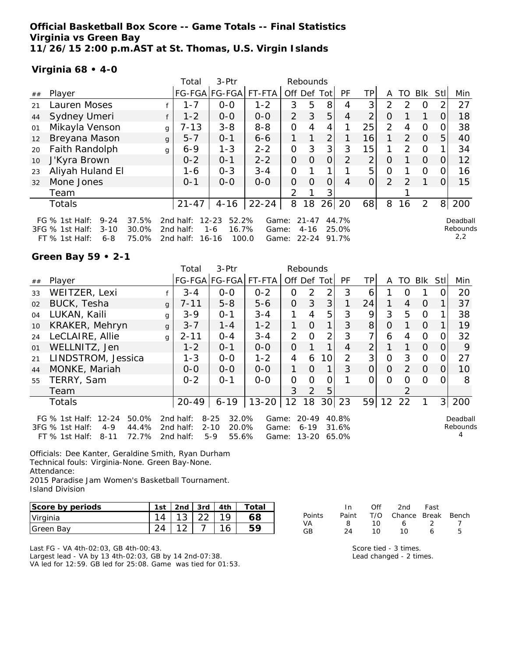**Official Basketball Box Score -- Game Totals -- Final Statistics Virginia vs Green Bay 11/26/15 2:00 p.m.AST at St. Thomas, U.S. Virgin Islands**

#### **Virginia 68 • 4-0**

|    |                                                                                            |                         | 3-Ptr<br>Total<br>Rebounds          |                                                          |                         |                |                                |                |                         |                |                |               |                |          |                             |
|----|--------------------------------------------------------------------------------------------|-------------------------|-------------------------------------|----------------------------------------------------------|-------------------------|----------------|--------------------------------|----------------|-------------------------|----------------|----------------|---------------|----------------|----------|-----------------------------|
| ## | Player                                                                                     |                         |                                     | FG-FGA FG-FGA  FT-FTA                                    |                         | Off Def Tot    |                                |                | PF                      | ΤP             | A              | TO            | Blk            | Stl      | Min                         |
| 21 | Lauren Moses                                                                               |                         | $1 - 7$                             | $0 - 0$                                                  | $1 - 2$                 | 3              | 5                              | 8              | 4                       | 3 <sup>1</sup> | $\mathcal{P}$  | $\mathcal{P}$ | $\Omega$       |          | 27                          |
| 44 | Sydney Umeri                                                                               |                         | $1 - 2$                             | $0-0$                                                    | $0 - 0$                 | $\overline{2}$ | 3                              | 5              | $\overline{4}$          | $\overline{2}$ | 0              |               |                | $\Omega$ | 18                          |
| 01 | Mikayla Venson                                                                             |                         | $7 - 13$<br>g                       | $3 - 8$                                                  | $8 - 8$                 | 0              | 4                              | 4              |                         | 25             | $\overline{2}$ | 4             | $\Omega$       |          | 38                          |
| 12 | Breyana Mason                                                                              |                         | $5 - 7$<br>g                        | $0 - 1$                                                  | $6 - 6$                 | 1              | 1                              | $\overline{2}$ |                         | 16             |                | 2             | $\Omega$       | 5        | 40                          |
| 20 | Faith Randolph                                                                             |                         | $6 - 9$<br>g                        | $1 - 3$                                                  | $2 - 2$                 | 0              | 3                              | 3 <sub>l</sub> | 3                       | 15             |                | $\mathcal{P}$ | $\Omega$       |          | 34                          |
| 10 | J'Kyra Brown                                                                               |                         | $0 - 2$                             | $0 - 1$                                                  | $2 - 2$                 | 0              | O                              | $\overline{O}$ | 2                       | $\overline{2}$ | 0              |               | $\Omega$       | 0        | 12                          |
| 23 | Aliyah Huland El                                                                           |                         | 1-6                                 | $0 - 3$                                                  | $3 - 4$                 | 0              |                                |                |                         | 5              | 0              |               | $\Omega$       |          | 16                          |
| 32 | Mone Jones                                                                                 |                         | $0 - 1$                             | $0 - 0$                                                  | $0 - 0$                 | 0              | $\Omega$                       | 0              | 4                       | $\overline{O}$ | $\overline{2}$ | $\mathcal{P}$ |                |          | 15                          |
|    | Team                                                                                       |                         |                                     |                                                          |                         | $\mathcal{P}$  |                                | 3              |                         |                |                |               |                |          |                             |
|    | Totals                                                                                     |                         | $21 - 47$                           | $4 - 16$                                                 | $22 - 24$               | 8              | 18                             | 26             | 20                      | 68             | 8              | 16            | $\overline{2}$ | 8        | 200                         |
|    | FG $%$ 1st Half:<br>$9 - 24$<br>3FG % 1st Half:<br>$3 - 10$<br>$6 - 8$<br>$FT$ % 1st Half: | 37.5%<br>30.0%<br>75.0% | 2nd half:<br>2nd half:<br>2nd half: | $12 - 23$<br>52.2%<br>16.7%<br>$1 - 6$<br>100.0<br>16-16 | Game:<br>Game:<br>Game: |                | $21 - 47$<br>$4 - 16$<br>22-24 |                | 44.7%<br>25.0%<br>91.7% |                |                |               |                |          | Deadball<br>Rebounds<br>2,2 |

#### **Green Bay 59 • 2-1**

|    |                                                                                                               |              | Total                               | 3-Ptr<br>Rebounds                                        |                         |                |                            |                 |                         |                |          |                |              |      |                      |
|----|---------------------------------------------------------------------------------------------------------------|--------------|-------------------------------------|----------------------------------------------------------|-------------------------|----------------|----------------------------|-----------------|-------------------------|----------------|----------|----------------|--------------|------|----------------------|
| ## | Player                                                                                                        |              |                                     | FG-FGA FG-FGA                                            | FT-FTA                  | Off Def Tot    |                            |                 | <b>PF</b>               | TPI            | A        |                | TO BIK       | StII | Min                  |
| 33 | WEITZER, Lexi                                                                                                 |              | $3 - 4$                             | $0-0$                                                    | $0 - 2$                 | $\Omega$       | 2                          | 2               | 3                       | 6              |          | O              |              |      | 20                   |
| 02 | BUCK, Tesha                                                                                                   | $\alpha$     | $7 - 11$                            | $5 - 8$                                                  | $5 - 6$                 | $\Omega$       | 3                          | 3               |                         | 24             |          | $\overline{4}$ | $\Omega$     |      | 37                   |
| 04 | LUKAN, Kaili                                                                                                  | g            | $3-9$                               | $O - 1$                                                  | $3 - 4$                 |                | 4                          | 5               | 3                       | 9              | 3        | 5              | $\Omega$     |      | 38                   |
| 10 | KRAKER, Mehryn                                                                                                | $\mathbf{q}$ | $3 - 7$                             | $1 - 4$                                                  | $1 - 2$                 | 1              | $\Omega$                   | 1               | 3                       | 8              | $\Omega$ |                | $\Omega$     |      | 19                   |
| 24 | LeCLAIRE, Allie                                                                                               | g            | $2 - 11$                            | $0 - 4$                                                  | $3 - 4$                 | $\overline{2}$ | $\Omega$                   | 2               | 3                       |                | 6        | 4              | $\mathbf{O}$ | O.   | 32                   |
| 01 | WELLNITZ, Jen                                                                                                 |              | $1 - 2$                             | $0 - 1$                                                  | $0 - 0$                 | $\Omega$       |                            | 1               | 4                       | $\overline{2}$ |          |                | $\Omega$     | 0    | 9                    |
| 21 | LINDSTROM, Jessica                                                                                            |              | $1 - 3$                             | $0 - 0$                                                  | $1 - 2$                 | 4              | 6                          | 10              | 2                       | 3              | 0        | 3              | $\Omega$     | 0    | 27                   |
| 44 | MONKE, Mariah                                                                                                 |              | $0 - 0$                             | $0-0$                                                    | $O-O$                   | 1              | $\Omega$                   | 1               | 3                       | O              | $\Omega$ | 2              | $\Omega$     | O    | 10                   |
| 55 | TERRY, Sam                                                                                                    |              | $0 - 2$                             | $O - 1$                                                  | $0 - 0$                 | $\Omega$       | $\Omega$                   | 0               |                         | 0              | $\Omega$ | Ω              | $\Omega$     | 0    | 8                    |
|    | Team                                                                                                          |              |                                     |                                                          |                         | 3              | 2                          | 5               |                         |                |          | $\mathcal{P}$  |              |      |                      |
|    | <b>Totals</b>                                                                                                 |              | $20 - 49$                           | $6 - 19$                                                 | $13 - 20$               | 12             | 18                         | 30 <sup>1</sup> | 23                      | 59             | 12       | 22             |              |      | 3 200                |
|    | FG % 1st Half: 12-24<br>50.0%<br>3FG % 1st Half:<br>44.4%<br>$4 - 9$<br>72.7%<br>FT $%$ 1st Half:<br>$8 - 11$ |              | 2nd half:<br>2nd half:<br>2nd half: | $8 - 25$<br>32.0%<br>$2 - 10$<br>20.0%<br>$5-9$<br>55.6% | Game:<br>Game:<br>Game: |                | 20-49<br>$6 - 19$<br>13-20 |                 | 40.8%<br>31.6%<br>65.0% |                |          |                |              |      | Deadball<br>Rebounds |

Officials: Dee Kanter, Geraldine Smith, Ryan Durham Technical fouls: Virginia-None. Green Bay-None. Attendance: 2015 Paradise Jam Women's Basketball Tournament. Island Division

| Score by periods | 1st | 2nd | i 3rd L | 4th | Total |
|------------------|-----|-----|---------|-----|-------|
| Virginia         |     |     |         |     |       |
| Green Bay        |     |     |         |     |       |

Last FG - VA 4th-02:03, GB 4th-00:43. Largest lead - VA by 13 4th-02:03, GB by 14 2nd-07:38. VA led for 12:59. GB led for 25:08. Game was tied for 01:53.

|        | In. | Off | 2nd                          | Fast          |    |
|--------|-----|-----|------------------------------|---------------|----|
| Points |     |     | Paint T/O Chance Break Bench |               |    |
| VA     | 8.  | 1 O | 6                            | $\mathcal{L}$ |    |
| GB     | 24  | 1 O | 1 O                          | ь             | г, |

Score tied - 3 times. Lead changed - 2 times.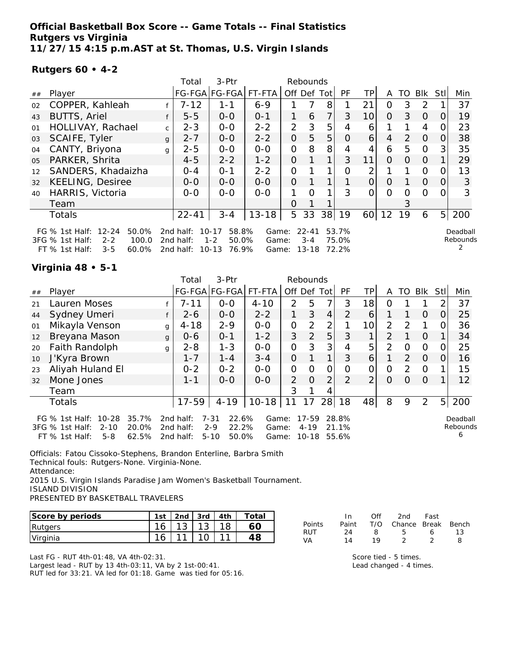**Official Basketball Box Score -- Game Totals -- Final Statistics Rutgers vs Virginia 11/27/15 4:15 p.m.AST at St. Thomas, U.S. Virgin Islands**

#### **Rutgers 60 • 4-2**

|                |                                                                                                                        |              | 3-Ptr<br>Total<br>Rebounds          |                                                              |                         |                |                                   |                |                         |                 |          |               |               |                |                      |
|----------------|------------------------------------------------------------------------------------------------------------------------|--------------|-------------------------------------|--------------------------------------------------------------|-------------------------|----------------|-----------------------------------|----------------|-------------------------|-----------------|----------|---------------|---------------|----------------|----------------------|
| ##             | Player                                                                                                                 |              |                                     | FG-FGA FG-FGA                                                | FT-FTA                  | Off            | Def                               | Totl           | PF                      | TΡ              | A        | TO            | <b>Blk</b>    | <b>Stll</b>    | Min                  |
| 02             | COPPER, Kahleah                                                                                                        |              | $7 - 12$                            | $1 - 1$                                                      | $6 - 9$                 |                |                                   | 8              |                         | 21              | Ω        | 3             | $\mathcal{P}$ |                | 37                   |
| 43             | <b>BUTTS, Ariel</b>                                                                                                    | f            | $5 - 5$                             | $0 - 0$                                                      | $0 - 1$                 |                | 6                                 | $\overline{7}$ | 3                       | 10              | O        | 3             | $\Omega$      | O              | 19                   |
| 01             | HOLLIVAY, Rachael                                                                                                      | $\mathsf{C}$ | $2 - 3$                             | $0 - 0$                                                      | $2 - 2$                 | 2              | 3                                 | 5              | 4                       | 6               |          |               | 4             |                | 23                   |
| 03             | SCAIFE, Tyler                                                                                                          | $\mathbf{q}$ | $2 - 7$                             | $0 - 0$                                                      | $2 - 2$                 | 0              | 5                                 | 5              | $\Omega$                | $\vert 6 \vert$ | 4        | $\mathcal{P}$ | $\Omega$      |                | 38                   |
| 04             | CANTY, Briyona                                                                                                         | g            | $2 - 5$                             | $0 - 0$                                                      | $0 - 0$                 | $\mathbf{O}$   | 8                                 | 8              | 4                       | 4               | 6        | 5             | $\Omega$      | 3              | 35                   |
| 0 <sub>5</sub> | PARKER, Shrita                                                                                                         |              | $4 - 5$                             | $2 - 2$                                                      | $1 - 2$                 | $\Omega$       |                                   | 1              | 3                       | 11              | $\Omega$ | 0             | $\Omega$      |                | 29                   |
| 12             | SANDERS, Khadaizha                                                                                                     |              | $0 - 4$                             | $O - 1$                                                      | $2 - 2$                 | $\Omega$       |                                   | 1              | Ω                       | 2               |          |               | 0             |                | 13                   |
| 32             | <b>KEELING, Desiree</b>                                                                                                |              | $0 - 0$                             | $0-0$                                                        | $0 - 0$                 | $\overline{O}$ |                                   |                |                         | 0               | $\Omega$ |               | $\Omega$      | $\Omega$       | 3                    |
| 40             | HARRIS, Victoria                                                                                                       |              | $0 - 0$                             | $0 - 0$                                                      | $O-O$                   |                | $\Omega$                          | 1              | 3                       | 0               | 0        | Ω             | $\Omega$      |                | 3                    |
|                | Team                                                                                                                   |              |                                     |                                                              |                         | 0              |                                   |                |                         |                 |          | 3             |               |                |                      |
|                | Totals                                                                                                                 |              | $22 - 41$                           | $3 - 4$                                                      | $13 - 18$               | 5              | 33                                | 38             | 19                      | 60 l            | 12       | 19            | 6             | 5 <sub>l</sub> | 200                  |
|                | $12 - 24$<br>50.0%<br>FG $\%$ 1st Half:<br>3FG % 1st Half:<br>$2 - 2$<br>100.0<br>$FT$ % 1st Half:<br>$3 - 5$<br>60.0% |              | 2nd half:<br>2nd half:<br>2nd half: | $10 - 17$<br>58.8%<br>50.0%<br>$1 - 2$<br>$10 - 13$<br>76.9% | Game:<br>Game:<br>Game: |                | $22 - 41$<br>$3 - 4$<br>$13 - 18$ |                | 53.7%<br>75.0%<br>72.2% |                 |          |               |               |                | Deadball<br>Rebounds |

## **Virginia 48 • 5-1**

|    |                                                                                          |                         | Total<br>3-Ptr<br>Rebounds          |                                                            |                         |                |                            |                |                         |                |               |               |          |                |                           |
|----|------------------------------------------------------------------------------------------|-------------------------|-------------------------------------|------------------------------------------------------------|-------------------------|----------------|----------------------------|----------------|-------------------------|----------------|---------------|---------------|----------|----------------|---------------------------|
| ## | Player                                                                                   |                         |                                     | FG-FGA FG-FGA                                              | FT-FTA                  | Off Def Tot    |                            |                | <b>PF</b>               | TP             | A             | TO.           | Blk      | StII           | Min                       |
| 21 | Lauren Moses                                                                             |                         | $7 - 11$                            | $0-0$                                                      | $4 - 10$                | $\mathcal{P}$  | 5                          | 7              | 3                       | 18             | 0             |               |          | 2              | 37                        |
| 44 | Sydney Umeri                                                                             |                         | $2 - 6$                             | $0-0$                                                      | $2 - 2$                 | 1.             | 3                          | 4              | $\overline{2}$          | 6              |               |               | $\Omega$ | 0              | 25                        |
| 01 | Mikayla Venson                                                                           |                         | $4 - 18$<br>g                       | $2 - 9$                                                    | $0-0$                   | $\mathcal{O}$  | 2                          | $\overline{2}$ |                         | 10             | 2             | $\mathcal{P}$ |          | 0              | 36                        |
| 12 | Breyana Mason                                                                            |                         | $0 - 6$<br>g                        | $0 - 1$                                                    | $1 - 2$                 | 3              | 2                          | 5              | 3                       | 1              | $\mathcal{P}$ |               | $\Omega$ |                | 34                        |
| 20 | Faith Randolph                                                                           |                         | $2 - 8$<br>g                        | $1 - 3$                                                    | $0-0$                   | $\mathcal{O}$  | 3                          | 3              | 4                       | 5              | 2             | 0             | $\Omega$ | 0              | 25                        |
| 10 | J'Kyra Brown                                                                             |                         | $1 - 7$                             | $1 - 4$                                                    | $3 - 4$                 | $\overline{O}$ |                            | 1              | 3                       | 6              |               | $\mathcal{D}$ | $\Omega$ | $\Omega$       | 16                        |
| 23 | Aliyah Huland El                                                                         |                         | $0 - 2$                             | $0 - 2$                                                    | $0-0$                   | $\mathbf{O}$   | $\Omega$                   | 0              | $\Omega$                | $\overline{O}$ | 0             | 2             | $\Omega$ |                | 15                        |
| 32 | Mone Jones                                                                               |                         | $1 - 1$                             | $0 - 0$                                                    | $0-0$                   | 2              | $\Omega$                   | $\overline{2}$ | $\mathcal{P}$           | $\overline{2}$ | $\Omega$      | $\Omega$      | $\Omega$ |                | $12 \overline{ }$         |
|    | Team                                                                                     |                         |                                     |                                                            |                         | 3              |                            | 4              |                         |                |               |               |          |                |                           |
|    | <b>Totals</b>                                                                            |                         | $17 - 59$                           | $4 - 19$                                                   | $10-18$                 | 11             | 17                         | 28             | 18                      | 48             | 8             | 9             | 2        | 5 <sup>1</sup> | 200                       |
|    | FG $\%$ 1st Half:<br>10-28<br>3FG % 1st Half:<br>$2 - 10$<br>$FT$ % 1st Half:<br>$5 - 8$ | 35.7%<br>20.0%<br>62.5% | 2nd half:<br>2nd half:<br>2nd half: | 22.6%<br>$7 - 31$<br>$2 - 9$<br>22.2%<br>$5 - 10$<br>50.0% | Game:<br>Game:<br>Game: |                | 17-59<br>$4 - 19$<br>10-18 |                | 28.8%<br>21.1%<br>55.6% |                |               |               |          |                | Deadball<br>Rebounds<br>6 |

Officials: Fatou Cissoko-Stephens, Brandon Enterline, Barbra Smith Technical fouls: Rutgers-None. Virginia-None. Attendance: 2015 U.S. Virgin Islands Paradise Jam Women's Basketball Tournament.

ISLAND DIVISION PRESENTED BY BASKETBALL TRAVELERS

| Score by periods              | 1st | 2nd | 3rd | 4th            | Total |
|-------------------------------|-----|-----|-----|----------------|-------|
| Rutgers                       | 16  |     |     |                |       |
| <i><u><b>Uirginia</b></u></i> | 16  |     |     | $\overline{ }$ |       |

Last FG - RUT 4th-01:48, VA 4th-02:31. Largest lead - RUT by 13 4th-03:11, VA by 2 1st-00:41. RUT led for 33:21. VA led for 01:18. Game was tied for 05:16.

|        | In.   | ∩ff | 2nd -                  | Fast |    |
|--------|-------|-----|------------------------|------|----|
| Points | Paint |     | T/O Chance Break Bench |      |    |
| RUT    | 24    | я   | 5                      | 6    | 13 |
| VA     | 14    | 10  |                        |      |    |

Score tied - 5 times. Lead changed - 4 times.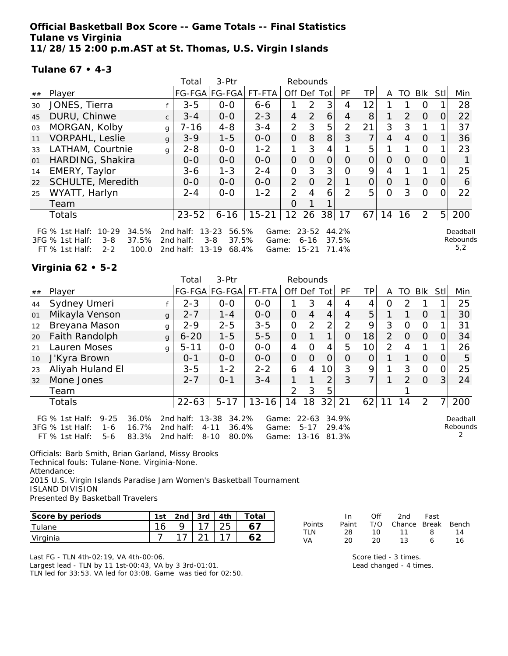**Official Basketball Box Score -- Game Totals -- Final Statistics Tulane vs Virginia 11/28/15 2:00 p.m.AST at St. Thomas, U.S. Virgin Islands**

#### **Tulane 67 • 4-3**

|                |                                                                                                                     |              | Total<br>3-Ptr<br>Rebounds          |                                                          |                         |                |                                    |                 |                         |                |          |               |                |                |                             |
|----------------|---------------------------------------------------------------------------------------------------------------------|--------------|-------------------------------------|----------------------------------------------------------|-------------------------|----------------|------------------------------------|-----------------|-------------------------|----------------|----------|---------------|----------------|----------------|-----------------------------|
| ##             | Player                                                                                                              |              |                                     | FG-FGA FG-FGA                                            | FT-FTA                  | Off            | Def                                | Tot             | <b>PF</b>               | TP.            | A        | TO            | <b>Blk</b>     | Stll           | Min                         |
| 30             | JONES, Tierra                                                                                                       |              | $3 - 5$                             | $0 - 0$                                                  | $6 - 6$                 |                | 2                                  | 3               | 4                       | 12             |          |               | Ο              |                | 28                          |
| 45             | DURU, Chinwe                                                                                                        | $\mathsf{C}$ | $3 - 4$                             | $0 - 0$                                                  | $2 - 3$                 | 4              | $\mathcal{P}$                      | 6               | 4                       | 8 <sup>1</sup> |          | $\mathcal{P}$ | $\overline{0}$ | 0              | 22                          |
| 03             | MORGAN, Kolby                                                                                                       | g            | 7-16                                | $4 - 8$                                                  | $3 - 4$                 | 2              | 3                                  | 5               | 2                       | 21             | 3        | 3             | 1              |                | 37                          |
| 11             | <b>VORPAHL, Leslie</b>                                                                                              | $\mathbf{q}$ | $3 - 9$                             | $1 - 5$                                                  | $0-0$                   | $\overline{O}$ | 8                                  | 8               | 3                       | 7              | 4        | 4             | $\Omega$       |                | 36                          |
| 33             | LATHAM, Courtnie                                                                                                    | q            | $2 - 8$                             | $0-0$                                                    | $1 - 2$                 |                | 3                                  | 4               |                         | 5              |          |               | $\Omega$       |                | 23                          |
| O <sub>1</sub> | HARDING, Shakira                                                                                                    |              | $0 - 0$                             | $0 - 0$                                                  | $0-0$                   | $\Omega$       | $\Omega$                           | $\overline{O}$  | $\Omega$                | $\overline{O}$ | $\Omega$ | $\Omega$      | $\Omega$       | $\Omega$       |                             |
| 14             | EMERY, Taylor                                                                                                       |              | $3 - 6$                             | $1 - 3$                                                  | $2 - 4$                 | O              | 3                                  | 3               | Ω                       | 9              | 4        |               |                |                | 25                          |
| 22             | SCHULTE, Meredith                                                                                                   |              | $0 - 0$                             | $0-0$                                                    | $0 - 0$                 | $\overline{2}$ | $\Omega$                           | $\overline{2}$  |                         | $\overline{O}$ | $\Omega$ |               | $\Omega$       | $\Omega$       | 6                           |
| 25             | WYATT, Harlyn                                                                                                       |              | $2 - 4$                             | $0 - 0$                                                  | $1 - 2$                 | $\overline{2}$ | 4                                  | 6               | $\mathcal{P}$           | 5              | Ω        | 3             | $\Omega$       |                | 22                          |
|                | Team                                                                                                                |              |                                     |                                                          |                         | Ο              |                                    |                 |                         |                |          |               |                |                |                             |
|                | Totals                                                                                                              |              | $23 - 52$                           | $6 - 16$                                                 | $15 - 21$               | 12 26          |                                    | 38 <sup>l</sup> | 17                      | 67             | 14       | 16            | 2              | 5 <sup>1</sup> | 200                         |
|                | $10 - 29$<br>34.5%<br>FG $%$ 1st Half:<br>3FG % 1st Half:<br>37.5%<br>$3 - 8$<br>FT % 1st Half:<br>$2 - 2$<br>100.0 |              | 2nd half:<br>2nd half:<br>2nd half: | $13 - 23$<br>56.5%<br>$3 - 8$<br>37.5%<br>68.4%<br>13-19 | Game:<br>Game:<br>Game: |                | $23 - 52$<br>$6 - 16$<br>$15 - 21$ |                 | 44.2%<br>37.5%<br>71.4% |                |          |               |                |                | Deadball<br>Rebounds<br>5,2 |

## **Virginia 62 • 5-2**

|    |                                                                                     |                         | Total                               | 3-Ptr                                                        |                         | Rebounds       |                                    |                |                         |                 |               |               |            |          |                      |
|----|-------------------------------------------------------------------------------------|-------------------------|-------------------------------------|--------------------------------------------------------------|-------------------------|----------------|------------------------------------|----------------|-------------------------|-----------------|---------------|---------------|------------|----------|----------------------|
| ## | Player                                                                              |                         |                                     | FG-FGA FG-FGA FT-FTA                                         |                         | Off Def        |                                    | Tot            | <b>PF</b>               | <b>TP</b>       | A             | TO            | <b>Blk</b> | Stll     | Min                  |
| 44 | Sydney Umeri                                                                        |                         | $2 - 3$                             | $0-0$                                                        | $0 - 0$                 |                | 3                                  | 4              | 4                       |                 | Ο             | 2             |            |          | 25                   |
| 01 | Mikayla Venson                                                                      | $\mathbf{q}$            | $2 - 7$                             | $1 - 4$                                                      | $0-0$                   | $\overline{O}$ | $\overline{4}$                     | $\overline{4}$ | 4                       | 5               |               | 1             | $\Omega$   |          | 30                   |
| 12 | Breyana Mason                                                                       | g                       | $2 - 9$                             | $2 - 5$                                                      | $3 - 5$                 | $\overline{O}$ | $\overline{2}$                     | 2              | $\overline{2}$          | 9               | 3             | O             | $\Omega$   |          | 31                   |
| 20 | Faith Randolph                                                                      | $\mathbf{q}$            | $6 - 20$                            | $1 - 5$                                                      | $5 - 5$                 | 0              |                                    | 1              | 0                       | 18              | $\mathcal{P}$ | $\Omega$      | $\Omega$   | $\left($ | 34                   |
| 21 | Lauren Moses                                                                        | g                       | $5 - 11$                            | $0-0$                                                        | $0-0$                   | 4              | $\Omega$                           | 4              | 5                       | 10 <sup>1</sup> | 2             | 4             | 1          |          | 26                   |
| 10 | J'Kyra Brown                                                                        |                         | $0 - 1$                             | $0 - 0$                                                      | $0 - 0$                 | $\Omega$       | $\Omega$                           | $\Omega$       | O                       | 0               |               |               | $\Omega$   | $\Omega$ | 5                    |
| 23 | Aliyah Huland El                                                                    |                         | $3 - 5$                             | $1 - 2$                                                      | $2 - 2$                 | 6              | 4                                  | 10             | 3                       | 9               | 1             | 3             | $\Omega$   |          | 25                   |
| 32 | Mone Jones                                                                          |                         | $2 - 7$                             | $0 - 1$                                                      | $3 - 4$                 |                |                                    | 2              | 3                       | 7               |               | $\mathcal{P}$ | $\Omega$   | 3        | 24                   |
|    | Team                                                                                |                         |                                     |                                                              |                         | $\mathcal{P}$  | 3                                  | 5              |                         |                 |               |               |            |          |                      |
|    | Totals                                                                              |                         | $22 - 63$                           | $5 - 17$                                                     | $13 - 16$               | 14             | 18                                 | 32             | 21                      | 62              | 11            | 14            | 2          |          | 200                  |
|    | FG % 1st Half:<br>$9 - 25$<br>3FG % 1st Half:<br>1-6<br>FT $%$ 1st Half:<br>$5 - 6$ | 36.0%<br>16.7%<br>83.3% | 2nd half:<br>2nd half:<br>2nd half: | $13 - 38$<br>34.2%<br>$4 - 11$<br>36.4%<br>$8 - 10$<br>80.0% | Game:<br>Game:<br>Game: |                | $22 - 63$<br>$5 - 17$<br>$13 - 16$ |                | 34.9%<br>29.4%<br>81.3% |                 |               |               |            |          | Deadball<br>Rebounds |

Officials: Barb Smith, Brian Garland, Missy Brooks Technical fouls: Tulane-None. Virginia-None. Attendance: 2015 U.S. Virgin Islands Paradise Jam Women's Basketball Tournament ISLAND DIVISION

Presented By Basketball Travelers

| Score by periods | 1st    | 2nd | 3rd | 4th | Total. |
|------------------|--------|-----|-----|-----|--------|
| tulane           | $\sim$ |     |     |     |        |
| Virginia         |        |     |     |     |        |

Last FG - TLN 4th-02:19, VA 4th-00:06. Largest lead - TLN by 11 1st-00:43, VA by 3 3rd-01:01. TLN led for 33:53. VA led for 03:08. Game was tied for 02:50.

|        | In.   | ∩ff | 2nd                    | Fast |    |
|--------|-------|-----|------------------------|------|----|
| Points | Paint |     | T/O Chance Break Bench |      |    |
| TI N   | 28.   | 1 O | 11                     | 8    | 14 |
| VA.    | 20.   | 20. | 13.                    | Ь    | 16 |

Score tied - 3 times. Lead changed - 4 times.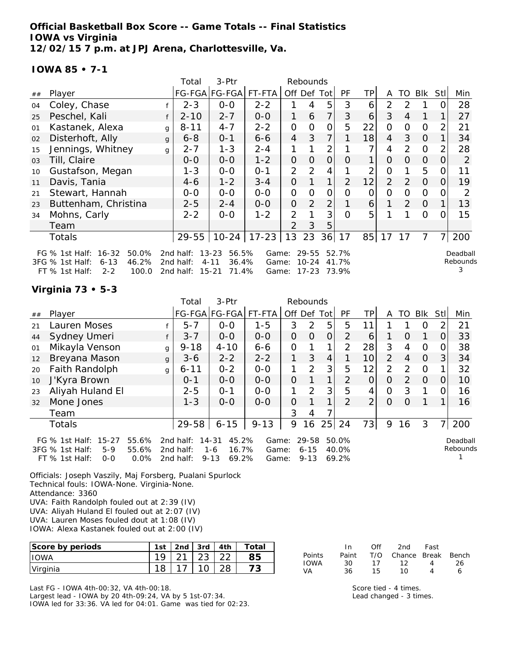**Official Basketball Box Score -- Game Totals -- Final Statistics IOWA vs Virginia 12/02/15 7 p.m. at JPJ Arena, Charlottesville, Va.**

#### **IOWA 85 • 7-1**

|    |                                                                                                                        |              | Total                               | 3-Ptr                                                         |                         |                | Rebounds                        |                |                         |           |                |                |                |                |                           |
|----|------------------------------------------------------------------------------------------------------------------------|--------------|-------------------------------------|---------------------------------------------------------------|-------------------------|----------------|---------------------------------|----------------|-------------------------|-----------|----------------|----------------|----------------|----------------|---------------------------|
| ## | Player                                                                                                                 |              |                                     | FG-FGA FG-FGA                                                 | FT-FTA                  | Off Def Tot    |                                 |                | <b>PF</b>               | <b>TP</b> | A              | TO             | Blk            | Stll           | Min                       |
| 04 | Coley, Chase                                                                                                           |              | $2 - 3$                             | $0-0$                                                         | $2 - 2$                 |                | 4                               | 5              | 3                       | 6         | 2              | $\mathcal{D}$  |                | 0              | 28                        |
| 25 | Peschel, Kali                                                                                                          |              | $2 - 10$                            | $2 - 7$                                                       | $O-O$                   | 1              | 6                               | 7              | 3                       | 6         | 3              | $\overline{4}$ |                |                | 27                        |
| 01 | Kastanek, Alexa                                                                                                        | g            | $8 - 11$                            | $4 - 7$                                                       | $2 - 2$                 | $\mathbf{O}$   | 0                               | 0              | 5                       | 22        | $\Omega$       | 0              | $\Omega$       | 2              | 21                        |
| 02 | Disterhoft, Ally                                                                                                       | $\mathbf{q}$ | $6 - 8$                             | $0 - 1$                                                       | $6 - 6$                 | $\overline{4}$ | 3                               | 7              |                         | 18        | $\overline{4}$ | 3              | $\Omega$       |                | 34                        |
| 15 | Jennings, Whitney                                                                                                      | g            | $2 - 7$                             | $1 - 3$                                                       | $2 - 4$                 | 1              |                                 | $\overline{2}$ |                         | ᄀ         | 4              | 2              | $\Omega$       | 2              | 28                        |
| 03 | Till, Claire                                                                                                           |              | $0 - 0$                             | $O-O$                                                         | $1 - 2$                 | $\overline{O}$ | $\overline{O}$                  | $\overline{O}$ | 0                       | 1         | $\Omega$       | 0              | $\overline{O}$ | O              | 2                         |
| 10 | Gustafson, Megan                                                                                                       |              | $1 - 3$                             | $0-0$                                                         | $0 - 1$                 | $\overline{2}$ | $\overline{2}$                  | 4              |                         | 2         | $\overline{O}$ |                | 5              | 0              | 11                        |
| 11 | Davis, Tania                                                                                                           |              | 4-6                                 | $1 - 2$                                                       | $3 - 4$                 | $\overline{O}$ |                                 | 1              | $\overline{2}$          | 12        | $\overline{2}$ | 2              | $\overline{O}$ | 0              | 19                        |
| 21 | Stewart, Hannah                                                                                                        |              | $0-0$                               | $0-0$                                                         | $0-0$                   | $\mathbf{O}$   | 0                               | $\mathcal{O}$  | $\Omega$                | O         | 0              | 0              | $\Omega$       | 0              | 2                         |
| 23 | Buttenham, Christina                                                                                                   |              | $2 - 5$                             | $2 - 4$                                                       | $0-0$                   | $\overline{O}$ | $\overline{2}$                  | $\overline{2}$ |                         | 6         |                | 2              | $\Omega$       |                | 13                        |
| 34 | Mohns, Carly                                                                                                           |              | $2 - 2$                             | $0 - 0$                                                       | $1 - 2$                 | 2              |                                 | 3              | $\Omega$                | 5         |                |                | $\Omega$       | 0              | 15                        |
|    | Team                                                                                                                   |              |                                     |                                                               |                         | 2              | 3                               | 5              |                         |           |                |                |                |                |                           |
|    | Totals                                                                                                                 |              | $29 - 55$                           |                                                               | 10-24   17-23           | 13             | 23                              | 36             | 17                      | 85        | 17             | 17             | $\overline{7}$ | $\overline{7}$ | 200                       |
|    | FG $%$ 1st Half:<br>$16 - 32$<br>50.0%<br>46.2%<br>$6 - 13$<br>3FG % 1st Half:<br>100.0<br>$FT$ % 1st Half:<br>$2 - 2$ |              | 2nd half:<br>2nd half:<br>2nd half: | $13 - 23$<br>56.5%<br>$4 - 11$<br>36.4%<br>$15 - 21$<br>71.4% | Game:<br>Game:<br>Game: |                | 29-55<br>$10 - 24$<br>$17 - 23$ |                | 52.7%<br>41.7%<br>73.9% |           |                |                |                |                | Deadball<br>Rebounds<br>3 |

#### **Virginia 73 • 5-3**

|    |                                                                                          |                        | Total                               | 3-Ptr                                                   |                         |                | Rebounds                      |                |                         |                 |                |               |          |                |                      |
|----|------------------------------------------------------------------------------------------|------------------------|-------------------------------------|---------------------------------------------------------|-------------------------|----------------|-------------------------------|----------------|-------------------------|-----------------|----------------|---------------|----------|----------------|----------------------|
| ## | Player                                                                                   |                        |                                     | FG-FGA FG-FGA                                           | FT-FTA                  | Off Def Tot    |                               |                | <b>PF</b>               | TPI             | A              | TO.           | Blk      | Stll           | Min                  |
| 21 | Lauren Moses                                                                             |                        | $5 - 7$                             | $0 - 0$                                                 | $1 - 5$                 | 3              | $\overline{2}$                | 5              | 5                       | 11              |                |               | O        | 2              | 21                   |
| 44 | Sydney Umeri                                                                             |                        | $3 - 7$                             | $0-0$                                                   | $0-0$                   | 0              | $\Omega$                      | 0              | 2                       | 6               |                | O             |          | $\overline{O}$ | 33                   |
| 01 | Mikayla Venson                                                                           | g                      | $9 - 18$                            | $4 - 10$                                                | $6 - 6$                 | $\mathcal{O}$  |                               |                | 2                       | 28              | 3              | 4             | 0        | 0              | 38                   |
| 12 | Breyana Mason                                                                            | g                      | $3 - 6$                             | $2 - 2$                                                 | $2 - 2$                 | 1              | 3                             | $\overline{4}$ |                         | 10              | 2              | 4             | $\Omega$ | 3              | 34                   |
| 20 | Faith Randolph                                                                           | g                      | $6 - 11$                            | $0 - 2$                                                 | $0-0$                   | 1              | 2                             | 3              | 5                       | 12 <sub>1</sub> | $\overline{2}$ | $\mathcal{P}$ | 0        |                | 32                   |
| 10 | J'Kyra Brown                                                                             |                        | $0 - 1$                             | $0-0$                                                   | $0-0$                   | $\overline{O}$ |                               | 1              | 2                       | $\overline{O}$  | $\overline{O}$ | 2             | $\Omega$ | 0              | 10                   |
| 23 | Aliyah Huland El                                                                         |                        | $2 - 5$                             | $O - 1$                                                 | $0 - 0$                 | 1              | 2                             | 3              | 5                       | 4               | O              | 3             |          | 0              | 16                   |
| 32 | Mone Jones                                                                               |                        | $1 - 3$                             | $0 - 0$                                                 | $0-0$                   | 0              |                               | 1              | $\overline{2}$          | $\overline{2}$  | $\Omega$       | Ω             |          |                | 16                   |
|    | Team                                                                                     |                        |                                     |                                                         |                         | 3              | 4                             |                |                         |                 |                |               |          |                |                      |
|    | <b>Totals</b>                                                                            |                        | 29-58                               | $6 - 15$                                                | $9 - 13$                | 9              | 16                            | 25             | 24                      | 73              | 9              | 16            | 3        | 7 <sub>1</sub> | 200                  |
|    | FG $%$ 1st Half:<br>$15 - 27$<br>3FG % 1st Half:<br>$5-9$<br>$FT$ % 1st Half:<br>$0 - 0$ | 55.6%<br>55.6%<br>0.0% | 2nd half:<br>2nd half:<br>2nd half: | 45.2%<br>14-31<br>16.7%<br>$1 - 6$<br>69.2%<br>$9 - 13$ | Game:<br>Game:<br>Game: |                | 29-58<br>$6 - 15$<br>$9 - 13$ |                | 50.0%<br>40.0%<br>69.2% |                 |                |               |          |                | Deadball<br>Rebounds |

Officials: Joseph Vaszily, Maj Forsberg, Pualani Spurlock Technical fouls: IOWA-None. Virginia-None. Attendance: 3360 UVA: Faith Randolph fouled out at 2:39 (IV) UVA: Aliyah Huland El fouled out at 2:07 (IV) UVA: Lauren Moses fouled dout at 1:08 (IV) IOWA: Alexa Kastanek fouled out at 2:00 (IV)

| Score by periods | 1st | 2 <sub>nd</sub> | 3rd | 4th | Total |
|------------------|-----|-----------------|-----|-----|-------|
| <b>HOWA</b>      | 1 Q |                 |     |     | 35    |
| Virginia         | 18  |                 |     |     |       |

Last FG - IOWA 4th-00:32, VA 4th-00:18. Largest lead - IOWA by 20 4th-09:24, VA by 5 1st-07:34. IOWA led for 33:36. VA led for 04:01. Game was tied for 02:23.

|        | In.   | Off | 2nd                    | Fast |    |
|--------|-------|-----|------------------------|------|----|
| Points | Paint |     | T/O Chance Break Bench |      |    |
| IOWA   | 30.   | 17  | 12                     | 4    | 26 |
| VA     | 36.   | 15. | 1 O                    |      | 6  |

Score tied - 4 times. Lead changed - 3 times.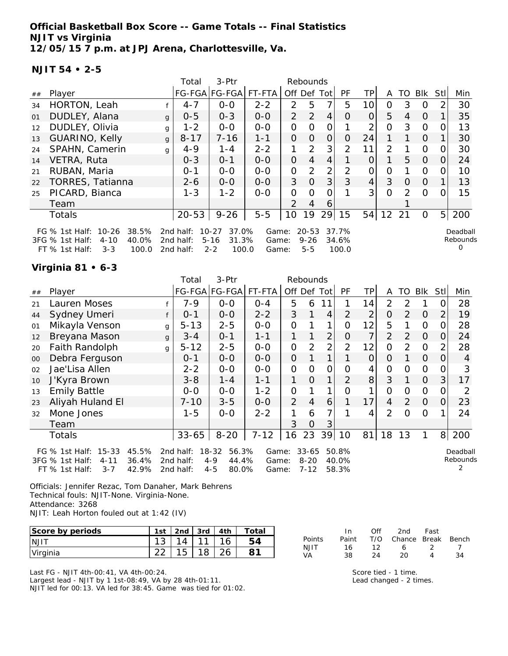**Official Basketball Box Score -- Game Totals -- Final Statistics NJIT vs Virginia 12/05/15 7 p.m. at JPJ Arena, Charlottesville, Va.**

### **NJIT 54 • 2-5**

|    |                                                                                                                      |              | Total                               | 3-Ptr                                                       |                         |               | Rebounds                         |                |                         |                 |    |               |          |          |                           |
|----|----------------------------------------------------------------------------------------------------------------------|--------------|-------------------------------------|-------------------------------------------------------------|-------------------------|---------------|----------------------------------|----------------|-------------------------|-----------------|----|---------------|----------|----------|---------------------------|
| ## | Player                                                                                                               |              |                                     | FG-FGA FG-FGA                                               | FT-FTA                  | Off           | Def                              | Tot            | PF                      | TP.             | A  | TO            | Blk      | Stl      | Min                       |
| 34 | HORTON, Leah                                                                                                         |              | $4 - 7$                             | $0 - 0$                                                     | $2 - 2$                 | $\mathcal{P}$ | 5                                | 7              | 5                       | 10              | 0  | 3             | $\Omega$ |          | 30                        |
| 01 | DUDLEY, Alana                                                                                                        | $\mathbf{q}$ | $0 - 5$                             | $0 - 3$                                                     | $0 - 0$                 | $\mathcal{P}$ | 2                                | 4              | O                       | $\overline{O}$  | 5  | 4             | $\Omega$ |          | 35                        |
| 12 | DUDLEY, Olivia                                                                                                       | g            | $1 - 2$                             | $0 - 0$                                                     | $0 - 0$                 | 0             | $\Omega$                         | O              |                         | 2               | 0  | 3             | $\Omega$ |          | 13                        |
| 13 | GUARINO, Kelly                                                                                                       | $\mathbf{q}$ | $8 - 17$                            | $7 - 16$                                                    | $1 - 1$                 | 0             | 0                                | 0              | 0                       | 24              | 1  |               | $\Omega$ |          | 30                        |
| 24 | SPAHN, Camerin                                                                                                       | g            | $4 - 9$                             | $1 - 4$                                                     | $2 - 2$                 | 1             | 2                                | 3 <sub>l</sub> | $\overline{2}$          | 11              | 2  |               | $\Omega$ | 0        | 30                        |
| 14 | VETRA, Ruta                                                                                                          |              | $0 - 3$                             | $O - 1$                                                     | $0 - 0$                 | $\Omega$      | $\overline{4}$                   | $\overline{4}$ |                         | $\Omega$        |    | 5             | $\Omega$ | $\Omega$ | 24                        |
| 21 | RUBAN, Maria                                                                                                         |              | $0 - 1$                             | $0 - 0$                                                     | $0 - 0$                 | 0             | 2                                | 2 <sub>1</sub> | 2                       | 0               | 0  |               | $\Omega$ |          | 10                        |
| 22 | <b>TORRES, Tatianna</b>                                                                                              |              | $2 - 6$                             | $0 - 0$                                                     | $0 - 0$                 | 3             | $\Omega$                         | 3              | 3                       | $\vert 4 \vert$ | 3  | $\Omega$      | $\Omega$ |          | 13                        |
| 25 | PICARD, Bianca                                                                                                       |              | $1 - 3$                             | $1 - 2$                                                     | $0 - 0$                 | 0             | Ω                                | ∩              |                         | 3               | 0  | $\mathcal{P}$ | $\Omega$ |          | 15                        |
|    | Team                                                                                                                 |              |                                     |                                                             |                         | $\mathcal{P}$ | 4                                | 6              |                         |                 |    |               |          |          |                           |
|    | <b>Totals</b>                                                                                                        |              | $20 - 53$                           | $9 - 26$                                                    | $5-5$                   | 10            | 19                               | 29             | 15                      | 54              | 12 | 21            | $\Omega$ | 5        | 200                       |
|    | $10 - 26$<br>38.5%<br>FG $%$ 1st Half:<br>40.0%<br>3FG % 1st Half:<br>$4 - 10$<br>$3 - 3$<br>FT % 1st Half:<br>100.0 |              | 2nd half:<br>2nd half:<br>2nd half: | $10 - 27$<br>37.0%<br>31.3%<br>$5 - 16$<br>$2 - 2$<br>100.0 | Game:<br>Game:<br>Game: |               | $20 - 53$<br>$9 - 26$<br>$5 - 5$ |                | 37.7%<br>34.6%<br>100.0 |                 |    |               |          |          | Deadball<br>Rebounds<br>O |

## **Virginia 81 • 6-3**

|    |                                                                                                                      |   | Total                               | 3-Ptr                                                      |                         |                | Rebounds                          |    |                         |                |                |                |                |                |                           |
|----|----------------------------------------------------------------------------------------------------------------------|---|-------------------------------------|------------------------------------------------------------|-------------------------|----------------|-----------------------------------|----|-------------------------|----------------|----------------|----------------|----------------|----------------|---------------------------|
| ## | Player                                                                                                               |   |                                     |                                                            | FG-FGA FG-FGA FT-FTA    | Off Def Tot    |                                   |    | PF                      | TP             | A              | TO             | Blk            | Stll           | Min                       |
| 21 | Lauren Moses                                                                                                         |   | $7 - 9$                             | $0-0$                                                      | $0 - 4$                 | 5              | 6                                 | 11 |                         | 14             | $\overline{2}$ | 2              |                | 0              | 28                        |
| 44 | Sydney Umeri                                                                                                         |   | $0 - 1$                             | $0-0$                                                      | $2 - 2$                 | 3              |                                   | 4  | 2                       | $\overline{2}$ | $\Omega$       | $\overline{2}$ | $\Omega$       | $\overline{2}$ | 19                        |
| 01 | Mikayla Venson                                                                                                       | g | $5 - 13$                            | $2 - 5$                                                    | $0-0$                   | $\mathbf{O}$   |                                   | 1  | $\Omega$                | 12             | 5              |                | $\mathbf{O}$   | 0              | 28                        |
| 12 | Breyana Mason                                                                                                        | g | $3 - 4$                             | $0 - 1$                                                    | $1 - 1$                 | 1              |                                   | 2  | 0                       | 7              | $\overline{2}$ | 2              | $\overline{O}$ | $\Omega$       | 24                        |
| 20 | Faith Randolph                                                                                                       | g | $5 - 12$                            | $2 - 5$                                                    | $0-0$                   | $\Omega$       | 2                                 | 2  | $\overline{2}$          | 12             | $\Omega$       | 2              | $\Omega$       | $\overline{2}$ | 28                        |
| 00 | Debra Ferguson                                                                                                       |   | $0 - 1$                             | $0-0$                                                      | $0-0$                   | $\overline{O}$ |                                   | 1  |                         | $\overline{O}$ | $\overline{O}$ |                | $\overline{O}$ | $\Omega$       | 4                         |
| 02 | Jae'Lisa Allen                                                                                                       |   | $2 - 2$                             | $0-0$                                                      | $0-0$                   | $\mathcal{O}$  | $\Omega$                          | 0  | $\Omega$                | 4              | $\Omega$       | 0              | $\Omega$       | O.             | 3                         |
| 10 | J'Kyra Brown                                                                                                         |   | $3 - 8$                             | $1 - 4$                                                    | $1 - 1$                 | 1              | $\overline{O}$                    | 1  | $\overline{2}$          | 8              | 3              |                | $\overline{O}$ | 3              | 17                        |
| 13 | <b>Emily Battle</b>                                                                                                  |   | $0-0$                               | $0-0$                                                      | $1 - 2$                 | $\mathcal{O}$  |                                   | 1  | $\Omega$                | 1              | $\Omega$       | 0              | $\Omega$       | 0              | 2                         |
| 23 | Aliyah Huland El                                                                                                     |   | $7 - 10$                            | $3 - 5$                                                    | $0-0$                   | $\overline{2}$ | $\overline{4}$                    | 6  |                         | 17             | 4              | $\overline{2}$ | $\overline{O}$ | 0              | 23                        |
| 32 | Mone Jones                                                                                                           |   | $1 - 5$                             | $0 - 0$                                                    | $2 - 2$                 | 1              | 6                                 | 7  |                         | 4              | $\overline{2}$ | $\Omega$       | $\Omega$       |                | 24                        |
|    | Team                                                                                                                 |   |                                     |                                                            |                         | 3              | $\Omega$                          | 3  |                         |                |                |                |                |                |                           |
|    | Totals                                                                                                               |   | $33 - 65$                           | $8 - 20$                                                   | $7 - 12$                | 16             | 23                                |    | 39 10                   | 81             | 18             | 13             | 1              |                | 8 200                     |
|    | $15 - 33$<br>45.5%<br>FG $%$ 1st Half:<br>36.4%<br>3FG % 1st Half:<br>$4 - 11$<br>42.9%<br>FT % 1st Half:<br>$3 - 7$ |   | 2nd half:<br>2nd half:<br>2nd half: | $18 - 32$<br>56.3%<br>$4 - 9$<br>44.4%<br>$4 - 5$<br>80.0% | Game:<br>Game:<br>Game: |                | $33 - 65$<br>$8 - 20$<br>$7 - 12$ |    | 50.8%<br>40.0%<br>58.3% |                |                |                |                |                | Deadball<br>Rebounds<br>2 |

Officials: Jennifer Rezac, Tom Danaher, Mark Behrens Technical fouls: NJIT-None. Virginia-None. Attendance: 3268 NJIT: Leah Horton fouled out at 1:42 (IV)

| Score by periods | $1c+$     | 2nd | 3rd    | 4th | ำtai |
|------------------|-----------|-----|--------|-----|------|
| <b>INJIT</b>     | 10<br>ں ا |     | $\sim$ | и   |      |
| Virginia         |           | ٮ   |        | つん  |      |

Last FG - NJIT 4th-00:41, VA 4th-00:24. Largest lead - NJIT by 1 1st-08:49, VA by 28 4th-01:11. NJIT led for 00:13. VA led for 38:45. Game was tied for 01:02.

|        | In.   | Off | 2nd -                  | Fast  |    |
|--------|-------|-----|------------------------|-------|----|
| Points | Paint |     | T/O Chance Break Bench |       |    |
| N JIT  | 16.   | 12. | 6                      | - 2 - |    |
| VA     | 38.   | 24  | 20                     |       | 34 |

Score tied - 1 time. Lead changed - 2 times.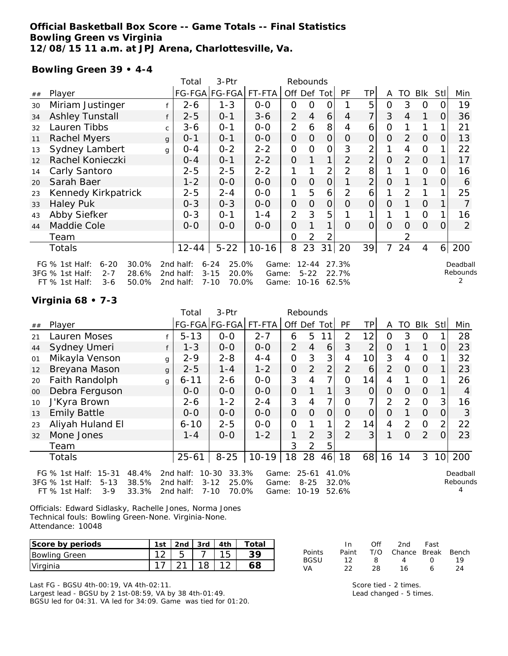## **Official Basketball Box Score -- Game Totals -- Final Statistics Bowling Green vs Virginia 12/08/15 11 a.m. at JPJ Arena, Charlottesville, Va.**

# **Bowling Green 39 • 4-4**

|    |                                                                                                                  |    | Total                               | 3-Ptr                                                       |                         |                | Rebounds                           |                |                         |                |                |          |                |      |                      |
|----|------------------------------------------------------------------------------------------------------------------|----|-------------------------------------|-------------------------------------------------------------|-------------------------|----------------|------------------------------------|----------------|-------------------------|----------------|----------------|----------|----------------|------|----------------------|
| ## | Player                                                                                                           |    |                                     | FG-FGA FG-FGA                                               | FT-FTA                  | Off Def Tot    |                                    |                | PF                      | ТP             | A              | TO       | Blk            | Stll | Min                  |
| 30 | Miriam Justinger                                                                                                 |    | $2 - 6$                             | $1 - 3$                                                     | $0 - 0$                 | 0              | 0                                  | 0              |                         | 5              | 0              | 3        | 0              |      | 19                   |
| 34 | <b>Ashley Tunstall</b>                                                                                           |    | $2 - 5$                             | $0 - 1$                                                     | $3 - 6$                 | $\overline{2}$ | 4                                  | 6              | 4                       | 7              | 3              | 4        |                | 0    | 36                   |
| 32 | Lauren Tibbs                                                                                                     | C. | $3 - 6$                             | $0 - 1$                                                     | $0 - 0$                 | $\overline{2}$ | 6                                  | 8              | 4                       | 6              | 0              |          |                |      | 21                   |
| 11 | <b>Rachel Myers</b>                                                                                              | g  | $0 - 1$                             | $0 - 1$                                                     | $0 - 0$                 | 0              | 0                                  | 0              | 0                       | $\overline{O}$ | $\Omega$       | 2        | $\Omega$       | O    | 13                   |
| 13 | Sydney Lambert                                                                                                   | q  | 0-4                                 | $0 - 2$                                                     | $2 - 2$                 | 0              | 0                                  | 0              | 3                       | 2              |                | 4        | $\mathcal{O}$  |      | 22                   |
| 12 | Rachel Konieczki                                                                                                 |    | $O - 4$                             | 0-1                                                         | $2 - 2$                 | 0              |                                    | 1              | 2                       | $\overline{2}$ | $\overline{O}$ | 2        | $\overline{O}$ |      | 17                   |
| 14 | Carly Santoro                                                                                                    |    | $2 - 5$                             | $2 - 5$                                                     | $2 - 2$                 | 1              |                                    | 2              | 2                       | 8              |                |          | $\mathbf{O}$   | O    | 16                   |
| 20 | Sarah Baer                                                                                                       |    | $1 - 2$                             | $0-0$                                                       | $0-0$                   | 0              | $\overline{O}$                     | $\overline{O}$ |                         | $\overline{2}$ | $\overline{O}$ |          |                | O    | 6                    |
| 23 | Kennedy Kirkpatrick                                                                                              |    | $2 - 5$                             | $2 - 4$                                                     | $0 - 0$                 | 1              | 5                                  | 6              | 2                       | 6              |                | 2        |                |      | 25                   |
| 33 | <b>Haley Puk</b>                                                                                                 |    | $0 - 3$                             | $0 - 3$                                                     | $0 - 0$                 | 0              | 0                                  | $\overline{O}$ | 0                       | $\overline{O}$ | $\Omega$       |          | $\overline{O}$ |      | 7                    |
| 43 | Abby Siefker                                                                                                     |    | $0 - 3$                             | 0-1                                                         | $1 - 4$                 | $\overline{2}$ | 3                                  | 5              |                         |                |                |          | $\mathbf{O}$   |      | 16                   |
| 44 | Maddie Cole                                                                                                      |    | $0 - 0$                             | $0-0$                                                       | $0 - 0$                 | 0              |                                    | 1              | 0                       | $\overline{O}$ | $\Omega$       | $\Omega$ | $\Omega$       | O    | 2                    |
|    | Team                                                                                                             |    |                                     |                                                             |                         | $\Omega$       | $\overline{2}$                     | $\overline{2}$ |                         |                |                |          |                |      |                      |
|    | Totals                                                                                                           |    | $12 - 44$                           | $5 - 22$                                                    | $10 - 16$               | 8              | 23                                 | 31             | 20                      | 39             |                | 24       | $\overline{4}$ | 6    | 200                  |
|    | $6 - 20$<br>30.0%<br>FG $%$ 1st Half:<br>3FG % 1st Half:<br>$2 - 7$<br>28.6%<br>3-6<br>50.0%<br>$FT$ % 1st Half: |    | 2nd half:<br>2nd half:<br>2nd half: | 25.0%<br>$6 - 24$<br>$3 - 15$<br>20.0%<br>$7 - 10$<br>70.0% | Game:<br>Game:<br>Game: |                | $12 - 44$<br>$5 - 22$<br>$10 - 16$ |                | 27.3%<br>22.7%<br>62.5% |                |                |          |                |      | Deadball<br>Rebounds |

#### **Virginia 68 • 7-3**

|        | 3-Ptr<br>Total<br>Rebounds              |   |           |                    |         |                |                |                |                |                 |                |          |                |                |          |
|--------|-----------------------------------------|---|-----------|--------------------|---------|----------------|----------------|----------------|----------------|-----------------|----------------|----------|----------------|----------------|----------|
| ##     | Player                                  |   |           | FG-FGA FG-FGA      | FT-FTA  | Off Def Tot    |                |                | PF             | TPI             | A              | TO       | <b>Blk</b>     | <b>Stl</b>     | Min      |
| 21     | Lauren Moses                            |   | $5 - 13$  | $0-0$              | $2 - 7$ | 6              | 5              | 11             | $\overline{2}$ | 12              | $\Omega$       | 3        | 0              |                | 28       |
| 44     | Sydney Umeri                            |   | $1 - 3$   | $0-0$              | $0-0$   | 2              | $\overline{4}$ | 6              | 3              | $\overline{2}$  | $\Omega$       |          | 1              | 0              | 23       |
| 01     | Mikayla Venson                          | g | $2 - 9$   | $2 - 8$            | $4 - 4$ | $\mathcal{O}$  | 3              | 3              | 4              | 10 <sup>1</sup> | 3              | 4        | 0              |                | 32       |
| 12     | Breyana Mason                           | g | $2 - 5$   | $1 - 4$            | $1 - 2$ | $\overline{O}$ | $\overline{2}$ | $\overline{2}$ | $\overline{2}$ | 6               | $\overline{2}$ | $\Omega$ | $\Omega$       |                | 23       |
| 20     | Faith Randolph                          | g | $6 - 11$  | $2 - 6$            | $0-0$   | 3              | 4              | 7              | $\Omega$       | 14              | 4              |          | $\Omega$       |                | 26       |
| $00\,$ | Debra Ferguson                          |   | $0 - 0$   | $0-0$              | $0-0$   | $\overline{O}$ |                | 1              | 3              | $\overline{O}$  | $\Omega$       | $\Omega$ | $\overline{O}$ |                | 4        |
| 10     | J'Kyra Brown                            |   | $2 - 6$   | $1 - 2$            | $2 - 4$ | 3              | 4              | 7              | $\Omega$       | $\overline{7}$  | $\overline{2}$ | 2        | $\Omega$       | 3              | 16       |
| 13     | <b>Emily Battle</b>                     |   | $0-0$     | $0-0$              | $0-0$   | $\overline{O}$ | $\overline{O}$ | $\overline{O}$ | $\Omega$       | $\overline{O}$  | $\Omega$       |          | $\overline{O}$ | $\Omega$       | 3        |
| 23     | Aliyah Huland El                        |   | $6 - 10$  | $2 - 5$            | $0-0$   | $\mathbf{O}$   |                | $\mathbf{1}$   | $\overline{2}$ | 14              | $\overline{4}$ | 2        | $\Omega$       | $\overline{2}$ | 22       |
| 32     | Mone Jones                              |   | $1 - 4$   | $0 - 0$            | $1 - 2$ | 1              | 2              | 3              | 2              | 3 <sup>1</sup>  | 1              | $\Omega$ | 2              | $\Omega$       | 23       |
|        | Team                                    |   |           |                    |         | 3              | 2              | 5              |                |                 |                |          |                |                |          |
|        | Totals                                  |   | $25 - 61$ | $8 - 25$           | $10-19$ | 18             | 28             | 46             | 18             |                 | 68 16 14       |          | 3              |                | 10 200   |
|        | 48.4%<br>FG $\%$ 1st Half:<br>$15 - 31$ |   | 2nd half: | 33.3%<br>$10 - 30$ | Game:   |                | $25 - 61$      |                | 41.0%          |                 |                |          |                |                | Deadball |
|        | 3FG % 1st Half:<br>38.5%<br>$5 - 13$    |   | 2nd half: | $3 - 12$<br>25.0%  | Game:   |                | $8 - 25$       |                | 32.0%          |                 |                |          |                |                | Rebounds |
|        | 33.3%<br>$FT$ % 1st Half:<br>$3-9$      |   | 2nd half: | 70.0%<br>$7 - 10$  | Game:   |                | $10 - 19$      |                | 52.6%          |                 |                |          |                |                |          |

Officials: Edward Sidlasky, Rachelle Jones, Norma Jones Technical fouls: Bowling Green-None. Virginia-None. Attendance: 10048

| Score by periods | 1st | 2 <sub>nd</sub> | 3rd | 4th | Total |
|------------------|-----|-----------------|-----|-----|-------|
| Bowling Green    |     |                 |     |     |       |
| Virginia         |     |                 |     |     |       |

Last FG - BGSU 4th-00:19, VA 4th-02:11. Largest lead - BGSU by 2 1st-08:59, VA by 38 4th-01:49. BGSU led for 04:31. VA led for 34:09. Game was tied for 01:20.

|        | In.   | ∩ff | 2nd                    | Fast        |    |
|--------|-------|-----|------------------------|-------------|----|
| Points | Paint |     | T/O Chance Break Bench |             |    |
| BGSU   | 12    | 8   | 4                      | $^{\prime}$ | 19 |
| VA     | フフ    | 28  | 16.                    | 6           | 24 |

Score tied - 2 times. Lead changed - 5 times.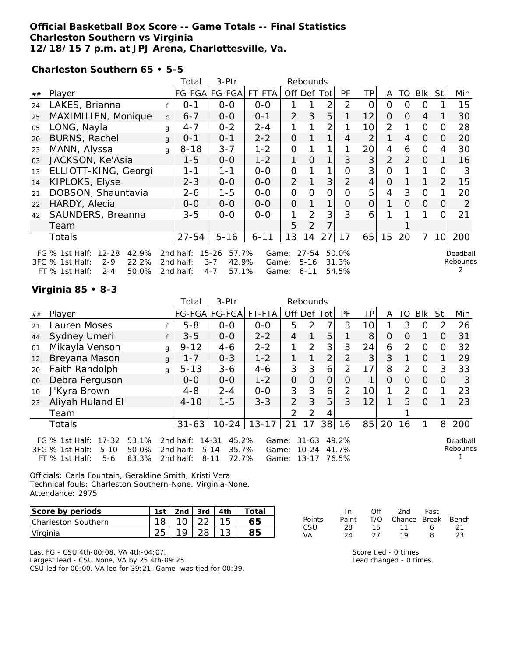## **Official Basketball Box Score -- Game Totals -- Final Statistics Charleston Southern vs Virginia 12/18/15 7 p.m. at JPJ Arena, Charlottesville, Va.**

**Charleston Southern 65 • 5-5**

|    | 3-Ptr<br>Total<br>Rebounds             |              |           |                    |          |                |                |                |               |                |                |          |                |                 |                |
|----|----------------------------------------|--------------|-----------|--------------------|----------|----------------|----------------|----------------|---------------|----------------|----------------|----------|----------------|-----------------|----------------|
| ## | Player                                 |              |           | FG-FGA FG-FGA      | FT-FTA   |                |                | Off Def Tot    | <b>PF</b>     | ТP             | A              | TO       | Blk            | Stll            | Min            |
| 24 | LAKES, Brianna                         |              | $0 - 1$   | $0 - 0$            | $0 - 0$  |                |                | 2              | 2             | $\Omega$       | $\Omega$       | O        | $\Omega$       |                 | 15             |
| 25 | MAXIMILIEN, Monique                    | $\mathsf{C}$ | $6 - 7$   | $0-0$              | $0 - 1$  | 2              | 3              | 5              |               | 12             | $\Omega$       | $\Omega$ | $\overline{4}$ |                 | 30             |
| 05 | LONG, Nayla                            | g            | $4 - 7$   | $0 - 2$            | $2 - 4$  | 1              |                | $\overline{2}$ |               | 10             | 2              |          | $\overline{O}$ | O               | 28             |
| 20 | <b>BURNS, Rachel</b>                   | $\mathbf{q}$ | $0 - 1$   | $0 - 1$            | $2 - 2$  | $\overline{O}$ |                | $\mathbf 1$    | 4             | $\overline{2}$ | 1              | 4        | $\overline{O}$ | 0               | 20             |
| 23 | MANN, Alyssa                           | g            | $8 - 18$  | $3 - 7$            | $1 - 2$  | 0              |                | 1              |               | 20             | $\overline{4}$ | 6        | $\Omega$       | 4               | 30             |
| 03 | JACKSON, Ke'Asia                       |              | $1 - 5$   | $0 - 0$            | $1 - 2$  | 1.             | $\Omega$       | 1 <sub>1</sub> | 3             | 3              | $\overline{2}$ | 2        | $\Omega$       |                 | 16             |
| 13 | ELLIOTT-KING, Georgi                   |              | 1-1       | 1-1                | $0 - 0$  | $\overline{O}$ |                |                | 0             | 3              | 0              |          |                |                 | 3              |
| 14 | KIPLOKS, Elyse                         |              | $2 - 3$   | $0-0$              | $0-0$    | $\overline{2}$ |                | 3              | $\mathcal{P}$ | $\overline{4}$ | $\overline{O}$ |          |                | 2               | 15             |
| 21 | DOBSON, Shauntavia                     |              | $2 - 6$   | $1 - 5$            | $0 - 0$  | 0              | Ω              | Ο              | Ω             | 5              | 4              | 3        | $\overline{O}$ |                 | 20             |
| 22 | HARDY, Alecia                          |              | $0 - 0$   | $0-0$              | $0-0$    | $\overline{O}$ |                |                | O             | 0              |                | $\Omega$ | $\overline{O}$ | 0               | $\overline{2}$ |
| 42 | SAUNDERS, Breanna                      |              | $3 - 5$   | $0 - 0$            | $0 - 0$  | 1              | 2              | 3              | 3             | 6              |                |          |                | O               | 21             |
|    | Team                                   |              |           |                    |          | 5              | $\overline{2}$ |                |               |                |                |          |                |                 |                |
|    | <b>Totals</b>                          |              | $27 - 54$ | $5 - 16$           | $6 - 11$ | 13             | 14             | 27             | 17            | 65             | 15             | 20       | 7              | 10 <sup>1</sup> | 200            |
|    | $12 - 28$<br>FG $%$ 1st Half:<br>42.9% |              | 2nd half: | $15 - 26$<br>57.7% | Game:    |                | $27 - 54$      |                | 50.0%         |                |                |          |                |                 | Deadball       |
|    | 22.2%<br>3FG % 1st Half:<br>$2 - 9$    |              | 2nd half: | $3 - 7$<br>42.9%   | Game:    |                | $5 - 16$       |                | 31.3%         |                |                |          |                |                 | Rebounds       |
|    | 50.0%<br>$FT$ % 1st Half:<br>$2 - 4$   |              | 2nd half: | $4 - 7$<br>57.1%   | Game:    |                | $6 - 11$       |                | 54.5%         |                |                |          |                |                 |                |

#### **Virginia 85 • 8-3**

|    |                                                                                             |                         | Total                                  | 3-Ptr                                                        |                         |                | Rebounds                        |                |                         |                |          |          |                |                |                      |
|----|---------------------------------------------------------------------------------------------|-------------------------|----------------------------------------|--------------------------------------------------------------|-------------------------|----------------|---------------------------------|----------------|-------------------------|----------------|----------|----------|----------------|----------------|----------------------|
| ## | Player                                                                                      |                         |                                        | FG-FGA FG-FGA                                                | FT-FTA                  | Off Def Tot    |                                 |                | PF                      | TPI            | A        | TO       | <b>Blk</b>     | Stll           | Min                  |
| 21 | Lauren Moses                                                                                |                         | $5 - 8$                                | $0-0$                                                        | $0-0$                   | 5              | $\mathcal{P}$                   | 7              | 3                       | 10l            |          | 3        | $\Omega$       | 2              | 26                   |
| 44 | Sydney Umeri                                                                                |                         | $3 - 5$                                | $0-0$                                                        | $2 - 2$                 | $\overline{4}$ |                                 | 5              |                         | 8              | $\Omega$ | 0        |                | $\Omega$       | 31                   |
| 01 | Mikayla Venson                                                                              | g                       | $9 - 12$                               | $4 - 6$                                                      | $2 - 2$                 |                | 2                               | 3              | 3                       | 24             | 6        | 2        | $\Omega$       | ΩI             | 32                   |
| 12 | Breyana Mason                                                                               | $\mathbf{q}$            | $1 - 7$                                | $0 - 3$                                                      | $1 - 2$                 |                |                                 | $\overline{2}$ | 2                       | 3 <sup>1</sup> | 3        |          | $\Omega$       |                | 29                   |
| 20 | Faith Randolph                                                                              | g                       | $5 - 13$                               | $3 - 6$                                                      | $4 - 6$                 | 3              | 3                               | 6              | $\mathcal{P}$           | 17             | 8        | 2        | $\Omega$       | $\overline{3}$ | 33                   |
| 00 | Debra Ferguson                                                                              |                         | $0-0$                                  | $0-0$                                                        | $1 - 2$                 | $\overline{O}$ | $\Omega$                        | $\overline{O}$ | $\Omega$                | 1.             | $\Omega$ | $\Omega$ | $\Omega$       | $\Omega$       | 3                    |
| 10 | J'Kyra Brown                                                                                |                         | $4 - 8$                                | $2 - 4$                                                      | $0 - 0$                 | 3              | 3                               | 6              | 2                       | 10             | 1        | 2        | $\Omega$       |                | 23                   |
| 23 | Aliyah Huland El                                                                            |                         | $4 - 10$                               | $1 - 5$                                                      | $3 - 3$                 | 2              | 3                               | 5              | 3                       | 12             |          | 5        | $\overline{0}$ |                | 23                   |
|    | Team                                                                                        |                         |                                        |                                                              |                         | $\mathcal{P}$  | $\mathcal{P}$                   | 4              |                         |                |          |          |                |                |                      |
|    | Totals                                                                                      |                         | $31 - 63$                              | $10 - 24$                                                    | $13 - 17$               | 21             | 17                              |                | 38 16                   | 85             | 20       | 16       |                |                | 8 200                |
|    | $17 - 32$<br>FG $%$ 1st Half:<br>3FG % 1st Half:<br>$5 - 10$<br>$FT$ % 1st Half:<br>$5 - 6$ | 53.1%<br>50.0%<br>83.3% | 2nd half:<br>2 $nd$ half:<br>2nd half: | 45.2%<br>$14 - 31$<br>$5 - 14$<br>35.7%<br>72.7%<br>$8 - 11$ | Game:<br>Game:<br>Game: |                | $31 - 63$<br>$10 - 24$<br>13-17 |                | 49.2%<br>41.7%<br>76.5% |                |          |          |                |                | Deadball<br>Rebounds |

Officials: Carla Fountain, Geraldine Smith, Kristi Vera Technical fouls: Charleston Southern-None. Virginia-None. Attendance: 2975

| Score by periods            | 1st | 2nd $\sqrt{3}$ 3rd $\sqrt{4}$ 4th | Total |
|-----------------------------|-----|-----------------------------------|-------|
| <b>ICharleston Southern</b> |     |                                   | 55.   |
| Virginia                    |     |                                   |       |

Last FG - CSU 4th-00:08, VA 4th-04:07. Largest lead - CSU None, VA by 25 4th-09:25.

CSU led for 00:00. VA led for 39:21. Game was tied for 00:39.

|               | In.   | Off  | 2nd -                  | Fast |     |
|---------------|-------|------|------------------------|------|-----|
| <b>Points</b> | Paint |      | T/O Chance Break Bench |      |     |
| CSU           | 28.   | 15.  | 11                     | 6    | -21 |
| VA            | -24   | - 27 | 19                     | 8    | 23  |

Score tied - 0 times. Lead changed - 0 times.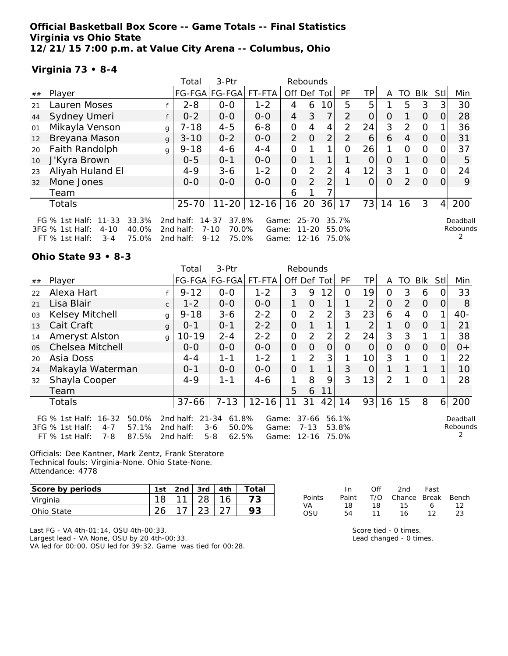**Official Basketball Box Score -- Game Totals -- Final Statistics Virginia vs Ohio State 12/21/15 7:00 p.m. at Value City Arena -- Columbus, Ohio**

## **Virginia 73 • 8-4**

|    |                                                                                                               |   | Total                               | 3-Ptr                                                        |                   |                   | Rebounds           |                |                |          |    |               |          |            |                      |
|----|---------------------------------------------------------------------------------------------------------------|---|-------------------------------------|--------------------------------------------------------------|-------------------|-------------------|--------------------|----------------|----------------|----------|----|---------------|----------|------------|----------------------|
| ## | Player                                                                                                        |   |                                     | FG-FGA FG-FGA  FT-FTA                                        |                   | Off Def Tot       |                    |                | PF             | ΤP       | A  | TO            | Blk      | <b>Stl</b> | Min                  |
| 21 | Lauren Moses                                                                                                  |   | $2 - 8$                             | $0 - 0$                                                      | $1 - 2$           | 4                 | 6                  | 10             | 5              | 5        |    | 5             | 3        | 3          | 30                   |
| 44 | Sydney Umeri                                                                                                  |   | $0 - 2$                             | $0-0$                                                        | $0-0$             | $\overline{4}$    | 3                  | $\overline{7}$ | $\mathcal{P}$  | $\Omega$ | 0  |               | $\Omega$ | $\Omega$   | 28                   |
| 01 | Mikayla Venson                                                                                                | g | $7 - 18$                            | $4 - 5$                                                      | $6 - 8$           | 0                 | 4                  | 4              | $\mathcal{P}$  | 24       | 3  | $\mathcal{D}$ | $\Omega$ |            | 36                   |
| 12 | Breyana Mason                                                                                                 | g | $3 - 10$                            | $0 - 2$                                                      | $0 - 0$           | $\overline{2}$    | $\Omega$           | $\overline{2}$ | $\mathcal{P}$  | 6        | 6  | 4             | $\Omega$ | $\Omega$   | 31                   |
| 20 | Faith Randolph                                                                                                | g | $9 - 18$                            | $4 - 6$                                                      | $4 - 4$           | 0                 |                    |                | $\Omega$       | 26       |    | $\Omega$      | $\Omega$ |            | 37                   |
| 10 | J'Kyra Brown                                                                                                  |   | $0 - 5$                             | $0 - 1$                                                      | $0-0$             | 0                 |                    | 1              |                | $\Omega$ | 0  |               | $\Omega$ | $\Omega$   | 5                    |
| 23 | Aliyah Huland El                                                                                              |   | $4 - 9$                             | $3-6$                                                        | $1 - 2$           | 0                 | 2                  | $\overline{2}$ | 4              | 12       | 3  |               | $\Omega$ | 0          | 24                   |
| 32 | Mone Jones                                                                                                    |   | $0 - 0$                             | $0-0$                                                        | $0 - 0$           | 0                 | 2                  | $\overline{2}$ |                | $\Omega$ | 0  | 2             | $\Omega$ |            | 9                    |
|    | Team                                                                                                          |   |                                     |                                                              |                   | 6                 |                    |                |                |          |    |               |          |            |                      |
|    | Totals                                                                                                        |   | $25 - 70$                           |                                                              | $11 - 20$   12-16 | 16                | 20                 | 36             | 17             | 73       | 14 | 16            | 3        | 4          | 200                  |
|    | 33.3%<br>FG % 1st Half: 11-33<br>40.0%<br>3FG % 1st Half:<br>$4 - 10$<br>75.0%<br>$FT$ % 1st Half:<br>$3 - 4$ |   | 2nd half:<br>2nd half:<br>2nd half: | 37.8%<br>$14 - 37$<br>70.0%<br>$7 - 10$<br>75.0%<br>$9 - 12$ | Game:<br>Game:    | Game: 12-16 75.0% | 25-70<br>$11 - 20$ |                | 35.7%<br>55.0% |          |    |               |          |            | Deadball<br>Rebounds |

#### **Ohio State 93 • 8-3**

|    |                                                                                                                 |              | Total                               | 3-Ptr                                                      |                         |                | Rebounds                           |                |                         |                 |                |                |          |            |                      |
|----|-----------------------------------------------------------------------------------------------------------------|--------------|-------------------------------------|------------------------------------------------------------|-------------------------|----------------|------------------------------------|----------------|-------------------------|-----------------|----------------|----------------|----------|------------|----------------------|
| ## | Player                                                                                                          |              |                                     | FG-FGA FG-FGA                                              | FT-FTA                  | Off Def Tot    |                                    |                | <b>PF</b>               | <b>TP</b>       | A              | TO             | Blk      | <b>Stl</b> | Min                  |
| 22 | Alexa Hart                                                                                                      |              | $9 - 12$                            | $O-O$                                                      | $1 - 2$                 | 3              | 9                                  | 12             | 0                       | 19              | 0              | 3              | 6        | 0          | 33                   |
| 21 | Lisa Blair                                                                                                      | $\mathsf{C}$ | $1 - 2$                             | $0-0$                                                      | $O-O$                   |                | $\overline{O}$                     | 1              |                         | 2               | $\overline{O}$ | $\overline{2}$ | $\Omega$ | 0          | 8                    |
| 03 | Kelsey Mitchell                                                                                                 | g            | $9 - 18$                            | $3 - 6$                                                    | $2 - 2$                 | $\Omega$       | 2                                  | $\overline{2}$ | 3                       | 23              | 6              | 4              | 0        |            | $40-$                |
| 13 | Cait Craft                                                                                                      | $\mathbf{q}$ | $0 - 1$                             | $0 - 1$                                                    | $2 - 2$                 | $\Omega$       | 1                                  | 1              | 1                       | 2               |                | $\Omega$       | $\Omega$ |            | 21                   |
| 14 | Ameryst Alston                                                                                                  | g            | $10 - 19$                           | $2 - 4$                                                    | $2 - 2$                 | $\mathcal{O}$  | 2                                  | $\overline{2}$ | $\overline{2}$          | 24              | 3              | 3              |          |            | 38                   |
| 05 | <b>Chelsea Mitchell</b>                                                                                         |              | $0 - 0$                             | $0 - 0$                                                    | $0 - 0$                 | $\overline{O}$ | $\Omega$                           | $\overline{O}$ | 0                       | 0               | 0              | $\Omega$       | $\Omega$ | O          | $0+$                 |
| 20 | Asia Doss                                                                                                       |              | $4 - 4$                             | $1 - 1$                                                    | $1 - 2$                 | 1              | 2                                  | 3              |                         | 10 <sup>1</sup> | 3              |                | $\circ$  |            | 22                   |
| 24 | Makayla Waterman                                                                                                |              | $0 - 1$                             | $0 - 0$                                                    | $0-0$                   | $\overline{O}$ |                                    | 1              | 3                       | O               |                |                |          |            | 10                   |
| 32 | Shayla Cooper                                                                                                   |              | $4 - 9$                             | $1 - 1$                                                    | $4-6$                   | 1              | 8                                  | 9              | 3                       | 13              | 2              |                | $\Omega$ |            | 28                   |
|    | Team                                                                                                            |              |                                     |                                                            |                         | 5              | 6                                  | 11             |                         |                 |                |                |          |            |                      |
|    | <b>Totals</b>                                                                                                   |              | $37 - 66$                           | $7 - 13$                                                   | $12 - 16$               | 11             | 31                                 | 42             | 14                      | 93              | 16             | 15             | 8        |            | 6 200                |
|    | FG % 1st Half:<br>$16 - 32$<br>50.0%<br>57.1%<br>3FG % 1st Half:<br>$4 - 7$<br>87.5%<br>$FT$ % 1st Half:<br>7-8 |              | 2nd half:<br>2nd half:<br>2nd half: | $21 - 34$<br>61.8%<br>50.0%<br>$3 - 6$<br>$5 - 8$<br>62.5% | Game:<br>Game:<br>Game: |                | $37 - 66$<br>$7 - 13$<br>$12 - 16$ |                | 56.1%<br>53.8%<br>75.0% |                 |                |                |          |            | Deadball<br>Rebounds |

Officials: Dee Kantner, Mark Zentz, Frank Steratore Technical fouls: Virginia-None. Ohio State-None. Attendance: 4778

| Score by periods   | 1st    | 2nd $\sqrt{3}$ 3rd $\sqrt{4}$ 4th |    | Total |
|--------------------|--------|-----------------------------------|----|-------|
| Virginia           |        | 28                                | 16 |       |
| <b>IOhio State</b> | $\sim$ |                                   |    |       |

|        | ln.   | Off | 2nd Fast               |    |      |
|--------|-------|-----|------------------------|----|------|
| Points | Paint |     | T/O Chance Break Bench |    |      |
| VA.    | 18.   | 18. | 15                     |    | 6 12 |
| - OSU  | 54.   | 11  | 16.                    | 12 | 23   |

Last FG - VA 4th-01:14, OSU 4th-00:33. Largest lead - VA None, OSU by 20 4th-00:33. VA led for 00:00. OSU led for 39:32. Game was tied for 00:28.

| Score tied - 0 times.   |  |
|-------------------------|--|
| Lead changed - 0 times. |  |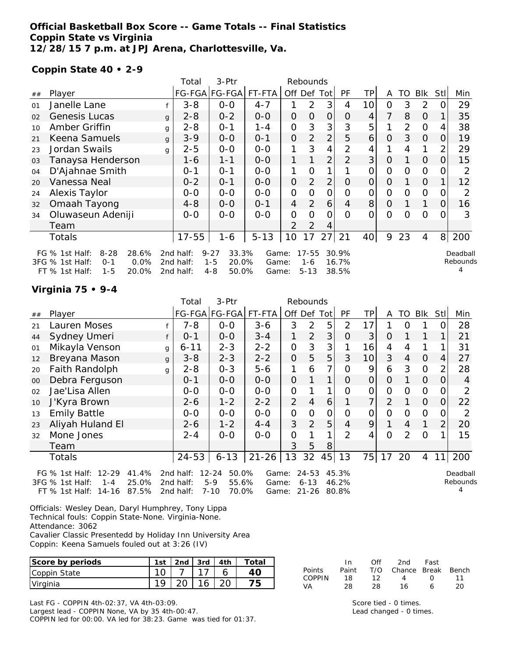## **Official Basketball Box Score -- Game Totals -- Final Statistics Coppin State vs Virginia 12/28/15 7 p.m. at JPJ Arena, Charlottesville, Va.**

### **Coppin State 40 • 2-9**

|    |                                                                                                                     |              | Total                               | 3-Ptr                                                     |                         |                | Rebounds                         |                |                         |                 |                |                |            |                |                      |
|----|---------------------------------------------------------------------------------------------------------------------|--------------|-------------------------------------|-----------------------------------------------------------|-------------------------|----------------|----------------------------------|----------------|-------------------------|-----------------|----------------|----------------|------------|----------------|----------------------|
| ## | Player                                                                                                              |              |                                     | FG-FGA FG-FGA                                             | FT-FTA                  |                |                                  | Off Def Tot    | <b>PF</b>               | ТP              | A              | TO             | <b>BIK</b> | <b>Stll</b>    | Min                  |
| 01 | Janelle Lane                                                                                                        |              | $3 - 8$                             | $0-0$                                                     | $4 - 7$                 |                | $\overline{2}$                   | 3              | 4                       | 10 <sup>1</sup> | $\overline{O}$ | 3              | 2          | 0              | 29                   |
| 02 | <b>Genesis Lucas</b>                                                                                                | $\mathbf{q}$ | $2 - 8$                             | $0 - 2$                                                   | $0 - 0$                 | $\mathcal{O}$  | $\overline{O}$                   | $\overline{O}$ | 0                       | 4               | 7              | 8              | $\Omega$   |                | 35                   |
| 10 | Amber Griffin                                                                                                       | g            | $2 - 8$                             | $0 - 1$                                                   | $1 - 4$                 | O              | 3                                | 3              | 3                       | 5               |                | $\overline{2}$ | $\Omega$   | 4              | 38                   |
| 21 | Keena Samuels                                                                                                       | g            | $3 - 9$                             | $0-0$                                                     | $0 - 1$                 | $\mathcal{O}$  | $\overline{2}$                   | $\overline{2}$ | 5                       | 6               | $\overline{O}$ | 3              | $\Omega$   | 0              | 19                   |
| 23 | Jordan Swails                                                                                                       | g            | $2 - 5$                             | $0-0$                                                     | $0-0$                   | 1              | 3                                | 4              | $\overline{2}$          | 4               |                | 4              | 1          | $\overline{2}$ | 29                   |
| 03 | Tanaysa Henderson                                                                                                   |              | 1-6                                 | $1 - 1$                                                   | $O-O$                   | 1              |                                  | $\overline{2}$ | $\overline{2}$          | 3               | $\overline{O}$ |                | $\Omega$   | 0              | 15                   |
| 04 | D'Ajahnae Smith                                                                                                     |              | $0 - 1$                             | $O - 1$                                                   | $O-O$                   | 1              | 0                                |                |                         | 0               | $\overline{O}$ | $\Omega$       | $\Omega$   | Ő              | 2                    |
| 20 | Vanessa Neal                                                                                                        |              | $0 - 2$                             | $0 - 1$                                                   | $0-0$                   | $\overline{O}$ | $\overline{2}$                   | $\overline{2}$ | $\Omega$                | $\overline{O}$  | $\Omega$       |                | $\Omega$   |                | 12                   |
| 24 | Alexis Taylor                                                                                                       |              | $0-0$                               | $0-0$                                                     | $0-0$                   | $\overline{O}$ | 0                                | $\overline{O}$ | O                       | 0               | 0              | O              | $\Omega$   | $\Omega$       | 2                    |
| 32 | Omaah Tayong                                                                                                        |              | $4 - 8$                             | $0-0$                                                     | $0 - 1$                 | 4              | 2                                | 6              | 4                       | 8               | $\overline{O}$ |                |            | 0              | 16                   |
| 34 | Oluwaseun Adeniji                                                                                                   |              | $0-0$                               | $0-0$                                                     | $0 - 0$                 | $\overline{O}$ | 0                                | 0              | $\Omega$                | 0               | O              | Ω              | 0          | 0              | 3                    |
|    | Team                                                                                                                |              |                                     |                                                           |                         | 2              | 2                                | 4              |                         |                 |                |                |            |                |                      |
|    | <b>Totals</b>                                                                                                       |              | $17 - 55$                           | $1 - 6$                                                   | $5 - 13$                | 10             | 17                               | 27             | 21                      | 40              | 9              | 23             | 4          |                | 8 200                |
|    | $8 - 28$<br>28.6%<br>FG $%$ 1st Half:<br>0.0%<br>3FG % 1st Half:<br>$0 - 1$<br>20.0%<br>$FT$ % 1st Half:<br>$1 - 5$ |              | 2nd half:<br>2nd half:<br>2nd half: | $9 - 27$<br>33.3%<br>$1 - 5$<br>20.0%<br>$4 - 8$<br>50.0% | Game:<br>Game:<br>Game: |                | $17 - 55$<br>$1 - 6$<br>$5 - 13$ |                | 30.9%<br>16.7%<br>38.5% |                 |                |                |            |                | Deadball<br>Rebounds |

#### **Virginia 75 • 9-4**

|    |                               |   | Total           | $3-Ptr$       |           |                | Rebounds       |              |                |          |                |                |                |                |                |
|----|-------------------------------|---|-----------------|---------------|-----------|----------------|----------------|--------------|----------------|----------|----------------|----------------|----------------|----------------|----------------|
| ## | Player                        |   |                 | FG-FGA FG-FGA | FT-FTA    |                | Off Def        | Tot          | <b>PF</b>      | TP       | A              | TO             | Blk            | <b>Stll</b>    | Min            |
| 21 | Lauren Moses                  |   | $7 - 8$         | $0-0$         | $3 - 6$   | 3              | $\overline{2}$ | 5            | 2              | 17       |                | O              |                |                | 28             |
| 44 | Sydney Umeri                  |   | $0 - 1$         | $0-0$         | $3 - 4$   |                | $\overline{2}$ | 3            | $\overline{O}$ | 3        | $\Omega$       |                |                |                | 21             |
| 01 | Mikayla Venson                | g | $6 - 11$        | $2 - 3$       | $2 - 2$   | $\overline{O}$ | 3              | 3            |                | 16       | 4              | $\overline{4}$ |                |                | 31             |
| 12 | Breyana Mason                 | g | $3 - 8$         | $2 - 3$       | $2 - 2$   | $\overline{O}$ | 5              | 5            | 3              | 10       | 3              | 4              | $\Omega$       | $\overline{4}$ | 27             |
| 20 | Faith Randolph                | g | $2 - 8$         | $0 - 3$       | $5 - 6$   | 1              | 6              | 7            | $\Omega$       | 9        | 6              | 3              | $\mathcal{O}$  | $\overline{2}$ | 28             |
| 00 | Debra Ferguson                |   | $0 - 1$         | $0-0$         | $0 - 0$   | $\Omega$       |                | 1            | $\Omega$       | 0        | $\Omega$       |                | $\overline{O}$ | $\Omega$       | $\overline{4}$ |
| 02 | Jae'Lisa Allen                |   | $0-0$           | $0-0$         | $0 - 0$   | 0              |                | 1            | $\Omega$       | 0        | $\Omega$       | $\Omega$       | $\Omega$       | $\Omega$       | 2              |
| 10 | J'Kyra Brown                  |   | $2 - 6$         | $1 - 2$       | $2 - 2$   | 2              | $\overline{4}$ | 6            |                | 7        | $\overline{2}$ |                | $\overline{O}$ | $\Omega$       | 22             |
| 13 | <b>Emily Battle</b>           |   | $0-0$           | $0-0$         | $0-0$     | O              | $\Omega$       | $\mathbf{O}$ | $\Omega$       | $\Omega$ | $\Omega$       | $\Omega$       | $\Omega$       | $\Omega$       | 2              |
| 23 | Aliyah Huland El              |   | $2 - 6$         | $1 - 2$       | $4 - 4$   | 3              | $\overline{2}$ | 5            | $\overline{4}$ | 9        |                | $\overline{4}$ |                | $\overline{2}$ | 20             |
| 32 | Mone Jones                    |   | $2 - 4$         | $0 - 0$       | $0-0$     | O              |                | 1            | $\mathcal{P}$  | 4        | $\Omega$       | 2              | $\Omega$       |                | 15             |
|    | Team                          |   |                 |               |           | 3              | 5              | 8            |                |          |                |                |                |                |                |
|    | <b>Totals</b>                 |   | $24 - 53$       | $6 - 13$      | $21 - 26$ | 13             | 32             | 45           | 13             | 75       | 17             | 20             | 4              | 11             | 200            |
|    | FG % 1st Half: 12-29<br>41.4% |   | 2nd half: 12-24 | 50.0%         |           | Game: 24-53    |                |              | 45.3%          |          |                |                |                |                | Deadball       |

3FG % 1st Half: 1-4 25.0% 2nd half: 5-9 55.6% Game: 6-13 46.2% FT % 1st Half: 14-16 87.5% 2nd half: 7-10 70.0% Game: 21-26 80.8% Rebounds 4

Officials: Wesley Dean, Daryl Humphrey, Tony Lippa Technical fouls: Coppin State-None. Virginia-None. Attendance: 3062 Cavalier Classic Presentedd by Holiday Inn University Area

Coppin: Keena Samuels fouled out at 3:26 (IV)

| Score by periods | 1st | $2nd$ .      | 3rd                           | 4th | 'otal |              |          | Ofi           | 2nd    | Fast         |       |
|------------------|-----|--------------|-------------------------------|-----|-------|--------------|----------|---------------|--------|--------------|-------|
| Coppin State     | 10  |              | $\overline{\phantom{0}}$      |     | 4С    | Points       | Paint    | T/O<br>$\sim$ | Chance | <b>Break</b> | Bench |
| Virginia         | 1 Q | $\cap$<br>∠⊾ | $\overline{\phantom{a}}$<br>ິ | ററ  | フト    | COPPIN<br>VA | 18<br>28 | 28            |        |              | 20    |

Last FG - COPPIN 4th-02:37, VA 4th-03:09. Largest lead - COPPIN None, VA by 35 4th-00:47. COPPIN led for 00:00. VA led for 38:23. Game was tied for 01:37.

Score tied - 0 times. Lead changed - 0 times.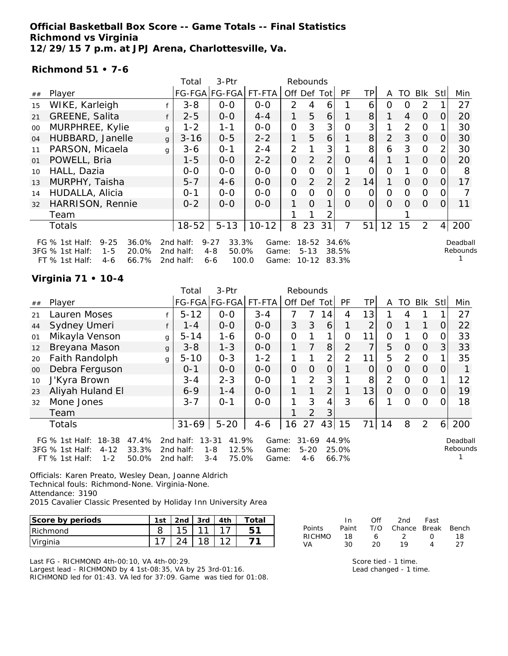## **Official Basketball Box Score -- Game Totals -- Final Statistics Richmond vs Virginia 12/29/15 7 p.m. at JPJ Arena, Charlottesville, Va.**

#### **Richmond 51 • 7-6**

|        |                                                                                                                    |              | Total                               | 3-Ptr                                                     |                         |                | Rebounds                           |                |                         |                |          |                |                |                |                      |
|--------|--------------------------------------------------------------------------------------------------------------------|--------------|-------------------------------------|-----------------------------------------------------------|-------------------------|----------------|------------------------------------|----------------|-------------------------|----------------|----------|----------------|----------------|----------------|----------------------|
| $\#\#$ | Player                                                                                                             |              |                                     | FG-FGA FG-FGA                                             | FT-FTA                  |                | Off Def                            | Totl           | PF                      | ΤP             | A        | TO             | Blk            | StII           | Min                  |
| 15     | WIKE, Karleigh                                                                                                     |              | $3 - 8$                             | $0 - 0$                                                   | $0 - 0$                 | 2              | 4                                  | 6              |                         | 6              | Ω        | O              | $\mathcal{P}$  |                | 27                   |
| 21     | GREENE, Salita                                                                                                     |              | $2 - 5$                             | $0-0$                                                     | $4 - 4$                 | 1.             | 5                                  | 6              |                         | 8              | 1.       | 4              | $\Omega$       | O              | 20                   |
| $00\,$ | MURPHREE, Kylie                                                                                                    | g            | $1 - 2$                             | $1 - 1$                                                   | $0 - 0$                 | O              | 3                                  | 3              | Ω                       | 3              |          | $\overline{2}$ | $\Omega$       |                | 30                   |
| 04     | HUBBARD, Janelle                                                                                                   | $\mathbf{q}$ | $3 - 16$                            | $0 - 5$                                                   | $2 - 2$                 | 1              | 5                                  | 6              |                         | 8 <sup>1</sup> | 2        | 3              | $\Omega$       | 0              | 30                   |
| 11     | PARSON, Micaela                                                                                                    | $\mathsf{q}$ | $3 - 6$                             | $O - 1$                                                   | $2 - 4$                 | 2              |                                    | 3              |                         | 8              | 6        | 3              | $\Omega$       | 2              | 30                   |
| 01     | POWELL, Bria                                                                                                       |              | $1 - 5$                             | $0-0$                                                     | $2 - 2$                 | $\overline{O}$ | 2                                  | $\overline{2}$ | $\Omega$                | 4              |          | $\mathbf{1}$   | $\Omega$       | 0              | 20                   |
| 10     | HALL, Dazia                                                                                                        |              | $0-0$                               | $O-O$                                                     | $O-O$                   | O              | O                                  | $\overline{O}$ |                         | 0              | 0        |                | $\mathcal{O}$  |                | 8                    |
| 13     | MURPHY, Taisha                                                                                                     |              | $5 - 7$                             | $4 - 6$                                                   | $0-0$                   | $\overline{O}$ | 2                                  | $\overline{2}$ | 2                       | 14             | 1        | $\Omega$       | $\Omega$       | $\Omega$       | 17                   |
| 14     | HUDALLA, Alicia                                                                                                    |              | $0 - 1$                             | $0 - 0$                                                   | $0-0$                   | $\Omega$       | O                                  | 0              | O                       | Ο              | $\Omega$ | 0              | 0              |                |                      |
| 32     | HARRISON, Rennie                                                                                                   |              | $0 - 2$                             | $0 - 0$                                                   | $0 - 0$                 | 1              | $\Omega$                           | 1              | $\Omega$                | 0              | $\Omega$ | $\Omega$       | $\Omega$       | 0              | 11                   |
|        | Team                                                                                                               |              |                                     |                                                           |                         |                |                                    | 2              |                         |                |          |                |                |                |                      |
|        | Totals                                                                                                             |              | $18 - 52$                           | $5 - 13$                                                  | $10 - 12$               | 8              | 23                                 | 31             | 7                       | 51             | 12       | 15             | $\overline{2}$ | $\overline{4}$ | 200                  |
|        | $9 - 25$<br>36.0%<br>FG $%$ 1st Half:<br>3FG % 1st Half:<br>20.0%<br>$1 - 5$<br>$FT$ % 1st Half:<br>66.7%<br>$4-6$ |              | 2nd half:<br>2nd half:<br>2nd half: | $9 - 27$<br>33.3%<br>$4 - 8$<br>50.0%<br>100.0<br>$6 - 6$ | Game:<br>Game:<br>Game: |                | $18 - 52$<br>$5 - 13$<br>$10 - 12$ |                | 34.6%<br>38.5%<br>83.3% |                |          |                |                |                | Deadball<br>Rebounds |

## **Virginia 71 • 10-4**

|    |                                                                                                                    |              | Total                               | 3-Ptr                                                  |                         | Rebounds       |                                  |                |                         |          |                |          |                |                |                      |
|----|--------------------------------------------------------------------------------------------------------------------|--------------|-------------------------------------|--------------------------------------------------------|-------------------------|----------------|----------------------------------|----------------|-------------------------|----------|----------------|----------|----------------|----------------|----------------------|
| ## | Player                                                                                                             |              |                                     | FG-FGA FG-FGA                                          | FT-FTA                  | Off Def        |                                  | Tot            | <b>PF</b>               | TP.      | A              | TO       | <b>Blk</b>     | Stll           | Min                  |
| 21 | Lauren Moses                                                                                                       |              | $5 - 12$                            | $0-0$                                                  | $3 - 4$                 | 7              |                                  | 14             | 4                       | 13       |                |          |                |                | 27                   |
| 44 | Sydney Umeri                                                                                                       |              | $1 - 4$                             | $0-0$                                                  | $0-0$                   | 3              | 3                                | 6              |                         | 2        | O              |          |                | O              | 22                   |
| 01 | Mikayla Venson                                                                                                     | g            | $5 - 14$                            | $1 - 6$                                                | $0-0$                   | $\mathcal{O}$  |                                  | 1              | 0                       | 11       | 0              |          | $\circ$        | 0              | 33                   |
| 12 | Breyana Mason                                                                                                      | $\mathbf{q}$ | $3 - 8$                             | $1 - 3$                                                | $0-0$                   | 1              | 7                                | 8              | 2                       | 7        | 5              | 0        | 0              | 3              | 33                   |
| 20 | Faith Randolph                                                                                                     | g            | $5 - 10$                            | $0 - 3$                                                | $1 - 2$                 |                |                                  | $\overline{2}$ | 2                       | 11       | 5              | 2        | $\Omega$       |                | 35                   |
| 00 | Debra Ferguson                                                                                                     |              | $0 - 1$                             | $0-0$                                                  | $0 - 0$                 | $\overline{O}$ | $\Omega$                         | $\overline{O}$ |                         | $\Omega$ | $\Omega$       | O        | $\Omega$       | $\overline{O}$ |                      |
| 10 | J'Kyra Brown                                                                                                       |              | $3 - 4$                             | $2 - 3$                                                | $O-O$                   | 1              | $\mathfrak{D}$                   | 3              |                         | 8        | $\overline{2}$ | 0        | $\Omega$       |                | 12                   |
| 23 | Aliyah Huland El                                                                                                   |              | $6 - 9$                             | $1 - 4$                                                | $0-0$                   | 1              |                                  | $\overline{2}$ |                         | 13       | $\Omega$       | 0        | $\overline{O}$ | 0              | 19                   |
| 32 | Mone Jones                                                                                                         |              | $3 - 7$                             | $0 - 1$                                                | $0-0$                   | 1              | 3                                | $\overline{4}$ | 3                       | 6        |                | $\Omega$ | $\circ$        | 0              | 18                   |
|    | Team                                                                                                               |              |                                     |                                                        |                         |                | $\overline{2}$                   | 3              |                         |          |                |          |                |                |                      |
|    | <b>Totals</b>                                                                                                      |              | $31 - 69$                           | $5 - 20$                                               | $4 - 6$                 | 16             | 27                               | 43             | 15                      | 71       | 14             | 8        | 2              | 61             | 200                  |
|    | FG $%$ 1st Half:<br>18-38<br>47.4%<br>$4 - 12$<br>33.3%<br>3FG % 1st Half:<br>50.0%<br>$1 - 2$<br>$FT$ % 1st Half: |              | 2nd half:<br>2nd half:<br>2nd half: | 41.9%<br>13-31<br>12.5%<br>$1 - 8$<br>75.0%<br>$3 - 4$ | Game:<br>Game:<br>Game: |                | $31 - 69$<br>$5 - 20$<br>$4 - 6$ |                | 44.9%<br>25.0%<br>66.7% |          |                |          |                |                | Deadball<br>Rebounds |

Officials: Karen Preato, Wesley Dean, Joanne Aldrich Technical fouls: Richmond-None. Virginia-None. Attendance: 3190 2015 Cavalier Classic Presented by Holiday Inn University Area

| Score by periods | 1st | 2nd L | ,3rd ' | 4 <sup>th</sup> | Total |
|------------------|-----|-------|--------|-----------------|-------|
| <b>IRichmond</b> |     | 15    |        |                 |       |
| Virginia         |     |       |        |                 |       |

Last FG - RICHMOND 4th-00:10, VA 4th-00:29. Largest lead - RICHMOND by 4 1st-08:35, VA by 25 3rd-01:16. RICHMOND led for 01:43. VA led for 37:09. Game was tied for 01:08.

|               | In In | ∩ff | 2nd                          | Fast        |    |
|---------------|-------|-----|------------------------------|-------------|----|
| Points        |       |     | Paint T/O Chance Break Bench |             |    |
| <b>RICHMO</b> | 18.   | 6.  | $\mathcal{D}$                | $^{\prime}$ | 18 |
| VA.           | 30.   | 20  | 10                           | $\Lambda$   |    |

Score tied - 1 time. Lead changed - 1 time.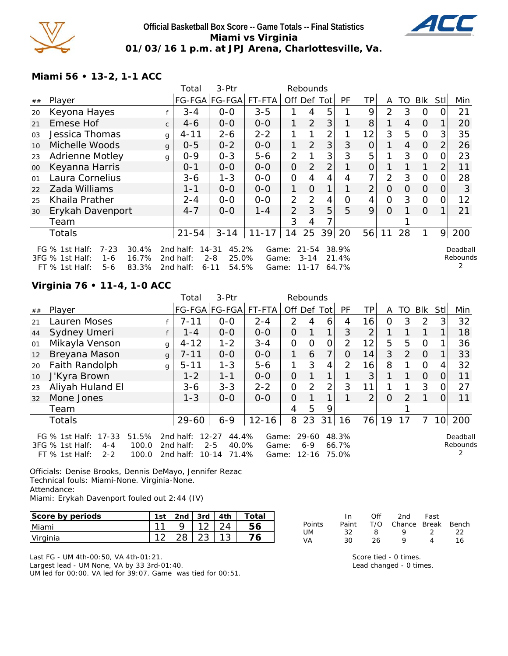

## **Official Basketball Box Score -- Game Totals -- Final Statistics Miami vs Virginia 01/03/16 1 p.m. at JPJ Arena, Charlottesville, Va.**



**Miami 56 • 13-2, 1-1 ACC**

| Player                              |                                                                                                                                                                                               |           |                                     |                                  |                         |                         | Rebounds       |                        |                         |                |                |              |                |                      |
|-------------------------------------|-----------------------------------------------------------------------------------------------------------------------------------------------------------------------------------------------|-----------|-------------------------------------|----------------------------------|-------------------------|-------------------------|----------------|------------------------|-------------------------|----------------|----------------|--------------|----------------|----------------------|
|                                     |                                                                                                                                                                                               |           | FG-FGA FG-FGA                       | FT-FTA                           | Off Def                 |                         | Totl           | <b>PF</b>              | ТP                      | A              | TO             | Blk          | Stll           | Min                  |
|                                     |                                                                                                                                                                                               | $3 - 4$   | $0-0$                               | $3 - 5$                          |                         | 4                       | 5              |                        | 9                       | 2              | 3              | 0            |                | 21                   |
| Emese Hof                           | $\mathsf{C}$                                                                                                                                                                                  | $4-6$     | $O-O$                               | $0 - 0$                          | 1                       | $\overline{2}$          | 3              |                        | 8                       |                | 4              | $\Omega$     |                | 20                   |
|                                     | g                                                                                                                                                                                             | $4 - 11$  | 2-6                                 | $2 - 2$                          |                         |                         | 2              |                        | 12                      | 3              | 5              | 0            | 3              | 35                   |
|                                     | $\mathbf{q}$                                                                                                                                                                                  | $0 - 5$   | $0 - 2$                             | $0-0$                            | 1                       | $\overline{2}$          | 3              | 3                      | $\overline{0}$          | 1.             | $\overline{4}$ | $\Omega$     | 2              | 26                   |
|                                     | g                                                                                                                                                                                             | $0 - 9$   | $0 - 3$                             | $5 - 6$                          | $\overline{2}$          |                         | 3              | 3                      | 5                       |                | 3              | 0            |                | 23                   |
|                                     |                                                                                                                                                                                               | $0 - 1$   | $0 - 0$                             | $0-0$                            | $\overline{O}$          | $\overline{2}$          | $\overline{2}$ |                        | $\overline{0}$          |                |                | $\mathbf{1}$ | $\overline{2}$ | 11                   |
| Laura Cornelius                     |                                                                                                                                                                                               | $3 - 6$   | $1 - 3$                             | $O-O$                            | $\overline{O}$          | 4                       | 4              | 4                      | 7                       | $\overline{2}$ | 3              | $\Omega$     |                | 28                   |
| Zada Williams                       |                                                                                                                                                                                               | $1 - 1$   | $0-0$                               | $0-0$                            | $\mathbf{1}$            | $\Omega$                | 1              |                        | $\overline{2}$          | $\overline{O}$ | 0              | $\Omega$     | 0              | 3                    |
| Khaila Prather                      |                                                                                                                                                                                               | $2 - 4$   | $0 - 0$                             | $0-0$                            | $\overline{2}$          | 2                       | 4              | 0                      | 4                       | $\overline{O}$ | 3              | $\Omega$     | O              | 12                   |
|                                     |                                                                                                                                                                                               | $4 - 7$   | $0 - 0$                             | $1 - 4$                          | 2                       | 3                       | 5              | 5                      | 9                       | $\overline{O}$ |                | $\Omega$     |                | 21                   |
| Team                                |                                                                                                                                                                                               |           |                                     |                                  | 3                       | 4                       |                |                        |                         |                |                |              |                |                      |
| <b>Totals</b>                       |                                                                                                                                                                                               | $21 - 54$ | $3 - 14$                            | $11 - 17$                        | 14                      | 25                      | 39             | 20                     |                         | 11             | 28             | 1.           | 9              | 200                  |
| 30.4%<br>$7 - 23$<br>16.7%<br>$1-6$ |                                                                                                                                                                                               |           |                                     |                                  |                         |                         |                |                        |                         |                |                |              |                | Deadball<br>Rebounds |
|                                     | Keyona Hayes<br>Jessica Thomas<br>Michelle Woods<br><b>Adrienne Motley</b><br>Keyanna Harris<br>Erykah Davenport<br>FG $%$ 1st Half:<br>3FG % 1st Half:<br>83.3%<br>$FT$ % 1st Half:<br>$5-6$ |           | 2nd half:<br>2nd half:<br>2nd half: | $14 - 31$<br>$2 - 8$<br>$6 - 11$ | 45.2%<br>25.0%<br>54.5% | Game:<br>Game:<br>Game: | $3 - 14$       | $21 - 54$<br>$11 - 17$ | 38.9%<br>21.4%<br>64.7% |                | 56             |              |                |                      |

# **Virginia 76 • 11-4, 1-0 ACC**

|                                                                                                                                                                                                                                                                                                                                         |                  |              | Total    | 3-Ptr         |           |                | Rebounds      |                |    |                |          |               |                |                |        |
|-----------------------------------------------------------------------------------------------------------------------------------------------------------------------------------------------------------------------------------------------------------------------------------------------------------------------------------------|------------------|--------------|----------|---------------|-----------|----------------|---------------|----------------|----|----------------|----------|---------------|----------------|----------------|--------|
| ##                                                                                                                                                                                                                                                                                                                                      | Player           |              |          | FG-FGA FG-FGA | FT-FTA    | Off Def Tot    |               |                | PF | TPI            | A        | TO            | Blk            | Stll           | Min    |
| 21                                                                                                                                                                                                                                                                                                                                      | Lauren Moses     |              | $7 - 11$ | $0-0$         | $2 - 4$   | $\mathcal{P}$  | 4             | 6              | 4  | 16             | 0        | 3             | $\mathcal{P}$  | 3 <sub>l</sub> | 32     |
| 44                                                                                                                                                                                                                                                                                                                                      | Sydney Umeri     |              | $1 - 4$  | $0-0$         | $0-0$     | 0              |               | 1              | 3  | $\overline{2}$ |          |               |                |                | 18     |
| 01                                                                                                                                                                                                                                                                                                                                      | Mikayla Venson   | g            | $4 - 12$ | $1 - 2$       | $3 - 4$   | $\mathbf{O}$   | $\Omega$      | $\overline{O}$ | 2  | 12             | 5        | 5             | $\Omega$       |                | 36     |
| 12                                                                                                                                                                                                                                                                                                                                      | Breyana Mason    | $\mathbf{q}$ | $7 - 11$ | $0-0$         | $0-0$     | 1              | 6             | 7              | 0  | 14             | 3        | 2             | $\overline{0}$ |                | 33     |
| 20                                                                                                                                                                                                                                                                                                                                      | Faith Randolph   | g            | $5 - 11$ | $1 - 3$       | $5 - 6$   | 1              | 3             | 4              | 2  | 16             | 8        |               | $\Omega$       | 4              | 32     |
| 10                                                                                                                                                                                                                                                                                                                                      | J'Kyra Brown     |              | $1 - 2$  | $1 - 1$       | $0-0$     | 0              |               | 1.             |    | 3              |          |               | $\overline{O}$ | $\Omega$       | 11     |
| 23                                                                                                                                                                                                                                                                                                                                      | Aliyah Huland El |              | $3 - 6$  | $3 - 3$       | $2 - 2$   | $\mathbf{O}$   | $\mathcal{P}$ | $\overline{2}$ | 3  | 11             |          |               | 3              | O.             | 27     |
| 32                                                                                                                                                                                                                                                                                                                                      | Mone Jones       |              | $1 - 3$  | $0 - 0$       | $0 - 0$   | $\overline{O}$ |               |                |    | $\overline{2}$ | $\Omega$ | $\mathcal{P}$ |                | $\Omega$       | 11     |
|                                                                                                                                                                                                                                                                                                                                         | Team             |              |          |               |           | 4              | 5             | 9              |    |                |          |               |                |                |        |
|                                                                                                                                                                                                                                                                                                                                         | <b>Totals</b>    |              | 29-60    | $6 - 9$       | $12 - 16$ | 8              | 23            | 31             | 16 |                | 76   19  | 17            |                |                | 10 200 |
| FG % 1st Half: 17-33<br>51.5%<br>2nd half:<br>$12 - 27$<br>44.4%<br>29-60<br>48.3%<br>Game:<br>Deadball<br>Rebounds<br>3FG % 1st Half:<br>100.0<br>$2 - 5$<br>40.0%<br>2nd half:<br>$6 - 9$<br>66.7%<br>$4 - 4$<br>Game:<br>2<br>71.4%<br>$FT$ % 1st Half:<br>$2 - 2$<br>100.0<br>2nd half:<br>$10 - 14$<br>$12 - 16$<br>75.0%<br>Game: |                  |              |          |               |           |                |               |                |    |                |          |               |                |                |        |

Officials: Denise Brooks, Dennis DeMayo, Jennifer Rezac Technical fouls: Miami-None. Virginia-None. Attendance: Miami: Erykah Davenport fouled out 2:44 (IV)

| Score by periods | 1st | 2nd | $3rd$ | , 4th | Total |
|------------------|-----|-----|-------|-------|-------|
| Miami            | 11  |     |       |       |       |
| Virginia         |     |     |       |       |       |

Last FG - UM 4th-00:50, VA 4th-01:21. Largest lead - UM None, VA by 33 3rd-01:40. UM led for 00:00. VA led for 39:07. Game was tied for 00:51.

|        | In.   | ∩ff | 2nd                    | Fast          |    |
|--------|-------|-----|------------------------|---------------|----|
| Points | Paint |     | T/O Chance Break Bench |               |    |
| UM.    | 32.   | -8  | $\mathbf{Q}$           | $\mathcal{L}$ | つつ |
| VA     | ה ?   | 26. | Q                      |               | 16 |

Score tied - 0 times. Lead changed - 0 times.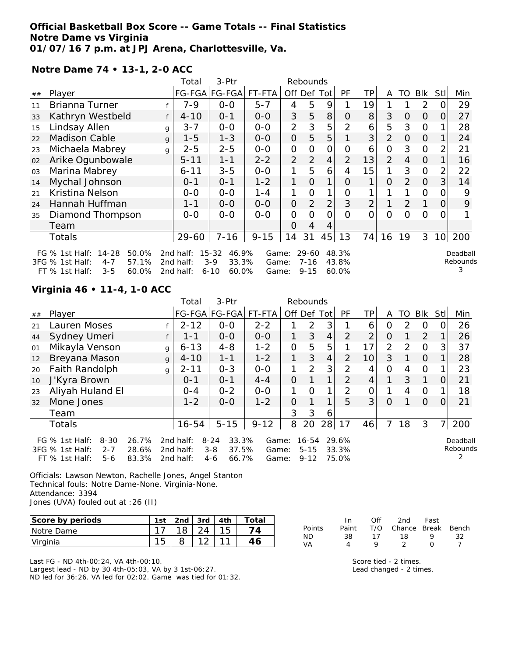### **Official Basketball Box Score -- Game Totals -- Final Statistics Notre Dame vs Virginia 01/07/16 7 p.m. at JPJ Arena, Charlottesville, Va.**

**Notre Dame 74 • 13-1, 2-0 ACC**

|                                                                                                                                                                                                                                                                                                                       |                      |              | Total     | 3-Ptr         |          |                | Rebounds       |                |                |                      |                |                |                |                 |     |
|-----------------------------------------------------------------------------------------------------------------------------------------------------------------------------------------------------------------------------------------------------------------------------------------------------------------------|----------------------|--------------|-----------|---------------|----------|----------------|----------------|----------------|----------------|----------------------|----------------|----------------|----------------|-----------------|-----|
| ##                                                                                                                                                                                                                                                                                                                    | Player               |              |           | FG-FGA FG-FGA | FT-FTA   |                | Off Def Tot    |                | <b>PF</b>      | TP                   | A              | TO             | <b>BIK</b>     | Stll            | Min |
| 11                                                                                                                                                                                                                                                                                                                    | Brianna Turner       |              | 7-9       | $0-0$         | $5 - 7$  | 4              | 5              | 9              |                | 19                   |                |                | 2              | O               | 29  |
| 33                                                                                                                                                                                                                                                                                                                    | Kathryn Westbeld     | f            | $4 - 10$  | $0 - 1$       | $0-0$    | 3              | 5              | 8              | $\Omega$       | 8                    | 3              | 0              | $\overline{O}$ | 0               | 27  |
| 15                                                                                                                                                                                                                                                                                                                    | Lindsay Allen        | g            | $3 - 7$   | $0-0$         | $0-0$    | $\overline{2}$ | 3              | 5              | $\overline{2}$ | 6                    | 5              | 3              | $\Omega$       |                 | 28  |
| 22                                                                                                                                                                                                                                                                                                                    | <b>Madison Cable</b> | $\mathbf{q}$ | $1 - 5$   | $1 - 3$       | $0-0$    | $\overline{O}$ | 5              | 5              |                | 3                    | $\overline{2}$ | $\overline{O}$ | $\Omega$       |                 | 24  |
| 23                                                                                                                                                                                                                                                                                                                    | Michaela Mabrey      | g            | $2 - 5$   | $2 - 5$       | $0-0$    | $\mathbf{O}$   | $\Omega$       | $\Omega$       | $\Omega$       | 6                    | 0              | 3              | $\overline{0}$ | 2               | 21  |
| 02                                                                                                                                                                                                                                                                                                                    | Arike Ogunbowale     |              | $5 - 11$  | $1 - 1$       | $2 - 2$  | $\overline{2}$ | 2              | $\overline{4}$ | $\overline{2}$ | 13                   | $\overline{2}$ | $\overline{4}$ | $\Omega$       |                 | 16  |
| 03                                                                                                                                                                                                                                                                                                                    | Marina Mabrey        |              | $6 - 11$  | $3 - 5$       | $0-0$    | 1              | 5              | 6              | 4              | 15                   |                | 3              | $\Omega$       | $\overline{2}$  | 22  |
| 14                                                                                                                                                                                                                                                                                                                    | Mychal Johnson       |              | $0 - 1$   | $0 - 1$       | $1 - 2$  | 1              | $\Omega$       | 1              | 0              | 1                    | $\Omega$       | 2              | $\Omega$       | 3               | 14  |
| 21                                                                                                                                                                                                                                                                                                                    | Kristina Nelson      |              | $0-0$     | $0-0$         | $1 - 4$  | 1              | O              | 1              | 0              |                      |                |                | $\Omega$       | 0               | 9   |
| 24                                                                                                                                                                                                                                                                                                                    | Hannah Huffman       |              | $1 - 1$   | $0-0$         | $0-0$    | $\mathcal{O}$  | $\overline{2}$ | 2              | 3              | $\overline{2}$       |                | 2              |                | 0               | 9   |
| 35                                                                                                                                                                                                                                                                                                                    | Diamond Thompson     |              | $0-0$     | $0 - 0$       | $0-0$    | $\mathbf{O}$   | 0              | $\overline{O}$ | $\Omega$       | 0                    | $\overline{O}$ | Ω              | $\Omega$       | $\Omega$        |     |
|                                                                                                                                                                                                                                                                                                                       | Team                 |              |           |               |          | 0              | 4              | 4              |                |                      |                |                |                |                 |     |
|                                                                                                                                                                                                                                                                                                                       | Totals               |              | $29 - 60$ | $7 - 16$      | $9 - 15$ | 14             | 31             | 45             | 13             | 74                   | 16             | 19             | 3              | 10 <sup>1</sup> | 200 |
| $14 - 28$<br>50.0%<br>$15 - 32$<br>FG $%$ 1st Half:<br>2nd half:<br>46.9%<br>29-60<br>48.3%<br>Game:<br>57.1%<br>$3-9$<br>33.3%<br>$7 - 16$<br>3FG % 1st Half:<br>$4 - 7$<br>2nd half:<br>43.8%<br>Game:<br>3<br>$3 - 5$<br>60.0%<br>$6 - 10$<br>60.0%<br>60.0%<br>$FT$ % 1st Half:<br>2nd half:<br>$9 - 15$<br>Game: |                      |              |           |               |          |                |                |                |                | Deadball<br>Rebounds |                |                |                |                 |     |

## **Virginia 46 • 11-4, 1-0 ACC**

|    |                                                                                       |                         | Total                               | 3-Ptr                                                     |                         |                | Rebounds                          |                |                         |                 |                |               |                |          |                           |
|----|---------------------------------------------------------------------------------------|-------------------------|-------------------------------------|-----------------------------------------------------------|-------------------------|----------------|-----------------------------------|----------------|-------------------------|-----------------|----------------|---------------|----------------|----------|---------------------------|
| ## | Player                                                                                |                         |                                     | FG-FGA FG-FGA                                             | FT-FTA                  |                | Off Def Tot                       |                | PF                      | <b>TP</b>       | A              | TO I          | Blk            | StII     | Min                       |
| 21 | Lauren Moses                                                                          |                         | $2 - 12$                            | $0 - 0$                                                   | $2 - 2$                 |                | 2                                 | 3              |                         | 6               | 0              | $\mathcal{P}$ | $\Omega$       | 0        | 26                        |
| 44 | Sydney Umeri                                                                          |                         | $1 - 1$                             | $0-0$                                                     | $0-0$                   |                | 3                                 | 4              | $\overline{2}$          | $\overline{2}$  | $\overline{O}$ |               | $\overline{2}$ |          | 26                        |
| 01 | Mikayla Venson                                                                        | g                       | $6 - 13$                            | $4 - 8$                                                   | $1 - 2$                 | $\overline{O}$ | 5                                 | 5              |                         | 17              | $\overline{2}$ | $\mathcal{P}$ | $\Omega$       | 3        | 37                        |
| 12 | Breyana Mason                                                                         | $\mathbf{q}$            | $4 - 10$                            | $1 - 1$                                                   | $1 - 2$                 | 1              | 3                                 | $\overline{4}$ | 2                       | 10 <sup>1</sup> | 3              |               | 0              |          | 28                        |
| 20 | Faith Randolph                                                                        | g                       | $2 - 11$                            | $0 - 3$                                                   | $O-O$                   | 1              | $\mathcal{P}$                     | 3              | $\overline{2}$          | 4               | $\Omega$       | 4             | $\Omega$       |          | 23                        |
| 10 | J'Kyra Brown                                                                          |                         | $O - 1$                             | $O - 1$                                                   | $4 - 4$                 | 0              |                                   | 1              | 2                       | 4               | 1              | 3             | 1              | O        | 21                        |
| 23 | Aliyah Huland El                                                                      |                         | $O - 4$                             | $0 - 2$                                                   | $0 - 0$                 | 1              | $\Omega$                          | $\mathbf 1$    | $\mathcal{P}$           | 0               | 1              | 4             | 0              |          | 18                        |
| 32 | Mone Jones                                                                            |                         | $1 - 2$                             | $0 - 0$                                                   | $1 - 2$                 | $\Omega$       |                                   | $\mathbf 1$    | 5                       | 3 <sup>1</sup>  | $\Omega$       |               | $\Omega$       | $\Omega$ | 21                        |
|    | Team                                                                                  |                         |                                     |                                                           |                         | 3              | 3                                 | 6              |                         |                 |                |               |                |          |                           |
|    | <b>Totals</b>                                                                         |                         | $16 - 54$                           | $5 - 15$                                                  | $9 - 12$                | 8              | 20                                | 28             | 17                      | 46              | 7              | 18            | 3              | 71       | 200                       |
|    | FG $%$ 1st Half:<br>$8 - 30$<br>3FG % 1st Half:<br>$2 - 7$<br>FT % 1st Half:<br>$5-6$ | 26.7%<br>28.6%<br>83.3% | 2nd half:<br>2nd half:<br>2nd half: | 33.3%<br>$8 - 24$<br>$3 - 8$<br>37.5%<br>$4 - 6$<br>66.7% | Game:<br>Game:<br>Game: |                | $16 - 54$<br>$5 - 15$<br>$9 - 12$ |                | 29.6%<br>33.3%<br>75.0% |                 |                |               |                |          | Deadball<br>Rebounds<br>2 |

Officials: Lawson Newton, Rachelle Jones, Angel Stanton Technical fouls: Notre Dame-None. Virginia-None. Attendance: 3394 Jones (UVA) fouled out at :26 (II)

| Score by periods | 1st | 2nd | 3rd    | 4th | Total |
|------------------|-----|-----|--------|-----|-------|
| INotre Dame      |     | 18  |        |     |       |
| Virginia         |     |     | $\sim$ |     |       |

Last FG - ND 4th-00:24, VA 4th-00:10. Largest lead - ND by 30 4th-05:03, VA by 3 1st-06:27. ND led for 36:26. VA led for 02:02. Game was tied for 01:32.

|               | In In | Off | 2nd Fast                     |   |    |
|---------------|-------|-----|------------------------------|---|----|
| <b>Points</b> |       |     | Paint T/O Chance Break Bench |   |    |
| ND.           | 38.   | 17  | 18                           | o | 32 |
| VA            |       |     |                              |   |    |

Score tied - 2 times. Lead changed - 2 times.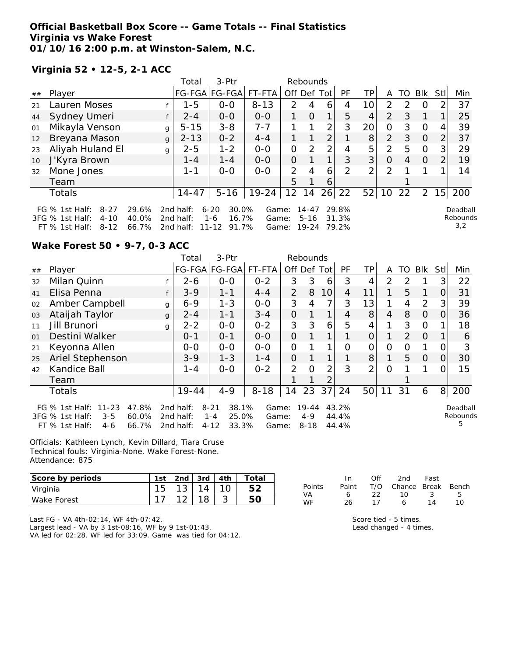## **Official Basketball Box Score -- Game Totals -- Final Statistics Virginia vs Wake Forest 01/10/16 2:00 p.m. at Winston-Salem, N.C.**

**Virginia 52 • 12-5, 2-1 ACC**

|    |                                                                             |              | Total                  | $3-Ptr$                           |                      |                   | Rebounds              |    |                |                 |                |    |          |                 |                      |
|----|-----------------------------------------------------------------------------|--------------|------------------------|-----------------------------------|----------------------|-------------------|-----------------------|----|----------------|-----------------|----------------|----|----------|-----------------|----------------------|
| ## | Player                                                                      |              |                        |                                   | FG-FGA FG-FGA FT-FTA | Off Def Tot       |                       |    | <b>PF</b>      | TР              | A              | TO | Blk      | <b>Stll</b>     | Min                  |
| 21 | Lauren Moses                                                                |              | $1 - 5$                | $0-0$                             | $8 - 13$             | $\mathcal{P}$     | 4                     | 6  | 4              | 10 <sub>1</sub> | $\mathcal{P}$  |    | $\Omega$ |                 | 37                   |
| 44 | Sydney Umeri                                                                |              | $2 - 4$                | $0-0$                             | $0 - 0$              |                   | $\Omega$              | 1  | 5              | 4               | 2              | 3  |          | 1               | 25                   |
| 01 | Mikayla Venson                                                              | g            | $5 - 15$               | $3 - 8$                           | $7 - 7$              |                   |                       | 2  | 3              | 20              | $\Omega$       | 3  | $\Omega$ | 4               | 39                   |
| 12 | Breyana Mason                                                               | $\mathbf{q}$ | $2 - 13$               | $0 - 2$                           | $4 - 4$              |                   |                       | 2  |                | 8               | $\overline{2}$ | 3  | $\Omega$ | 2               | 37                   |
| 23 | Aliyah Huland El                                                            | g            | $2 - 5$                | $1 - 2$                           | $O-O$                | 0                 | $\mathcal{P}$         | 2  | 4              | 5               | 2              | 5  | $\Omega$ | 3 <sub>l</sub>  | 29                   |
| 10 | J'Kyra Brown                                                                |              | $1 - 4$                | $1 - 4$                           | $0 - 0$              | $\Omega$          |                       |    | 3              | 3 <sup>1</sup>  | $\Omega$       | 4  | $\Omega$ | 2               | 19                   |
| 32 | Mone Jones                                                                  |              | $1 - 1$                | $0 - 0$                           | $0 - 0$              | $\mathcal{P}$     | 4                     | 6  | $\mathcal{P}$  | $\overline{2}$  | 2              |    |          |                 | 14                   |
|    | Team                                                                        |              |                        |                                   |                      | 5                 |                       | 6  |                |                 |                |    |          |                 |                      |
|    | Totals                                                                      |              | $14 - 47$              | $5 - 16$                          | $19 - 24$            | $12 \overline{ }$ | 14                    | 26 | 22             | 52              | 10             | 22 | 2        | 15 <sub>l</sub> | 200                  |
|    | FG % 1st Half:<br>29.6%<br>$8 - 27$<br>3FG % 1st Half:<br>40.0%<br>$4 - 10$ |              | 2nd half:<br>2nd half: | $6 - 20$<br>30.0%<br>16.7%<br>1-6 | Game:                |                   | $14 - 47$<br>$5 - 16$ |    | 29.8%<br>31.3% |                 |                |    |          |                 | Deadball<br>Rebounds |
|    | 66.7%<br>$8 - 12$<br>$FT$ % 1st Half:                                       |              | 2nd half:              | 91.7%<br>11-12                    | Game:<br>Game:       |                   | 19-24                 |    | 79.2%          |                 |                |    |          |                 | 3,2                  |

### **Wake Forest 50 • 9-7, 0-3 ACC**

|    |                                                                                                                   |   | Total                               | 3-Ptr                                                      |                         |                | Rebounds                     |                 |                         |                 |                |                |          |                |                           |
|----|-------------------------------------------------------------------------------------------------------------------|---|-------------------------------------|------------------------------------------------------------|-------------------------|----------------|------------------------------|-----------------|-------------------------|-----------------|----------------|----------------|----------|----------------|---------------------------|
| ## | Player                                                                                                            |   |                                     | FG-FGA FG-FGA                                              | FT-FTA                  |                |                              | Off Def Tot     | <b>PF</b>               | TP              | A              | TO             | Blk      | Stll           | Min                       |
| 32 | Milan Quinn                                                                                                       |   | $2 - 6$                             | $O-O$                                                      | $0 - 2$                 | 3              | 3                            | 6               | 3                       | 4               | 2              | 2              |          | 31             | 22                        |
| 41 | Elisa Penna                                                                                                       |   | $3 - 9$                             | $1 - 1$                                                    | $4 - 4$                 | $\overline{2}$ | 8                            | 10 <sup>1</sup> | 4                       | 11              | 1.             | 5              | 1        | $\overline{O}$ | 31                        |
| 02 | Amber Campbell                                                                                                    | g | $6 - 9$                             | $1 - 3$                                                    | $O-O$                   | 3              | 4                            | 7               | 3                       | 13              | 1              | 4              | 2        | 3              | 39                        |
| 03 | Ataijah Taylor                                                                                                    | g | $2 - 4$                             | $1 - 1$                                                    | $3 - 4$                 | $\overline{O}$ |                              | 1               | 4                       | 8               | $\overline{4}$ | 8              | 0        | $\Omega$       | 36                        |
| 11 | Jill Brunori                                                                                                      | g | $2 - 2$                             | $0 - 0$                                                    | $0 - 2$                 | 3              | 3                            | 6               | 5                       | 4               |                | 3              | $\Omega$ |                | 18                        |
| 01 | Destini Walker                                                                                                    |   | $0 - 1$                             | $0 - 1$                                                    | $0 - 0$                 | $\Omega$       |                              | 1               |                         | 0               |                | $\overline{2}$ | $\Omega$ |                | 6                         |
| 21 | Keyonna Allen                                                                                                     |   | $0-0$                               | $0-0$                                                      | $0-0$                   | $\mathcal{O}$  |                              |                 | Ω                       | Ο               | O              | O              |          | 0              |                           |
| 25 | Ariel Stephenson                                                                                                  |   | $3 - 9$                             | $1 - 3$                                                    | $1 - 4$                 | $\overline{O}$ |                              |                 |                         | 8               |                | 5              | $\Omega$ | $\Omega$       | 30                        |
| 42 | Kandice Ball                                                                                                      |   | $1 - 4$                             | $0 - 0$                                                    | $0 - 2$                 | 2              | $\Omega$                     | 2               | 3                       | $\overline{2}$  | $\Omega$       |                |          | O              | 15                        |
|    | Team                                                                                                              |   |                                     |                                                            |                         |                |                              | 2               |                         |                 |                |                |          |                |                           |
|    | <b>Totals</b>                                                                                                     |   | $19 - 44$                           | $4 - 9$                                                    | $8 - 18$                | 14             | 23                           | 37              | 24                      | 50 <sup>1</sup> | 11             | 31             | 6        | 8 <sup>1</sup> | 200                       |
|    | FG $%$ 1st Half:<br>$11 - 23$<br>47.8%<br>60.0%<br>3FG % 1st Half:<br>$3 - 5$<br>66.7%<br>$FT$ % 1st Half:<br>4-6 |   | 2nd half:<br>2nd half:<br>2nd half: | 38.1%<br>$8 - 21$<br>25.0%<br>$1 - 4$<br>$4 - 12$<br>33.3% | Game:<br>Game:<br>Game: |                | 19-44<br>$4 - 9$<br>$8 - 18$ |                 | 43.2%<br>44.4%<br>44.4% |                 |                |                |          |                | Deadball<br>Rebounds<br>5 |

Officials: Kathleen Lynch, Kevin Dillard, Tiara Cruse Technical fouls: Virginia-None. Wake Forest-None. Attendance: 875

| Score by periods | 1 <sub>ct</sub> | 2nd    | 3rd | Ath | $\tau$ otai |
|------------------|-----------------|--------|-----|-----|-------------|
| Virginia         | 15              | $\sim$ |     |     |             |
| Wake Forest      | ◄               |        |     |     |             |

Last FG - VA 4th-02:14, WF 4th-07:42. Largest lead - VA by 3 1st-08:16, WF by 9 1st-01:43. VA led for 02:28. WF led for 33:09. Game was tied for 04:12.

|               | In.   | ∩ff | 2nd                    | Fast         |    |
|---------------|-------|-----|------------------------|--------------|----|
| <b>Points</b> | Paint |     | T/O Chance Break Bench |              |    |
| VA            | 6     | フフー | 1 O                    | $\mathbf{3}$ | 5  |
| <b>WF</b>     | 26    | 17  | 6                      | 14           | 10 |

Score tied - 5 times. Lead changed - 4 times.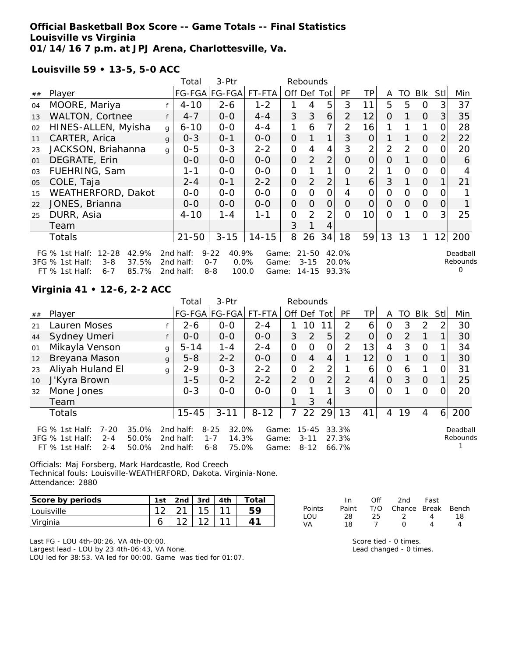## **Official Basketball Box Score -- Game Totals -- Final Statistics Louisville vs Virginia 01/14/16 7 p.m. at JPJ Arena, Charlottesville, Va.**

**Louisville 59 • 13-5, 5-0 ACC**

|    |                                                                               |              | Total                  | 3-Ptr                                |                |                | Rebounds              |                |                |                 |                |          |                |                |                           |
|----|-------------------------------------------------------------------------------|--------------|------------------------|--------------------------------------|----------------|----------------|-----------------------|----------------|----------------|-----------------|----------------|----------|----------------|----------------|---------------------------|
| ## | Player                                                                        |              |                        | FG-FGA FG-FGA                        | FT-FTA         |                |                       | Off Def Tot    | <b>PF</b>      | <b>TP</b>       | A              | TO       | Blk            | Stll           | Min                       |
| 04 | MOORE, Mariya                                                                 |              | $4 - 10$               | $2 - 6$                              | $1 - 2$        |                | 4                     | 5              | 3              | 11              | 5              | 5        | $\mathcal{O}$  | $\mathbf{3}$   | 37                        |
| 13 | WALTON, Cortnee                                                               |              | $4 - 7$                | $0-0$                                | $4 - 4$        | 3              | 3                     | 6              | $\overline{2}$ | 12              | $\Omega$       |          | $\overline{O}$ | 3 <sup>1</sup> | 35                        |
| 02 | HINES-ALLEN, Myisha                                                           | g            | $6 - 10$               | $0-0$                                | $4 - 4$        | 1              | 6                     | 7              | $\overline{2}$ | 16              |                |          | 1              | 0              | 28                        |
| 11 | CARTER, Arica                                                                 | $\mathbf{q}$ | $0 - 3$                | $0 - 1$                              | $O-O$          | $\overline{O}$ |                       | 1              | 3              | $\overline{O}$  |                |          | $\overline{O}$ | 2              | 22                        |
| 23 | JACKSON, Briahanna                                                            | g            | $0 - 5$                | $0 - 3$                              | $2 - 2$        | $\mathbf{O}$   | 4                     | 4              | 3              | $\overline{2}$  | $\overline{2}$ | 2        | $\Omega$       | 0              | 20                        |
| 01 | DEGRATE, Erin                                                                 |              | $0-0$                  | $O-O$                                | $O-O$          | $\overline{O}$ | $\overline{2}$        | $\overline{2}$ | 0              | 0               | O              |          | $\overline{O}$ | O              | 6                         |
| 03 | FUEHRING, Sam                                                                 |              | 1-1                    | $0-0$                                | $O-O$          | $\mathbf{O}$   |                       |                | O              | 2               |                | $\Omega$ | $\Omega$       | O              | 4                         |
| 05 | COLE, Taja                                                                    |              | $2 - 4$                | $0 - 1$                              | $2 - 2$        | $\mathcal{O}$  | 2                     | $\overline{2}$ |                | 6               | 3              |          | $\overline{O}$ |                | 21                        |
| 15 | WEATHERFORD, Dakot                                                            |              | $0-0$                  | $0-0$                                | $0-0$          | $\mathbf{O}$   | 0                     | $\mathcal{O}$  | 4              | $\mathcal{O}$   | 0              | 0        | $\Omega$       | 0              |                           |
| 22 | JONES, Brianna                                                                |              | $0-0$                  | $0-0$                                | $0-0$          | $\overline{O}$ | $\Omega$              | $\overline{O}$ | 0              | $\Omega$        | $\Omega$       | $\Omega$ | $\overline{O}$ | $\overline{O}$ |                           |
| 25 | DURR, Asia                                                                    |              | $4 - 10$               | $1 - 4$                              | $1 - 1$        | 0              | 2                     | $\overline{2}$ | O              | 10 <sup>1</sup> | $\Omega$       |          | $\Omega$       | 3 <sub>1</sub> | 25                        |
|    | Team                                                                          |              |                        |                                      |                | 3              |                       | 4              |                |                 |                |          |                |                |                           |
|    | Totals                                                                        |              | $21 - 50$              | $3 - 15$                             | $14 - 15$      | 8              | 26                    | 34             | 18             | 59              | 13             | 13       | 1              | 12             | 200                       |
|    | $12 - 28$<br>FG $%$ 1st Half:<br>42.9%<br>37.5%<br>3FG % 1st Half:<br>$3 - 8$ |              | 2nd half:<br>2nd half: | $9 - 22$<br>40.9%<br>$0 - 7$<br>0.0% | Game:<br>Game: |                | $21 - 50$<br>$3 - 15$ |                | 42.0%<br>20.0% |                 |                |          |                |                | Deadball<br>Rebounds<br>Ω |
|    | FT % 1st Half:<br>$6 - 7$<br>85.7%                                            |              | 2nd half:              | $8 - 8$<br>100.0                     | Game:          |                | 14-15                 |                | 93.3%          |                 |                |          |                |                |                           |

## **Virginia 41 • 12-6, 2-2 ACC**

|    |                                                                                         |                         | Total                               | 3-Ptr                                                     |                         |                | Rebounds                          |                |                         |                 |   |    |            |          |                      |
|----|-----------------------------------------------------------------------------------------|-------------------------|-------------------------------------|-----------------------------------------------------------|-------------------------|----------------|-----------------------------------|----------------|-------------------------|-----------------|---|----|------------|----------|----------------------|
| ## | Player                                                                                  |                         |                                     | FG-FGA FG-FGA                                             | FT-FTA                  |                | Off Def                           | <b>Totl</b>    | <b>PF</b>               | TР              | A | TO | <b>BIK</b> | Stll     | Min                  |
| 21 | Lauren Moses                                                                            |                         | $2 - 6$                             | $0 - 0$                                                   | $2 - 4$                 |                | 10                                |                | 2                       | 6               | Ο | 3  | 2          |          | 30                   |
| 44 | Sydney Umeri                                                                            |                         | $0 - 0$                             | $0 - 0$                                                   | $0 - 0$                 | 3              | $\overline{2}$                    | 5              | 2                       | 0               | 0 | 2  |            |          | 30                   |
| 01 | Mikayla Venson                                                                          | g                       | $5 - 14$                            | $1 - 4$                                                   | $2 - 4$                 | 0              | $\Omega$                          | 0              | 2                       | 13 <sub>1</sub> | 4 | 3  | $\Omega$   |          | 34                   |
| 12 | Breyana Mason                                                                           | g                       | $5 - 8$                             | $2 - 2$                                                   | $0-0$                   | $\overline{O}$ | $\overline{4}$                    | $\overline{4}$ |                         | 12              | O |    | $\Omega$   |          | 30                   |
| 23 | Aliyah Huland El                                                                        | g                       | $2 - 9$                             | $O - 3$                                                   | $2 - 2$                 | 0              | 2                                 | 2              |                         | 6               | O | 6  | 1          |          | 31                   |
| 10 | J'Kyra Brown                                                                            |                         | $1 - 5$                             | $0 - 2$                                                   | $2 - 2$                 | 2              | $\Omega$                          | $\overline{2}$ | 2                       | 4               | 0 | 3  | $\Omega$   |          | 25                   |
| 32 | Mone Jones                                                                              |                         | $0 - 3$                             | $0 - 0$                                                   | $0 - 0$                 | 0              |                                   | 1              | 3                       | O               | Ω |    | Ω          |          | 20                   |
|    | Team                                                                                    |                         |                                     |                                                           |                         |                | 3                                 | 4              |                         |                 |   |    |            |          |                      |
|    | <b>Totals</b>                                                                           |                         | $15 - 45$                           | $3 - 11$                                                  | $8 - 12$                | $\overline{7}$ | 22                                | <b>29</b>      | 13                      | 41              | 4 | 19 | 4          | $6 \mid$ | 200                  |
|    | FG % 1st Half:<br>$7 - 20$<br>3FG % 1st Half:<br>$2 - 4$<br>$FT$ % 1st Half:<br>$2 - 4$ | 35.0%<br>50.0%<br>50.0% | 2nd half:<br>2nd half:<br>2nd half: | 32.0%<br>$8 - 25$<br>$1 - 7$<br>14.3%<br>75.0%<br>$6 - 8$ | Game:<br>Game:<br>Game: |                | $15 - 45$<br>$3 - 11$<br>$8 - 12$ |                | 33.3%<br>27.3%<br>66.7% |                 |   |    |            |          | Deadball<br>Rebounds |

Officials: Maj Forsberg, Mark Hardcastle, Rod Creech Technical fouls: Louisville-WEATHERFORD, Dakota. Virginia-None. Attendance: 2880

| Score by periods | 1st | 2 <sub>nd</sub> | 2rd |        | Total |
|------------------|-----|-----------------|-----|--------|-------|
| Louisville       |     |                 |     | $\sim$ |       |
| Virginia         |     |                 |     |        |       |

|        | In.   | Off | 2nd                    | Fast |     |
|--------|-------|-----|------------------------|------|-----|
| Points | Paint |     | T/O Chance Break Bench |      |     |
| TOU    | -28.  | 25. | - 2                    | Δ    | 18. |
| VA     | 18    |     | O                      |      |     |

Last FG - LOU 4th-00:26, VA 4th-00:00.

Largest lead - LOU by 23 4th-06:43, VA None.

LOU led for 38:53. VA led for 00:00. Game was tied for 01:07.

Score tied - 0 times. Lead changed - 0 times.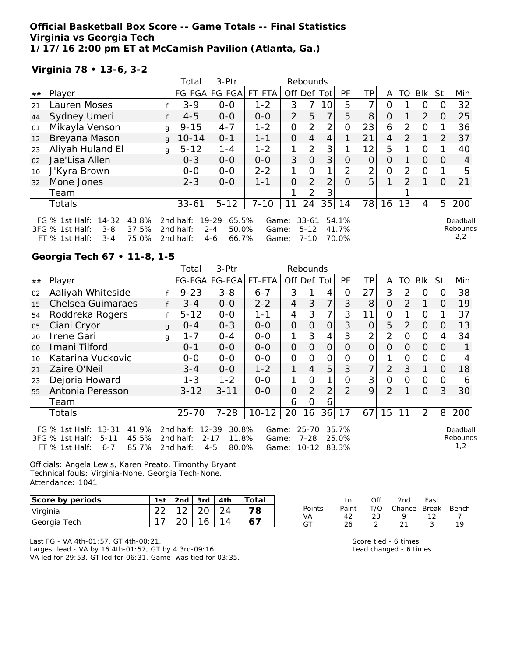## **Official Basketball Box Score -- Game Totals -- Final Statistics Virginia vs Georgia Tech 1/17/16 2:00 pm ET at McCamish Pavilion (Atlanta, Ga.)**

## **Virginia 78 • 13-6, 3-2**

|    |                                                                                          |                         | Total                               | 3-Ptr                                                    |                         | Rebounds       |                                   |                |                         |                |          |               |          |                |                             |
|----|------------------------------------------------------------------------------------------|-------------------------|-------------------------------------|----------------------------------------------------------|-------------------------|----------------|-----------------------------------|----------------|-------------------------|----------------|----------|---------------|----------|----------------|-----------------------------|
| ## | Player                                                                                   |                         | FG-FGA FG-FGA  FT-FTA               |                                                          |                         | Off Def Tot    |                                   |                | PF                      | ΤP             | A        | TO            | Blk      | Stll           | Min                         |
| 21 | Lauren Moses                                                                             |                         | $3 - 9$                             | $0 - 0$                                                  | $1 - 2$                 | 3              |                                   | 10             | 5                       |                | O        |               | 0        |                | 32                          |
| 44 | Sydney Umeri                                                                             |                         | $4 - 5$                             | $0-0$                                                    | $0 - 0$                 | $\overline{2}$ | 5                                 | $\overline{7}$ | 5                       | 8              | $\Omega$ |               | 2        | O              | 25                          |
| 01 | Mikayla Venson                                                                           | g                       | $9 - 15$                            | $4 - 7$                                                  | $1 - 2$                 | 0              | 2                                 | $\overline{2}$ | $\Omega$                | 23             | 6        | $\mathcal{P}$ | $\Omega$ |                | 36                          |
| 12 | Breyana Mason                                                                            | $\mathbf{q}$            | $10 - 14$                           | $0 - 1$                                                  | $1 - 1$                 | 0              | 4                                 | 4              |                         | 21             | 4        | $\mathcal{P}$ |          | 2              | 37                          |
| 23 | Aliyah Huland El                                                                         | g                       | $5 - 12$                            | $1 - 4$                                                  | $1 - 2$                 | 1              | $\overline{2}$                    | 3 <sub>l</sub> |                         | 12             | 5        |               | $\Omega$ |                | 40                          |
| 02 | Jae'Lisa Allen                                                                           |                         | $0 - 3$                             | $0-0$                                                    | $0-0$                   | 3              | $\Omega$                          | 3              | $\Omega$                | $\overline{O}$ | 0        |               | $\Omega$ | $\Omega$       | 4                           |
| 10 | J'Kyra Brown                                                                             |                         | $0 - 0$                             | $0 - 0$                                                  | $2 - 2$                 |                | $\Omega$                          | 1 <sub>1</sub> | $\mathcal{P}$           | 2              | 0        | $\mathcal{P}$ | $\Omega$ |                | 5                           |
| 32 | Mone Jones                                                                               |                         | $2 - 3$                             | $0 - 0$                                                  | $1 - 1$                 | 0              | 2                                 | $\overline{2}$ | $\Omega$                | 5 <sup>1</sup> |          | $\mathcal{P}$ |          | $\Omega$       | 21                          |
|    | Team                                                                                     |                         |                                     |                                                          |                         |                | 2                                 | 3              |                         |                |          |               |          |                |                             |
|    | Totals                                                                                   |                         | $33 - 61$                           | $5 - 12$                                                 | $7 - 10$                | 11             | 24                                | 35             | 14                      | 78             | 16       | 13            | 4        | 5 <sub>l</sub> | 200                         |
|    | FG $%$ 1st Half:<br>$14 - 32$<br>3FG % 1st Half:<br>$3 - 8$<br>FT % 1st Half:<br>$3 - 4$ | 43.8%<br>37.5%<br>75.0% | 2nd half:<br>2nd half:<br>2nd half: | $19 - 29$<br>65.5%<br>50.0%<br>$2 - 4$<br>66.7%<br>$4-6$ | Game:<br>Game:<br>Game: |                | $33 - 61$<br>$5 - 12$<br>$7 - 10$ |                | 54.1%<br>41.7%<br>70.0% |                |          |               |          |                | Deadball<br>Rebounds<br>2,2 |

## **Georgia Tech 67 • 11-8, 1-5**

|                |                                                                                                                        | 3-Ptr<br>Rebounds<br>Total |                                     |                                                             |                         |                |                                    |                |                         |                |                |          |            |          |                             |
|----------------|------------------------------------------------------------------------------------------------------------------------|----------------------------|-------------------------------------|-------------------------------------------------------------|-------------------------|----------------|------------------------------------|----------------|-------------------------|----------------|----------------|----------|------------|----------|-----------------------------|
| ##             | Player                                                                                                                 |                            |                                     | FG-FGA FG-FGA                                               | FT-FTA                  |                |                                    | Off Def Tot    | <b>PF</b>               | TPI            | A              | TO.      | <b>Blk</b> | StII     | Min                         |
| 02             | Aaliyah Whiteside                                                                                                      |                            | $9 - 23$                            | $3 - 8$                                                     | $6 - 7$                 | 3              |                                    | 4              | O                       | 27             | 3              | 2        | O          | 0        | 38                          |
| 15             | Chelsea Guimaraes                                                                                                      |                            | $3 - 4$                             | $0-0$                                                       | $2 - 2$                 | 4              | 3                                  | 7              | 3                       | 8              | $\overline{O}$ | 2        | 1          | 0        | 19                          |
| 54             | Roddreka Rogers                                                                                                        |                            | $5 - 12$                            | $0-0$                                                       | $1 - 1$                 | 4              | 3                                  | 7              | 3                       | 11             | O              |          | O          |          | 37                          |
| 05             | Ciani Cryor                                                                                                            | $\mathbf{q}$               | $O - 4$                             | $0 - 3$                                                     | $0-0$                   | 0              | $\overline{O}$                     | $\overline{O}$ | 3                       | $\overline{O}$ | 5              | 2        | $\Omega$   | O        | 13                          |
| 20             | Irene Gari                                                                                                             | g                          | $1 - 7$                             | $O - 4$                                                     | $0-0$                   | 1              | 3                                  | 4              | 3                       | 2              | $\overline{2}$ | 0        | $\Omega$   | 4        | 34                          |
| 0 <sup>0</sup> | Imani Tilford                                                                                                          |                            | $0 - 1$                             | $0-0$                                                       | $0-0$                   | $\overline{O}$ | $\Omega$                           | $\overline{O}$ | $\Omega$                | $\Omega$       | $\Omega$       | $\Omega$ | $\Omega$   | $\Omega$ |                             |
| 10             | Katarina Vuckovic                                                                                                      |                            | $0-0$                               | $O-O$                                                       | $O-O$                   | $\overline{O}$ | $\Omega$                           | $\overline{O}$ | O                       | 0              |                | $\Omega$ | $\Omega$   | O        |                             |
| 21             | Zaire O'Neil                                                                                                           |                            | $3 - 4$                             | $0-0$                                                       | $1 - 2$                 | 1              | $\overline{4}$                     | 5              | 3                       | $\overline{7}$ | $\overline{2}$ | 3        |            | $\Omega$ | 18                          |
| 23             | Dejoria Howard                                                                                                         |                            | $1 - 3$                             | $1 - 2$                                                     | $0 - 0$                 | 1              | $\overline{O}$                     | 1              | O                       | 3 <sup>1</sup> | 0              | $\Omega$ | $\Omega$   | 0        | 6                           |
| 55             | Antonia Peresson                                                                                                       |                            | $3 - 12$                            | $3 - 11$                                                    | $0 - 0$                 | 0              | $\overline{2}$                     | 2              | 2                       | 9              | $\overline{2}$ |          | $\Omega$   | 3        | 30                          |
|                | Team                                                                                                                   |                            |                                     |                                                             |                         | 6              | O                                  | 6              |                         |                |                |          |            |          |                             |
|                | <b>Totals</b>                                                                                                          |                            | $25 - 70$                           | $7 - 28$                                                    | $10 - 12$               | 20             | 16                                 | 36             | 17                      | 67             | 15             | 11       | 2          | 8        | 200                         |
|                | 41.9%<br>$13 - 31$<br>FG $%$ 1st Half:<br>45.5%<br>3FG % 1st Half:<br>$5 - 11$<br>$FT$ % 1st Half:<br>85.7%<br>$6 - 7$ |                            | 2nd half:<br>2nd half:<br>2nd half: | $12 - 39$<br>30.8%<br>$2 - 17$<br>11.8%<br>$4 - 5$<br>80.0% | Game:<br>Game:<br>Game: |                | $25 - 70$<br>$7 - 28$<br>$10 - 12$ |                | 35.7%<br>25.0%<br>83.3% |                |                |          |            |          | Deadball<br>Rebounds<br>1,2 |

Officials: Angela Lewis, Karen Preato, Timonthy Bryant Technical fouls: Virginia-None. Georgia Tech-None. Attendance: 1041

| Score by periods | 1st |                   | 2nd $\sqrt{3}$ rd $\sqrt{4}$ th | Total |
|------------------|-----|-------------------|---------------------------------|-------|
| Virginia         |     | 22   12   20   24 |                                 |       |
| Georgia Tech     |     |                   | 16 <sub>1</sub>                 |       |

|        | In.   | ∩ff | 2nd                    | Fast |    |
|--------|-------|-----|------------------------|------|----|
| Points | Paint |     | T/O Chance Break Bench |      |    |
| VA     | 42.   | 23. | $\mathbf Q$            | 12   |    |
| GT.    | 26.   |     | 21                     | - 3  | 10 |

Last FG - VA 4th-01:57, GT 4th-00:21. Largest lead - VA by 16 4th-01:57, GT by 4 3rd-09:16. VA led for 29:53. GT led for 06:31. Game was tied for 03:35. Score tied - 6 times. Lead changed - 6 times.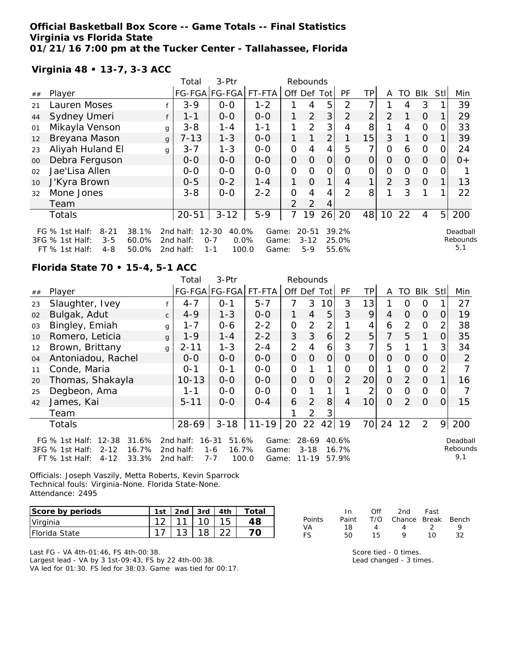## **Official Basketball Box Score -- Game Totals -- Final Statistics Virginia vs Florida State 01/21/16 7:00 pm at the Tucker Center - Tallahassee, Florida**

## **Virginia 48 • 13-7, 3-3 ACC**

|        |                                                                                     |                         | Total                               | 3-Ptr                                                     |                         |                | Rebounds                       |                |                         |                |          |          |                |                |                             |
|--------|-------------------------------------------------------------------------------------|-------------------------|-------------------------------------|-----------------------------------------------------------|-------------------------|----------------|--------------------------------|----------------|-------------------------|----------------|----------|----------|----------------|----------------|-----------------------------|
| ##     | Player                                                                              |                         |                                     | FG-FGA FG-FGA                                             | FT-FTA                  | Off            | Def                            | Tot            | PF                      | TP.            | A        | TO       | <b>Blk</b>     | Stl            | Min                         |
| 21     | Lauren Moses                                                                        |                         | $3 - 9$                             | $0-0$                                                     | $1 - 2$                 |                | 4                              | 5              | 2                       | ᄀ              |          | 4        | 3              |                | 39                          |
| 44     | Sydney Umeri                                                                        |                         | $1 - 1$                             | $0 - 0$                                                   | $0 - 0$                 |                | $\overline{2}$                 | 3              | $\overline{2}$          | 2 <sub>1</sub> | 2        |          | $\Omega$       |                | 29                          |
| 01     | Mikayla Venson                                                                      |                         | $3 - 8$<br>g                        | $1 - 4$                                                   | $1 - 1$                 | 1              | 2                              | 3              |                         | 8              |          | 4        | 0              | Ω              | 33                          |
| 12     | Breyana Mason                                                                       |                         | $7 - 13$<br>g                       | $1 - 3$                                                   | $0-0$                   |                |                                | $\overline{2}$ |                         | 15             | 3        |          | $\Omega$       |                | 39                          |
| 23     | Aliyah Huland El                                                                    |                         | $3 - 7$<br>g                        | $1 - 3$                                                   | $O-O$                   | $\overline{O}$ | 4                              | 4              | 5                       | 7              | $\Omega$ | 6        | $\mathcal{O}$  | O              | 24                          |
| $00\,$ | Debra Ferguson                                                                      |                         | $0 - 0$                             | $0 - 0$                                                   | $0-0$                   | $\overline{O}$ | $\Omega$                       | $\Omega$       | O                       | $\overline{0}$ | O        | $\Omega$ | $\Omega$       | 0              | $0+$                        |
| 02     | Jae'Lisa Allen                                                                      |                         | $0-0$                               | $0-0$                                                     | $0-0$                   | O              | $\Omega$                       | 0              | Ω                       | 0              | Ο        | Ω        | 0              |                |                             |
| 10     | J'Kyra Brown                                                                        |                         | $0 - 5$                             | $0 - 2$                                                   | $1 - 4$                 | 1              | $\Omega$                       |                | 4                       | 1              | 2        | 3        | $\overline{0}$ |                | 13                          |
| 32     | Mone Jones                                                                          |                         | $3 - 8$                             | $O-O$                                                     | $2 - 2$                 | $\overline{O}$ | 4                              | 4              | 2                       | 8              |          | 3        | 1              |                | 22                          |
|        | Team                                                                                |                         |                                     |                                                           |                         | $\overline{2}$ | 2                              | 4              |                         |                |          |          |                |                |                             |
|        | <b>Totals</b>                                                                       |                         | $20 - 51$                           | $3 - 12$                                                  | $5 - 9$                 | 7              | 19                             | 26             | 20                      | 48             | 10       | 22       | 4              | 5 <sup>1</sup> | 200                         |
|        | FG % 1st Half:<br>$8 - 21$<br>3FG % 1st Half:<br>$3 - 5$<br>$FT$ % 1st Half:<br>4-8 | 38.1%<br>60.0%<br>50.0% | 2nd half:<br>2nd half:<br>2nd half: | $12 - 30$<br>40.0%<br>0.0%<br>$0 - 7$<br>100.0<br>$1 - 1$ | Game:<br>Game:<br>Game: |                | $20 - 51$<br>$3 - 12$<br>$5-9$ |                | 39.2%<br>25.0%<br>55.6% |                |          |          |                |                | Deadball<br>Rebounds<br>5,1 |

## **Florida State 70 • 15-4, 5-1 ACC**

| $3-Ptr$<br>Total<br>Rebounds |                                                                                                                         |              |                                     |                                                            |                         |                |                                  |                |                         |                 |                |          |             |                |                             |
|------------------------------|-------------------------------------------------------------------------------------------------------------------------|--------------|-------------------------------------|------------------------------------------------------------|-------------------------|----------------|----------------------------------|----------------|-------------------------|-----------------|----------------|----------|-------------|----------------|-----------------------------|
| ##                           | Player                                                                                                                  |              |                                     | FG-FGA FG-FGA                                              | FT-FTA                  | Off Def Tot    |                                  |                | <b>PF</b>               | TP              | A              | TO       | <b>Blk</b>  | StII           | Min                         |
| 23                           | Slaughter, Ivey                                                                                                         |              | $4 - 7$                             | $0 - 1$                                                    | $5 - 7$                 | 7              | 3                                | 10             | 3                       | 13              |                | Ω        | O           |                | 27                          |
| 02                           | Bulgak, Adut                                                                                                            | $\mathsf{C}$ | $4 - 9$                             | $1 - 3$                                                    | $0-0$                   | 1.             | 4                                | 5              | 3                       | 9               | 4              | $\Omega$ | $\Omega$    | 0              | 19                          |
| 03                           | Bingley, Emiah                                                                                                          | g            | 1 - 7                               | $0 - 6$                                                    | $2 - 2$                 | 0              | 2                                | 2              |                         | 4               | 6              | 2        | 0           | 2              | 38                          |
| 10                           | Romero, Leticia                                                                                                         | g            | $1 - 9$                             | $1 - 4$                                                    | $2 - 2$                 | 3              | 3                                | 6              | 2                       | 5 <sup>1</sup>  | 7              | 5        | 1           | O              | 35                          |
| 12                           | Brown, Brittany                                                                                                         | g            | $2 - 11$                            | $1 - 3$                                                    | $2 - 4$                 | $\overline{2}$ | 4                                | 6              | 3                       | 7 <sub>1</sub>  | 5              |          |             | 3              | 34                          |
| 04                           | Antoniadou, Rachel                                                                                                      |              | $O-O$                               | $0 - 0$                                                    | $0-0$                   | 0              | $\overline{O}$                   | $\overline{O}$ | 0                       | $\overline{O}$  | $\Omega$       | $\Omega$ | $\Omega$    | $\Omega$       | 2                           |
| 11                           | Conde, Maria                                                                                                            |              | $0 - 1$                             | $0 - 1$                                                    | $O-O$                   | $\overline{O}$ |                                  |                | $\overline{O}$          | $\overline{O}$  |                | $\Omega$ | $\mathbf 0$ | $\overline{2}$ |                             |
| 20                           | Thomas, Shakayla                                                                                                        |              | $10 - 13$                           | $0-0$                                                      | $0-0$                   | 0              | 0                                | 0              | 2                       | 20              | $\overline{O}$ | 2        | $\Omega$    |                | 16                          |
| 25                           | Degbeon, Ama                                                                                                            |              | 1-1                                 | $0 - 0$                                                    | $0-0$                   | $\overline{O}$ |                                  |                |                         | $\overline{2}$  | $\overline{O}$ | $\Omega$ | $\Omega$    | 0              |                             |
| 42                           | James, Kai                                                                                                              |              | $5 - 11$                            | $O-O$                                                      | $O - 4$                 | 6              | 2                                | 8              | $\overline{4}$          | 10 <sup>1</sup> | $\Omega$       | 2        | $\Omega$    | 0              | 15                          |
|                              | Team                                                                                                                    |              |                                     |                                                            |                         |                | 2                                | 3              |                         |                 |                |          |             |                |                             |
|                              | Totals                                                                                                                  |              | 28-69                               | $3 - 18$                                                   | $11 - 19$               | 20             | 22                               | 42             | 19                      | 70              | 24             | 12       | 2           | 9              | 200                         |
|                              | $12 - 38$<br>31.6%<br>FG $%$ 1st Half:<br>16.7%<br>3FG % 1st Half:<br>$2 - 12$<br>33.3%<br>$FT$ % 1st Half:<br>$4 - 12$ |              | 2nd half:<br>2nd half:<br>2nd half: | $16 - 31$<br>51.6%<br>16.7%<br>$1 - 6$<br>100.0<br>$7 - 7$ | Game:<br>Game:<br>Game: |                | $28-69$<br>$3 - 18$<br>$11 - 19$ |                | 40.6%<br>16.7%<br>57.9% |                 |                |          |             |                | Deadball<br>Rebounds<br>9,1 |

Officials: Joseph Vaszily, Metta Roberts, Kevin Sparrock Technical fouls: Virginia-None. Florida State-None. Attendance: 2495

| Score by periods      | 1st | 2nd $\sqrt{3}$ 3rd $\sqrt{4}$ 4th | Total |
|-----------------------|-----|-----------------------------------|-------|
| Virginia              |     |                                   |       |
| <b>IFlorida State</b> |     |                                   |       |

Last FG - VA 4th-01:46, FS 4th-00:38. Largest lead - VA by 3 1st-09:43, FS by 22 4th-00:38. VA led for 01:30. FS led for 38:03. Game was tied for 00:17.

|               | -In | Off | 2nd                          | Fast           |    |
|---------------|-----|-----|------------------------------|----------------|----|
| <b>Points</b> |     |     | Paint T/O Chance Break Bench |                |    |
| VA            | 18  | Δ   | $\overline{4}$               | $\overline{2}$ | Q  |
| FS            | 50. | 15  | Q                            | 1 N            | 32 |

Score tied - 0 times. Lead changed - 3 times.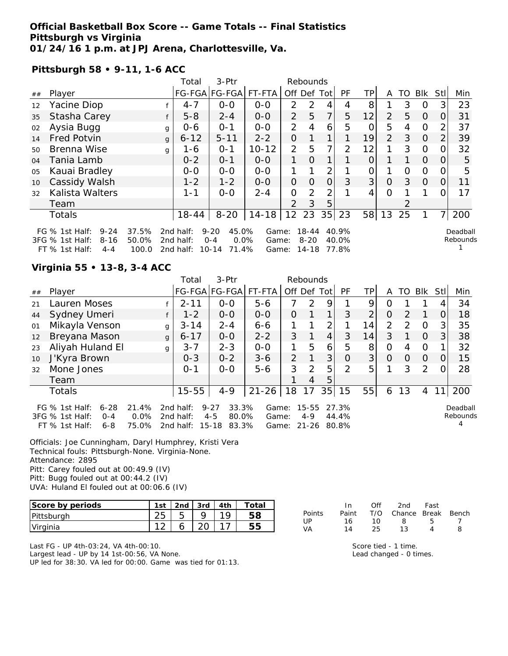### **Official Basketball Box Score -- Game Totals -- Final Statistics Pittsburgh vs Virginia 01/24/16 1 p.m. at JPJ Arena, Charlottesville, Va.**

#### **Pittsburgh 58 • 9-11, 1-6 ACC**

|    |                                                                                                         |                         | Total                                           | 3-Ptr                                                        |                |                      | Rebounds          |          |                |    |                |    |                |               |                      |
|----|---------------------------------------------------------------------------------------------------------|-------------------------|-------------------------------------------------|--------------------------------------------------------------|----------------|----------------------|-------------------|----------|----------------|----|----------------|----|----------------|---------------|----------------------|
| ## | Player                                                                                                  |                         |                                                 | FG-FGA FG-FGA                                                | FT-FTA         | Off Def              |                   | Totl     | PF             | TP | A              | TO | Blk            | Stl           | Min                  |
| 12 | Yacine Diop                                                                                             |                         | $4 - 7$                                         | $0 - 0$                                                      | $0 - 0$        | $\mathcal{P}$        | 2                 | 4        | 4              | 8  |                | 3  | O              | 3             | 23                   |
| 35 | Stasha Carey                                                                                            |                         | $5 - 8$                                         | $2 - 4$                                                      | $0 - 0$        | 2                    | 5                 | 7        | 5              | 12 | $\mathcal{P}$  | 5  | $\Omega$       | $\Omega$      | 31                   |
| 02 | Aysia Bugg                                                                                              | g                       | $0 - 6$                                         | $O - 1$                                                      | $0-0$          | 2                    | 4                 | 6        | 5              |    | 5              | 4  | $\overline{O}$ | $\mathcal{P}$ | 37                   |
| 14 | <b>Fred Potvin</b>                                                                                      | $\mathbf{q}$            | $6 - 12$                                        | $5 - 11$                                                     | $2 - 2$        | 0                    |                   |          |                | 19 | $\overline{2}$ | 3  | $\Omega$       | 2             | 39                   |
| 50 | Brenna Wise                                                                                             | g                       | 1-6                                             | $O - 1$                                                      | $10 - 12$      | 2                    | 5                 | 7        | 2              | 12 |                | 3  | $\Omega$       |               | 32                   |
| 04 | Tania Lamb                                                                                              |                         | $0 - 2$                                         | $O - 1$                                                      | $0-0$          | 1                    | $\Omega$          |          |                |    |                |    | $\Omega$       | $\Omega$      | 5                    |
| 05 | Kauai Bradley                                                                                           |                         | $0 - 0$                                         | $0 - 0$                                                      | $0 - 0$        |                      |                   | 2        |                |    |                | Ω  | $\Omega$       | $\mathcal{L}$ | 5                    |
| 10 | Cassidy Walsh                                                                                           |                         | $1 - 2$                                         | $1 - 2$                                                      | $0 - 0$        | $\overline{O}$       | $\Omega$          | $\Omega$ | 3              | 3  | 0              | 3  | $\Omega$       | 0             | 11                   |
| 32 | Kalista Walters                                                                                         |                         | $1 - 1$                                         | $0 - 0$                                                      | $2 - 4$        | 0                    | 2                 | 2        |                | 4  | O              |    |                |               | 17                   |
|    | Team                                                                                                    |                         |                                                 |                                                              |                | $\mathcal{P}$        | 3                 | 5        |                |    |                |    |                |               |                      |
|    | Totals                                                                                                  |                         | $18 - 44$                                       | $8 - 20$                                                     | $14 - 18$      | 12 <sup>2</sup>      | 23                |          | 35 23          | 58 | 13             | 25 |                | 71            | 200                  |
|    | FG $%$ 1st Half:<br>$9 - 24$<br>$3FG \%$ 1st Half:<br>$8 - 16$<br>$FT \,$ % 1ct Half $\cdot$<br>$A - A$ | 37.5%<br>50.0%<br>100 Q | 2nd half:<br>2nd half:<br>2nd half <sup>.</sup> | 45.0%<br>$9 - 20$<br>$0.0\%$<br>$O - 4$<br>$10-14$ $71$ $10$ | Game:<br>Game: | $Gama: 11.18 77.8\%$ | 18-44<br>$8 - 20$ |          | 40.9%<br>40.0% |    |                |    |                |               | Deadball<br>Rebounds |

2nd half: 10-14 71.4% Game: 14-18 77.8%

## **Virginia 55 • 13-8, 3-4 ACC**

FT  $%$  1st Half: 4-4

|    |                                                                                                                   |              | Total                                  | 3-Ptr                                                       |                         |             | Rebounds                      |                |                         |                |                |               |          |                |                      |
|----|-------------------------------------------------------------------------------------------------------------------|--------------|----------------------------------------|-------------------------------------------------------------|-------------------------|-------------|-------------------------------|----------------|-------------------------|----------------|----------------|---------------|----------|----------------|----------------------|
| ## | Player                                                                                                            |              |                                        | FG-FGA FG-FGA                                               | FT-FTA                  | Off Def Tot |                               |                | PF                      | TP             | A              | TO I          | Blk      | StII           | Min                  |
| 21 | Lauren Moses                                                                                                      |              | $2 - 11$                               | $0-0$                                                       | $5 - 6$                 | 7           | 2                             | 9              |                         | 9              | Ο              |               |          |                | 34                   |
| 44 | Sydney Umeri                                                                                                      |              | $1 - 2$                                | $0 - 0$                                                     | $0 - 0$                 | $\Omega$    |                               | 1              | 3                       | $\overline{2}$ | $\Omega$       | 2             |          | 0              | 18                   |
| 01 | Mikayla Venson                                                                                                    | g            | $3 - 14$                               | $2 - 4$                                                     | $6 - 6$                 |             |                               | $\overline{2}$ |                         | 14             | $\overline{2}$ | $\mathcal{P}$ | $\Omega$ | 3              | 35                   |
| 12 | Breyana Mason                                                                                                     | $\mathbf{q}$ | $6 - 17$                               | $0-0$                                                       | $2 - 2$                 | 3           |                               | $\overline{4}$ | 3                       | 14             | 3              |               | $\Omega$ | 3 <sup>1</sup> | 38                   |
| 23 | Aliyah Huland El                                                                                                  | g            | $3 - 7$                                | $2 - 3$                                                     | $0 - 0$                 | 1           | 5                             | 6              | 5                       | 8              | 0              | 4             | 0        |                | 32                   |
| 10 | J'Kyra Brown                                                                                                      |              | $0 - 3$                                | $0 - 2$                                                     | $3 - 6$                 | 2           |                               | 3              | O                       | 3 <sup>1</sup> | $\Omega$       | 0             | $\Omega$ | 0              | 15                   |
| 32 | Mone Jones                                                                                                        |              | $O - 1$                                | $0 - 0$                                                     | $5 - 6$                 | 3           | $\mathcal{P}$                 | 5              | $\mathcal{P}$           | 5              |                | 3             | 2        |                | 28                   |
|    | Team                                                                                                              |              |                                        |                                                             |                         |             | 4                             | 5              |                         |                |                |               |          |                |                      |
|    | Totals                                                                                                            |              | $15 - 55$                              | $4 - 9$                                                     | $21 - 26$               | 18          | 17                            | 35             | 15                      | 55             | 6              | 13            | 4        |                | 200                  |
|    | 21.4%<br>FG % 1st Half:<br>$6 - 28$<br>0.0%<br>3FG % 1st Half:<br>$O - 4$<br>75.0%<br>$FT$ % 1st Half:<br>$6 - 8$ |              | 2nd half:<br>2 $nd$ half:<br>2nd half: | 33.3%<br>$9 - 27$<br>$4 - 5$<br>80.0%<br>$15 - 18$<br>83.3% | Game:<br>Game:<br>Game: |             | 15-55<br>$4 - 9$<br>$21 - 26$ |                | 27.3%<br>44.4%<br>80.8% |                |                |               |          |                | Deadball<br>Rebounds |

Officials: Joe Cunningham, Daryl Humphrey, Kristi Vera Technical fouls: Pittsburgh-None. Virginia-None. Attendance: 2895 Pitt: Carey fouled out at 00:49.9 (IV) Pitt: Bugg fouled out at 00:44.2 (IV)

UVA: Huland El fouled out at 00:06.6 (IV)

| Score by periods | 1st      | 2nd | 3rd | ⊤otai |
|------------------|----------|-----|-----|-------|
| Pittsburgh       | ∠◡       |     |     |       |
| Virginia         | $\Omega$ |     |     |       |

Last FG - UP 4th-03:24, VA 4th-00:10. Largest lead - UP by 14 1st-00:56, VA None. UP led for 38:30. VA led for 00:00. Game was tied for 01:13.

|        | In.   | ∩ff | 2nd                    | Fast |   |
|--------|-------|-----|------------------------|------|---|
| Points | Paint |     | T/O Chance Break Bench |      |   |
| UP     | 16    | 1 O | -8                     | h    |   |
| VA     | 14    | 25. | 13                     | Δ    | Զ |

Score tied - 1 time. Lead changed - 0 times.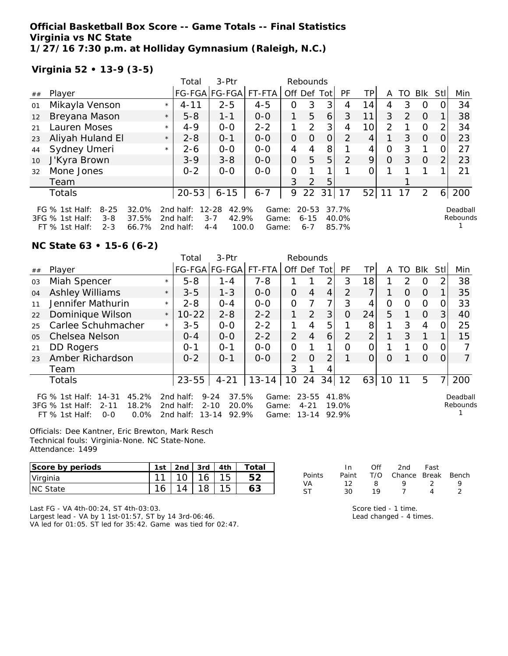### **Official Basketball Box Score -- Game Totals -- Final Statistics Virginia vs NC State 1/27/16 7:30 p.m. at Holliday Gymnasium (Raleigh, N.C.)**

**Virginia 52 • 13-9 (3-5)**

|    |                                                            |                |         | Total                     | $3-Ptr$                                |                |                | Rebounds              |                |                |                 |          |               |          |                |                      |
|----|------------------------------------------------------------|----------------|---------|---------------------------|----------------------------------------|----------------|----------------|-----------------------|----------------|----------------|-----------------|----------|---------------|----------|----------------|----------------------|
| ## | Player                                                     |                |         |                           | FG-FGA FG-FGA                          | FT-FTA         | Off Def Tot    |                       |                | <b>PF</b>      | TPI             | A        | TO.           | Blk      | Stll           | Min                  |
| 01 | Mikayla Venson                                             |                | $\star$ | $4 - 11$                  | $2 - 5$                                | $4 - 5$        | 0              | 3                     | 3              | 4              | 14              | 4        | 3             | O        |                | 34                   |
| 12 | Breyana Mason                                              |                | $\star$ | $5 - 8$                   | $1 - 1$                                | $0-0$          | 1              | 5                     | 6              | 3              | 11              | 3        | $\mathcal{P}$ | $\Omega$ |                | 38                   |
| 21 | Lauren Moses                                               |                | $\star$ | $4 - 9$                   | $0 - 0$                                | $2 - 2$        |                | 2                     | 3              | 4              | 10 <sup>1</sup> | 2        |               | $\circ$  | $\mathcal{P}$  | 34                   |
| 23 | Aliyah Huland El                                           |                | $\star$ | $2 - 8$                   | $0 - 1$                                | $0-0$          | 0              | $\Omega$              | $\overline{O}$ | 2              | 4               |          | 3             | $\Omega$ | $\Omega$       | 23                   |
| 44 | Sydney Umeri                                               |                | $\star$ | $2 - 6$                   | $O-O$                                  | $0-0$          | 4              | 4                     | 8              |                | 4               | 0        | 3             |          | 0              | 27                   |
| 10 | J'Kyra Brown                                               |                |         | $3 - 9$                   | $3 - 8$                                | $0 - 0$        | $\overline{O}$ | 5                     | 5              | $\mathcal{P}$  | 9               | $\Omega$ | 3             | $\Omega$ | $\overline{2}$ | 23                   |
| 32 | Mone Jones                                                 |                |         | $0 - 2$                   | $0 - 0$                                | $0 - 0$        | 0              |                       |                |                | 0               |          |               |          |                | 21                   |
|    | Team                                                       |                |         |                           |                                        |                | 3              | 2                     | 5              |                |                 |          |               |          |                |                      |
|    | Totals                                                     |                |         | $20 - 53$                 | $6 - 15$                               | $6 - 7$        | 9              | 22                    | 31             | 17             | 52              | 11       | 17            | 2        | 6              | 200                  |
|    | FG $%$ 1st Half:<br>$8 - 25$<br>3FG % 1st Half:<br>$3 - 8$ | 32.0%<br>37.5% |         | 2nd half:<br>2 $nd$ half: | 42.9%<br>$12 - 28$<br>$3 - 7$<br>42.9% | Game:<br>Game: |                | $20 - 53$<br>$6 - 15$ |                | 37.7%<br>40.0% |                 |          |               |          |                | Deadball<br>Rebounds |
|    | $2 - 3$<br>FT % 1st Half:                                  | 66.7%          |         | 2nd half:                 | 100.0<br>$4 - 4$                       | Game:          |                | $6 - 7$               |                | 85.7%          |                 |          |               |          |                |                      |

#### **NC State 63 • 15-6 (6-2)**

|    |                                                                                                                   |         | Total                               | 3-Ptr                                                        | Rebounds                |                |                                |       |                         |                |    |               |            |               |                      |
|----|-------------------------------------------------------------------------------------------------------------------|---------|-------------------------------------|--------------------------------------------------------------|-------------------------|----------------|--------------------------------|-------|-------------------------|----------------|----|---------------|------------|---------------|----------------------|
| ## | Player                                                                                                            |         |                                     | FG-FGA FG-FGA                                                | FT-FTA                  | Off Def Tot    |                                |       | <b>PF</b>               | ТP             | A  | TO            | <b>BIK</b> | Stl           | Min                  |
| 03 | Miah Spencer                                                                                                      | $\star$ | $5 - 8$                             | $1 - 4$                                                      | $7 - 8$                 |                |                                | っ     | 3                       | 181            |    | $\mathcal{P}$ | $\Omega$   |               | 38                   |
| 04 | Ashley Williams                                                                                                   | $\star$ | $3 - 5$                             | $1 - 3$                                                      | $O-O$                   | 0              | 4                              | 4     | $\mathcal{P}$           |                |    | O             | $\Omega$   |               | 35                   |
| 11 | Jennifer Mathurin                                                                                                 | $\star$ | $2 - 8$                             | $0 - 4$                                                      | $0-0$                   | 0              |                                | 7     | 3                       | 4              | Ω  | ∩             | 0          | $\mathcal{L}$ | 33                   |
| 22 | Dominique Wilson                                                                                                  | $\star$ | $10 - 22$                           | $2 - 8$                                                      | $2 - 2$                 | 1              | 2                              | 3     | $\Omega$                | 24             | 5  |               | $\Omega$   | 31            | 40                   |
| 25 | Carlee Schuhmacher                                                                                                | $\star$ | $3 - 5$                             | $0 - 0$                                                      | $2 - 2$                 |                | 4                              | 5     |                         | 8              |    | 3             | 4          |               | 25                   |
| 05 | Chelsea Nelson                                                                                                    |         | $O - 4$                             | $0 - 0$                                                      | $2 - 2$                 | $\overline{2}$ | $\overline{4}$                 | 6     | 2                       | 2 <sub>1</sub> |    | 3             | 1          |               | 15                   |
| 21 | <b>DD Rogers</b>                                                                                                  |         | $0 - 1$                             | $O - 1$                                                      | $0 - 0$                 | O              |                                | 1     | ∩                       | O              |    |               | $\Omega$   | O             |                      |
| 23 | Amber Richardson                                                                                                  |         | $0 - 2$                             | $O - 1$                                                      | $O-O$                   | $\overline{2}$ | $\Omega$                       | 2     |                         |                | O  |               | 0          | $\Omega$      | $\overline{7}$       |
|    | Team                                                                                                              |         |                                     |                                                              |                         | 3              |                                | 4     |                         |                |    |               |            |               |                      |
|    | Totals                                                                                                            |         | $23 - 55$                           | $4 - 21$                                                     | $13 - 14$               | 10             | 24                             | 34 12 |                         | 63             | 10 | 11            | 5          | 71            | 200                  |
|    | FG $%$ 1st Half:<br>$14 - 31$<br>45.2%<br>3FG % 1st Half:<br>18.2%<br>$2 - 11$<br>0.0%<br>FT % 1st Half:<br>$O-O$ |         | 2nd half:<br>2nd half:<br>2nd half: | $9 - 24$<br>37.5%<br>$2 - 10$<br>20.0%<br>92.9%<br>$13 - 14$ | Game:<br>Game:<br>Game: |                | $23 - 55$<br>$4 - 21$<br>13-14 |       | 41.8%<br>19.0%<br>92.9% |                |    |               |            |               | Deadball<br>Rebounds |

Officials: Dee Kantner, Eric Brewton, Mark Resch Technical fouls: Virginia-None. NC State-None. Attendance: 1499

| Score by periods | 1 <sub>ct</sub> | 2 <sub>nd</sub> | 3rd | 4th | $\tau$ otai |
|------------------|-----------------|-----------------|-----|-----|-------------|
| Virginia         | 11              |                 |     | 15  |             |
| <b>NC State</b>  | 16              |                 |     | 15  | 63          |

|        | In    | ∩ff | 2nd                    | Fast      |   |
|--------|-------|-----|------------------------|-----------|---|
| Points | Paint |     | T/O Chance Break Bench |           |   |
| VA     | 12.   | 8   | Q                      | - 2       | Q |
| ST     | 30    | 10  |                        | $\Lambda$ |   |

Last FG - VA 4th-00:24, ST 4th-03:03.

Largest lead - VA by 1 1st-01:57, ST by 14 3rd-06:46. VA led for 01:05. ST led for 35:42. Game was tied for 02:47. Score tied - 1 time. Lead changed - 4 times.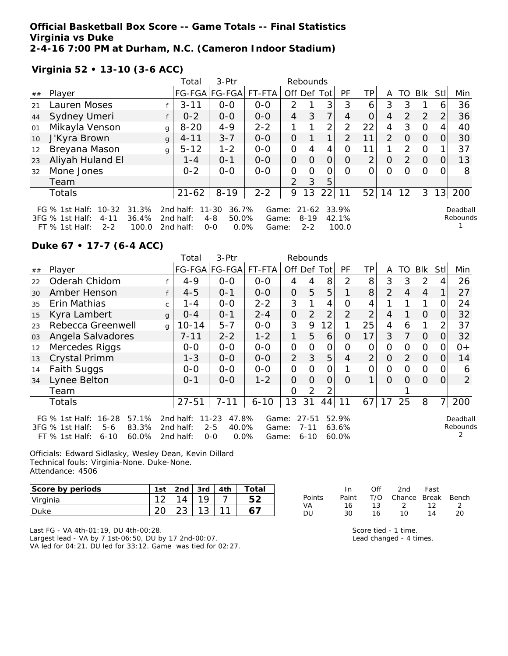**Official Basketball Box Score -- Game Totals -- Final Statistics Virginia vs Duke 2-4-16 7:00 PM at Durham, N.C. (Cameron Indoor Stadium)**

**Virginia 52 • 13-10 (3-6 ACC)**

|    |                                                                                                             |   | Total                               | $3-Ptr$                                                |                         |                | Rebounds                     |          |                         |                |               |               |          |          |                      |
|----|-------------------------------------------------------------------------------------------------------------|---|-------------------------------------|--------------------------------------------------------|-------------------------|----------------|------------------------------|----------|-------------------------|----------------|---------------|---------------|----------|----------|----------------------|
| ## | Player                                                                                                      |   |                                     | FG-FGA FG-FGA                                          | FT-FTA                  | Off Def Tot    |                              |          | <b>PF</b>               | TPI            | A             | TO.           | Blk      | Stll     | Min                  |
| 21 | Lauren Moses                                                                                                |   | $3 - 11$                            | $0 - 0$                                                | $0 - 0$                 | 2              |                              | 3        | 3                       | 6              | 3             | 3             |          | 6        | 36                   |
| 44 | Sydney Umeri                                                                                                |   | $0 - 2$                             | $0 - 0$                                                | $0 - 0$                 | 4              | 3                            | 7        | 4                       | $\overline{O}$ | 4             | 2             | 2        | 2        | 36                   |
| 01 | Mikayla Venson                                                                                              | g | $8 - 20$                            | $4 - 9$                                                | $2 - 2$                 |                |                              | 2        | $\overline{2}$          | 22             | 4             | 3             | $\Omega$ | 4        | 40                   |
| 10 | J'Kyra Brown                                                                                                | q | $4 - 11$                            | $3 - 7$                                                | $0 - 0$                 | $\Omega$       |                              |          | 2                       | 11             | $\mathcal{P}$ | $\Omega$      | $\Omega$ | $\Omega$ | 30                   |
| 12 | Breyana Mason                                                                                               | g | $5 - 12$                            | $1 - 2$                                                | $0-0$                   | 0              | 4                            | 4        | $\Omega$                | 11             |               | $\mathcal{P}$ | $\Omega$ |          | 37                   |
| 23 | Aliyah Huland El                                                                                            |   | $1 - 4$                             | $O - 1$                                                | $0-0$                   | $\Omega$       | $\Omega$                     | $\Omega$ | $\Omega$                | 2              | $\Omega$      | $\mathcal{P}$ | $\Omega$ | $\Omega$ | 13                   |
| 32 | Mone Jones                                                                                                  |   | $0 - 2$                             | $0-0$                                                  | $0 - 0$                 | $\Omega$       | $\Omega$                     | 0        | $\Omega$                | 0              | $\Omega$      | $\Omega$      | $\Omega$ | $\Omega$ | 8                    |
|    | Team                                                                                                        |   |                                     |                                                        |                         | $\overline{2}$ | 3                            | 5        |                         |                |               |               |          |          |                      |
|    | Totals                                                                                                      |   | $21 - 62$                           | $8 - 19$                                               | $2 - 2$                 | 9              | 13                           | 22       | 11                      | 52             | 14            | 12            | 3        |          | 13 200               |
|    | FG % 1st Half: 10-32 31.3%<br>36.4%<br>3FG % 1st Half:<br>$4 - 11$<br>100.0<br>$FT \%$ 1st Half:<br>$2 - 2$ |   | 2nd half:<br>2nd half:<br>2nd half: | 11-30<br>36.7%<br>50.0%<br>$4 - 8$<br>$0.0\%$<br>$O-O$ | Game:<br>Game:<br>Game: |                | 21-62<br>$8 - 19$<br>$2 - 2$ |          | 33.9%<br>42.1%<br>100.0 |                |               |               |          |          | Deadball<br>Rebounds |

0.0% Game: 2-2 100.0

 $\mathsf{S}% _{T}=\mathsf{S}_{T}\!\left( a,b\right) ,\ \mathsf{S}_{T}=\mathsf{S}_{T}\!\left( a,b\right) ,\ \mathsf{S}_{T}=\mathsf{S}_{T}\!\left( a,b\right) ,\ \mathsf{S}_{T}=\mathsf{S}_{T}\!\left( a,b\right) ,\ \mathsf{S}_{T}=\mathsf{S}_{T}\!\left( a,b\right) ,\ \mathsf{S}_{T}=\mathsf{S}_{T}\!\left( a,b\right) ,\ \mathsf{S}_{T}=\mathsf{S}_{T}\!\left( a,b\right) ,\ \mathsf{S}_{T}=\mathsf{S}_{T}\!\left( a,b\right) ,\ \mathsf{S}_{T}=\math$ 1

#### **Duke 67 • 17-7 (6-4 ACC)**

|    |                                                                                                                      |              | Total                               | 3-Ptr                                                     | Rebounds                |                |                                   |                |                         |                |          |                |                |      |                      |
|----|----------------------------------------------------------------------------------------------------------------------|--------------|-------------------------------------|-----------------------------------------------------------|-------------------------|----------------|-----------------------------------|----------------|-------------------------|----------------|----------|----------------|----------------|------|----------------------|
| ## | Player                                                                                                               |              |                                     | FG-FGA FG-FGA FT-FTA                                      |                         | Off Def        |                                   | Totl           | PF                      | ТP             | A        | TO             | <b>BIK</b>     | Stll | Min                  |
| 22 | Oderah Chidom                                                                                                        |              | $4 - 9$                             | $O-O$                                                     | $0-0$                   | 4              |                                   | 8              | 2                       | 8              | 3        | 3              | 2              |      | 26                   |
| 30 | Amber Henson                                                                                                         |              | $4 - 5$                             | $O - 1$                                                   | $0 - 0$                 | $\mathbf 0$    | 5                                 | 5              |                         | 8              | 2        | $\overline{4}$ | $\overline{4}$ |      | 27                   |
| 35 | Erin Mathias                                                                                                         | C.           | 1 - 4                               | $0-0$                                                     | $2 - 2$                 | 3              |                                   | 4              | Ω                       | 4              |          |                | 1              |      | 24                   |
| 15 | Kyra Lambert                                                                                                         | $\mathbf{q}$ | $O - 4$                             | $O - 1$                                                   | $2 - 4$                 | $\overline{O}$ | 2                                 | $\overline{2}$ | $\overline{2}$          | $\overline{2}$ | 4        |                | $\Omega$       | 0    | 32                   |
| 23 | Rebecca Greenwell                                                                                                    | $\alpha$     | $10 - 14$                           | $5 - 7$                                                   | $0-0$                   | 3              | 9                                 | 12             | 1                       | 25             | 4        | 6              | 1              | 2    | 37                   |
| 03 | Angela Salvadores                                                                                                    |              | $7 - 11$                            | $2 - 2$                                                   | $1 - 2$                 | 1              | 5                                 | 6              | O                       | 17             | 3        | 7              | $\Omega$       | 0    | 32                   |
| 12 | Mercedes Riggs                                                                                                       |              | $0-0$                               | $O-O$                                                     | $0 - 0$                 | $\overline{O}$ | 0                                 | 0              | Ω                       | 0              | O        | 0              | 0              | O    | $0+$                 |
| 13 | Crystal Primm                                                                                                        |              | $1 - 3$                             | $0-0$                                                     | $O-O$                   | $\overline{2}$ | 3                                 | 5              | 4                       | $\overline{2}$ | O        | 2              | $\Omega$       | 0    | 14                   |
| 14 | <b>Faith Suggs</b>                                                                                                   |              | $0-0$                               | $O-O$                                                     | $0-0$                   | $\overline{O}$ | $\Omega$                          | 0              |                         | 0              | 0        | $\Omega$       | $\Omega$       | 0    | 6                    |
| 34 | Lynee Belton                                                                                                         |              | $0 - 1$                             | $0 - 0$                                                   | $1 - 2$                 | $\overline{O}$ | 0                                 | 0              | $\Omega$                | 1              | $\Omega$ | Ω              | $\Omega$       | 0    | $\overline{2}$       |
|    | Team                                                                                                                 |              |                                     |                                                           |                         | O              | 2                                 | 2              |                         |                |          |                |                |      |                      |
|    | Totals                                                                                                               |              | $27 - 51$                           | $7 - 11$                                                  | $6 - 10$                | 13             | 31                                | 44             | 11                      | 67             | 17       | 25             | 8              | 71   | 200                  |
|    | $16 - 28$<br>FG $%$ 1st Half:<br>57.1%<br>83.3%<br>3FG % 1st Half:<br>$5-6$<br>60.0%<br>$FT$ % 1st Half:<br>$6 - 10$ |              | 2nd half:<br>2nd half:<br>2nd half: | 47.8%<br>$11 - 23$<br>$2 - 5$<br>40.0%<br>0.0%<br>$0 - 0$ | Game:<br>Game:<br>Game: |                | $27 - 51$<br>$7 - 11$<br>$6 - 10$ |                | 52.9%<br>63.6%<br>60.0% |                |          |                |                |      | Deadball<br>Rebounds |

Officials: Edward Sidlasky, Wesley Dean, Kevin Dillard Technical fouls: Virginia-None. Duke-None. Attendance: 4506

| Score by periods | 1st      | 2nd | 3rd    | 4th | $\tau$ otal |
|------------------|----------|-----|--------|-----|-------------|
| Virginia         | $\Omega$ | 14  | 10     |     |             |
| l Duke           |          |     | $\sim$ |     |             |

In Off 2nd Fast Points Paint T/O Chance Break Bench VA 16 13 2 12 2 DU 30 16 10 14 20

Last FG - VA 4th-01:19, DU 4th-00:28. Largest lead - VA by 7 1st-06:50, DU by 17 2nd-00:07. VA led for 04:21. DU led for 33:12. Game was tied for 02:27. Score tied - 1 time. Lead changed - 4 times.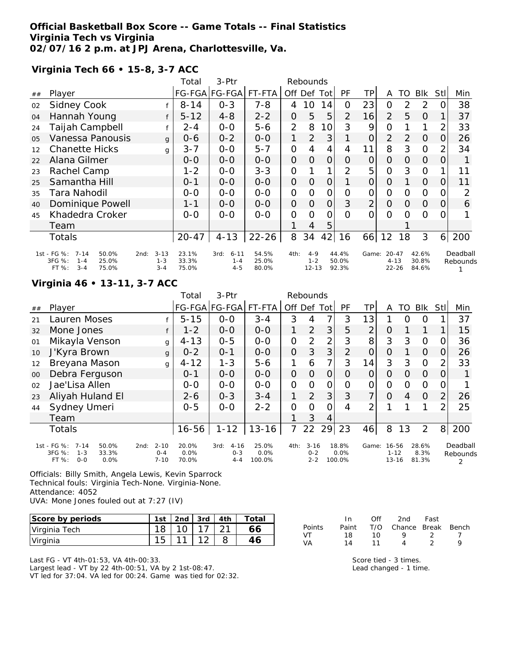### **Official Basketball Box Score -- Game Totals -- Final Statistics Virginia Tech vs Virginia 02/07/16 2 p.m. at JPJ Arena, Charlottesville, Va.**

**Virginia Tech 66 • 15-8, 3-7 ACC**

|     |                                                                                             |                                        | Total                   | 3-Ptr                                  |                         |                | Rebounds                        |                |                         |                |                                    |                |                         |                |                      |
|-----|---------------------------------------------------------------------------------------------|----------------------------------------|-------------------------|----------------------------------------|-------------------------|----------------|---------------------------------|----------------|-------------------------|----------------|------------------------------------|----------------|-------------------------|----------------|----------------------|
| ##  | Player                                                                                      |                                        |                         | FG-FGA FG-FGA                          | FT-FTA                  |                | Off Def Tot                     |                | PF                      | ΤP             | A                                  | TO             | <b>BIK</b>              | Stll           | Min                  |
| 02  | <b>Sidney Cook</b>                                                                          |                                        | $8 - 14$                | $0 - 3$                                | $7 - 8$                 | 4              | 10                              | 14             | 0                       | 23             | $\overline{O}$                     | $\overline{2}$ | 2                       | 0              | 38                   |
| 04  | Hannah Young                                                                                |                                        | $5 - 12$                | $4 - 8$                                | $2 - 2$                 | 0              | 5                               | 5              | $\overline{2}$          | 16             | $\overline{2}$                     | 5              | 0                       |                | 37                   |
| 24  | Taijah Campbell                                                                             |                                        | 2-4                     | $0 - 0$                                | $5 - 6$                 | $\overline{2}$ | 8                               | 10             | 3                       | 9              | $\overline{O}$                     |                | 1                       | 2              | 33                   |
| 0.5 | Vanessa Panousis                                                                            | $\mathbf{q}$                           | 0-6                     | $0 - 2$                                | $0-0$                   | 1              | $\overline{2}$                  | 3              |                         | 0              | 2                                  | $\overline{2}$ | 0                       | 0              | 26                   |
| 12  | <b>Chanette Hicks</b>                                                                       | g                                      | $3 - 7$                 | $O-O$                                  | $5 - 7$                 | $\mathbf{O}$   | 4                               | 4              | 4                       | 11             | 8                                  | 3              | $\overline{0}$          | $\overline{2}$ | 34                   |
| 22  | Alana Gilmer                                                                                |                                        | $O-O$                   | $0 - 0$                                | $0 - 0$                 | $\overline{O}$ | $\Omega$                        | $\overline{O}$ | Ο                       | 0              | $\overline{O}$                     | 0              | $\Omega$                | 0              |                      |
| 23  | Rachel Camp                                                                                 |                                        | $1 - 2$                 | $0 - 0$                                | $3 - 3$                 | $\mathcal{O}$  |                                 |                | 2                       | 5              | $\overline{O}$                     | 3              | $\Omega$                |                | 11                   |
| 25  | Samantha Hill                                                                               |                                        | $0 - 1$                 | $0 - 0$                                | $0-0$                   | $\overline{O}$ | $\overline{O}$                  | 0              |                         | O              | $\overline{O}$                     |                | $\Omega$                | O              | 11                   |
| 35  | Tara Nahodil                                                                                |                                        | $0 - 0$                 | $0 - 0$                                | $0-0$                   | $\mathbf{O}$   | $\Omega$                        | $\mathcal{O}$  | $\overline{O}$          | $\mathcal{O}$  | $\overline{O}$                     | 0              | $\Omega$                | 0              | 2                    |
| 40  | Dominique Powell                                                                            |                                        | $1 - 1$                 | $0 - 0$                                | $0 - 0$                 | $\overline{O}$ | $\Omega$                        | $\overline{O}$ | 3                       | $\overline{2}$ | $\Omega$                           | 0              | $\Omega$                | 0              | 6                    |
| 45  | Khadedra Croker                                                                             |                                        | $0 - 0$                 | $0 - 0$                                | $0-0$                   | $\Omega$       | $\Omega$                        | 0              | $\Omega$                | $\Omega$       | $\Omega$                           | O              | $\circ$                 | 0              |                      |
|     | Team                                                                                        |                                        |                         |                                        |                         |                | 4                               | 5              |                         |                |                                    |                |                         |                |                      |
|     | Totals                                                                                      |                                        | $20 - 47$               | $4 - 13$                               | $22 - 26$               | 8              | 34                              | 42             | 16                      | 66             | 12                                 | 18             | 3                       | 6 <sup>1</sup> | 200                  |
|     | 1st - FG %:<br>$7 - 14$<br>50.0%<br>3FG %:<br>25.0%<br>$1 - 4$<br>$3 - 4$<br>FT %:<br>75.0% | $3 - 13$<br>2nd:<br>$1 - 3$<br>$3 - 4$ | 23.1%<br>33.3%<br>75.0% | $6 - 11$<br>3rd:<br>$1 - 4$<br>$4 - 5$ | 54.5%<br>25.0%<br>80.0% | 4th:           | $4 - 9$<br>$1 - 2$<br>$12 - 13$ |                | 44.4%<br>50.0%<br>92.3% | Game:          | $20 - 47$<br>$4 - 13$<br>$22 - 26$ |                | 42.6%<br>30.8%<br>84.6% |                | Deadball<br>Rebounds |

## **Virginia 46 • 13-11, 3-7 ACC**

|    |                                                                                          |                                         | Total                  | $3-Ptr$                                |                            |                | Rebounds                       |     |                         |                |                                |                |                        |                |                      |
|----|------------------------------------------------------------------------------------------|-----------------------------------------|------------------------|----------------------------------------|----------------------------|----------------|--------------------------------|-----|-------------------------|----------------|--------------------------------|----------------|------------------------|----------------|----------------------|
| ## | Player                                                                                   |                                         |                        | FG-FGA FG-FGA                          | FT-FTA                     | Off            | Def                            | Tot | PF                      | TP.            | A                              | TO             | Blk                    | Stl            | Min                  |
| 21 | Lauren Moses                                                                             |                                         | $5 - 15$               | $O-O$                                  | $3 - 4$                    | 3              | 4                              | 7   | 3                       | 13             |                                | ი              | Ο                      |                | 37                   |
| 32 | Mone Jones                                                                               | f                                       | $1 - 2$                | $0 - 0$                                | $0-0$                      | 1              | 2                              | 3   | 5                       | $\overline{2}$ | O                              |                | 1                      |                | 15                   |
| 01 | Mikayla Venson                                                                           | g                                       | $4 - 13$               | $0 - 5$                                | $0-0$                      | 0              | 2                              | 2   | 3                       | 8              | 3                              | 3              | $\Omega$               | Ω              | 36                   |
| 10 | J'Kyra Brown                                                                             | $\mathbf{q}$                            | $0 - 2$                | $0 - 1$                                | $0-0$                      | $\overline{O}$ | 3                              | 3   | $\overline{2}$          | 0              | 0                              |                | $\Omega$               | 0              | 26                   |
| 12 | Breyana Mason                                                                            | $\mathbf{q}$                            | $4 - 12$               | $1 - 3$                                | $5 - 6$                    | 1              | 6                              | 7   | 3                       | 14             | 3                              | 3              | $\Omega$               | 2              | 33                   |
| 00 | Debra Ferguson                                                                           |                                         | $0 - 1$                | $0 - 0$                                | $0-0$                      | 0              | O                              | 0   | Ο                       | Ο              | 0                              | O              | 0                      | $\Omega$       |                      |
| 02 | Jae'Lisa Allen                                                                           |                                         | $0-0$                  | $0 - 0$                                | $0-0$                      | $\mathbf{O}$   | O                              | O   | Ο                       | Ο              | 0                              | 0              | $\Omega$               | $\Omega$       |                      |
| 23 | Aliyah Huland El                                                                         |                                         | $2 - 6$                | $0 - 3$                                | $3 - 4$                    | 1              | 2                              | 3   | 3                       | 7              | $\Omega$                       | $\overline{4}$ | $\Omega$               | $\overline{2}$ | 26                   |
| 44 | Sydney Umeri                                                                             |                                         | $0 - 5$                | $0 - 0$                                | $2 - 2$                    | 0              | $\Omega$                       | ი   | 4                       | ⌒              |                                |                |                        | 2              | 25                   |
|    | Team                                                                                     |                                         |                        |                                        |                            |                | 3                              | 4   |                         |                |                                |                |                        |                |                      |
|    | <b>Totals</b>                                                                            |                                         | $16 - 56$              | $1 - 12$                               | $13 - 16$                  | 7              | 22                             | 29  | 23                      | 46             | 8                              | 13             | $\overline{2}$         | 8 <sup>1</sup> | 200                  |
|    | 1st - FG %:<br>$7 - 14$<br>50.0%<br>3FG %:<br>$1 - 3$<br>33.3%<br>$0 - 0$<br>FT%<br>0.0% | $2 - 10$<br>2nd:<br>$0 - 4$<br>$7 - 10$ | 20.0%<br>0.0%<br>70.0% | $4 - 16$<br>3rd:<br>$0 - 3$<br>$4 - 4$ | 25.0%<br>$0.0\%$<br>100.0% | 4th:           | $3 - 16$<br>$0 - 2$<br>$2 - 2$ |     | 18.8%<br>0.0%<br>100.0% | Game:          | 16-56<br>$1 - 12$<br>$13 - 16$ |                | 28.6%<br>8.3%<br>81.3% |                | Deadball<br>Rebounds |

Officials: Billy Smith, Angela Lewis, Kevin Sparrock Technical fouls: Virginia Tech-None. Virginia-None. Attendance: 4052 UVA: Mone Jones fouled out at 7:27 (IV)

| Score by periods | 1st | $\vert$ 2nd $\vert$ 3rd $\vert$ 4th |  | Total |
|------------------|-----|-------------------------------------|--|-------|
| Virginia Tech    |     | $\cdot$ 10 $\pm$                    |  | 56.   |
| Virginia         |     |                                     |  |       |

Last FG - VT 4th-01:53, VA 4th-00:33. Largest lead - VT by 22 4th-00:51, VA by 2 1st-08:47. VT led for 37:04. VA led for 00:24. Game was tied for 02:32.

|        | - In  | Off | 2nd                    | Fast |  |
|--------|-------|-----|------------------------|------|--|
| Points | Paint |     | T/O Chance Break Bench |      |  |
| VT     | 18.   | 10. | o                      | - 2  |  |
| VA     | 14    | 11  | $\Lambda$              |      |  |

Score tied - 3 times. Lead changed - 1 time.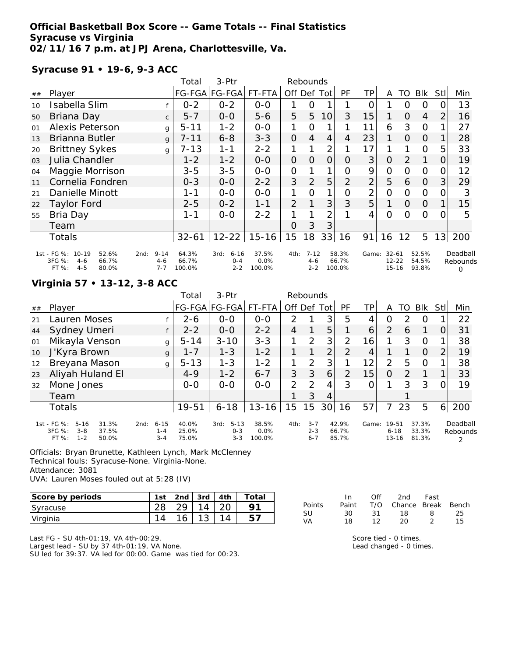## **Official Basketball Box Score -- Game Totals -- Final Statistics Syracuse vs Virginia 02/11/16 7 p.m. at JPJ Arena, Charlottesville, Va.**

**Syracuse 91 • 19-6, 9-3 ACC**

|        |                                                        |                             | Total          | 3-Ptr                       |               |                | Rebounds            |                 |                |                |                          |                |                |                |                      |
|--------|--------------------------------------------------------|-----------------------------|----------------|-----------------------------|---------------|----------------|---------------------|-----------------|----------------|----------------|--------------------------|----------------|----------------|----------------|----------------------|
| $\#\#$ | Player                                                 |                             |                | FG-FGA FG-FGA               | FT-FTA        | Off Def Tot    |                     |                 | PF             | ΤP             | A                        | TO             | <b>Blk</b>     | Stll           | Min                  |
| 10     | Isabella Slim                                          |                             | $0 - 2$        | $0 - 2$                     | $O-O$         |                | O                   |                 |                | O              |                          | O              | 0              | 0              | 13                   |
| 50     | Briana Day                                             | $\mathsf{C}$                | $5 - 7$        | $0-0$                       | $5 - 6$       | 5              | 5                   | 10 <sup>1</sup> | 3              | 15             |                          | 0              | $\overline{4}$ | $\overline{2}$ | 16                   |
| 01     | <b>Alexis Peterson</b>                                 | g                           | $5 - 11$       | $1 - 2$                     | $O-O$         | 1              | 0                   |                 |                | 11             | 6                        | 3              | $\Omega$       |                | 27                   |
| 13     | Brianna Butler                                         | $\mathbf{q}$                | $7 - 11$       | $6 - 8$                     | $3 - 3$       | $\overline{O}$ | 4                   | 4               | 4              | 23             | 1                        | $\Omega$       | $\Omega$       |                | 28                   |
| 20     | <b>Brittney Sykes</b>                                  | g                           | $7 - 13$       | $1 - 1$                     | $2 - 2$       |                |                     | 2               |                | 17             |                          |                | $\circ$        | 5              | 33                   |
| 03     | Julia Chandler                                         |                             | $1 - 2$        | $1 - 2$                     | $0 - 0$       | $\overline{O}$ | $\Omega$            | $\overline{O}$  | O              | 3              | $\overline{O}$           | $\overline{2}$ |                | 0              | 19                   |
| 04     | Maggie Morrison                                        |                             | $3 - 5$        | $3 - 5$                     | $0-0$         | $\mathbf{O}$   |                     |                 | Ω              | 9              | $\overline{O}$           | 0              | O              | $\Omega$       | 12                   |
| 11     | Cornelia Fondren                                       |                             | $0 - 3$        | $O-O$                       | $2 - 2$       | 3              | $\overline{2}$      | 5               | $\overline{2}$ | $\overline{2}$ | 5                        | 6              | 0              | 3              | 29                   |
| 21     | Danielle Minott                                        |                             | $1 - 1$        | $0 - 0$                     | $0 - 0$       | 1              | $\Omega$            | 1               | 0              | 2              | $\Omega$                 | $\Omega$       | $\Omega$       | $\Omega$       | 3                    |
| 22     | <b>Taylor Ford</b>                                     |                             | $2 - 5$        | $0 - 2$                     | $1 - 1$       | $\overline{2}$ | 1                   | 3               | 3              | 5              | 1                        | 0              | 0              |                | 15                   |
| 55     | Bria Day                                               |                             | 1-1            | $0 - 0$                     | $2 - 2$       |                |                     | $\overline{2}$  |                | 4              | $\Omega$                 | Ω              | $\circ$        | 0              | 5                    |
|        | Team                                                   |                             |                |                             |               | O              | 3                   | 3               |                |                |                          |                |                |                |                      |
|        | <b>Totals</b>                                          |                             | $32 - 61$      | $12 - 22$                   | $15 - 16$     | 15             | 18                  |                 | 33 16          | 91             | 16                       | 12             | 5              |                | 13 200               |
|        | 1st - FG %: 10-19<br>52.6%<br>3FG %:<br>66.7%<br>$4-6$ | $9 - 14$<br>2nd:<br>$4 - 6$ | 64.3%<br>66.7% | $6 - 16$<br>3rd:<br>$0 - 4$ | 37.5%<br>0.0% | 4th:           | $7 - 12$<br>$4 - 6$ |                 | 58.3%<br>66.7% |                | Game: 32-61<br>$12 - 22$ |                | 52.5%<br>54.5% |                | Deadball<br>Rebounds |
|        | $4 - 5$<br>FT %:<br>80.0%                              | $7 - 7$                     | 100.0%         | $2 - 2$                     | 100.0%        |                | $2 - 2$             |                 | 100.0%         |                | $15 - 16$                |                | 93.8%          |                | $\Omega$             |

#### **Virginia 57 • 13-12, 3-8 ACC**

|    |                                                                                             |                                        | Total                   | $3-Ptr$                                |                            |               | Rebounds                      |                |                         |       |                                |               |                         |          |                      |
|----|---------------------------------------------------------------------------------------------|----------------------------------------|-------------------------|----------------------------------------|----------------------------|---------------|-------------------------------|----------------|-------------------------|-------|--------------------------------|---------------|-------------------------|----------|----------------------|
| ## | Player                                                                                      |                                        |                         | FG-FGA FG-FGA FT-FTA                   |                            | Off Def Tot   |                               |                | PF                      | TP.   | A                              | TO            | Blk                     | Stll     | Min                  |
| 21 | Lauren Moses                                                                                |                                        | $2 - 6$                 | $0 - 0$                                | $O - O$                    | $\mathcal{P}$ |                               | 3              | 5                       | 4     | 0                              | $\mathcal{P}$ | O                       |          | 22                   |
| 44 | Sydney Umeri                                                                                |                                        | $2 - 2$                 | $O-O$                                  | $2 - 2$                    | 4             |                               | 5              |                         | 6     | $\overline{2}$                 | 6             |                         | $\Omega$ | 31                   |
| 01 | Mikayla Venson                                                                              | g                                      | $5 - 14$                | $3 - 10$                               | $3 - 3$                    | 1             | 2                             | 3              | $\overline{2}$          | 16    |                                | 3             | $\Omega$                |          | 38                   |
| 10 | J'Kyra Brown                                                                                | $\mathbf{q}$                           | $1 - 7$                 | $1 - 3$                                | $1 - 2$                    |               |                               | $\overline{2}$ | 2                       | 4     |                                |               | $\Omega$                | 2        | 19                   |
| 12 | Breyana Mason                                                                               | g                                      | $5 - 13$                | $1 - 3$                                | $1 - 2$                    | 1             | 2                             | 3 <sub>l</sub> |                         | 12    | 2                              | 5             | $\Omega$                |          | 38                   |
| 23 | Aliyah Huland El                                                                            |                                        | $4 - 9$                 | $1 - 2$                                | $6 - 7$                    | 3             | 3                             | 6              | $\overline{2}$          | 15    | O                              | $\mathcal{P}$ |                         |          | 33                   |
| 32 | Mone Jones                                                                                  |                                        | $0 - 0$                 | $0 - 0$                                | $0 - 0$                    | 2             | $\mathcal{P}$                 | 4              | 3                       | Ω     |                                | 3             | 3                       | 0        | 19                   |
|    | Team                                                                                        |                                        |                         |                                        |                            |               | 3                             | 4              |                         |       |                                |               |                         |          |                      |
|    | <b>Totals</b>                                                                               |                                        | 19-51                   | $6 - 18$                               | $13 - 16$                  | 15            | 15                            | 30             | 16                      | 57    |                                | 23            | 5                       | 6        | 200                  |
|    | 1st - FG %:<br>$5 - 16$<br>31.3%<br>3FG %:<br>$3 - 8$<br>37.5%<br>$1 - 2$<br>FT %:<br>50.0% | $6 - 15$<br>2nd:<br>$1 - 4$<br>$3 - 4$ | 40.0%<br>25.0%<br>75.0% | $5 - 13$<br>3rd:<br>$0 - 3$<br>$3 - 3$ | 38.5%<br>$0.0\%$<br>100.0% | 4th:          | $3 - 7$<br>$2 - 3$<br>$6 - 7$ |                | 42.9%<br>66.7%<br>85.7% | Game: | 19-51<br>$6 - 18$<br>$13 - 16$ |               | 37.3%<br>33.3%<br>81.3% |          | Deadball<br>Rebounds |

Officials: Bryan Brunette, Kathleen Lynch, Mark McClenney Technical fouls: Syracuse-None. Virginia-None. Attendance: 3081

UVA: Lauren Moses fouled out at 5:28 (IV)

| Score by periods | 1st | 2nd    | 3rd    | 4th | $\tau$ otai |
|------------------|-----|--------|--------|-----|-------------|
| Syracuse         |     |        |        |     |             |
| Virginia         |     | $\sim$ | $\sim$ |     |             |

|        | In In | Off   | 2nd Fast               |                |    |
|--------|-------|-------|------------------------|----------------|----|
| Points | Paint |       | T/O Chance Break Bench |                |    |
| -SU    | 30.   | -31 - | 18                     | - 8            | 25 |
| VA     | 18    | 12    | 20                     | $\overline{2}$ | 15 |

Last FG - SU 4th-01:19, VA 4th-00:29. Largest lead - SU by 37 4th-01:19, VA None. SU led for 39:37. VA led for 00:00. Game was tied for 00:23. Score tied - 0 times. Lead changed - 0 times.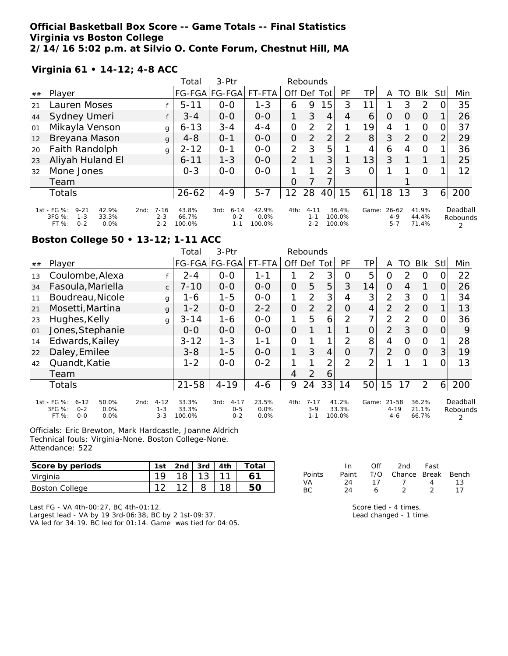## **Official Basketball Box Score -- Game Totals -- Final Statistics Virginia vs Boston College 2/14/16 5:02 p.m. at Silvio O. Conte Forum, Chestnut Hill, MA**

**Virginia 61 • 14-12; 4-8 ACC**

|    |                                                                                            |                                        | Total                    | $3-Ptr$                                |                         | Rebounds       |                                |      |                           |                |                                 |               |                         |                |                           |
|----|--------------------------------------------------------------------------------------------|----------------------------------------|--------------------------|----------------------------------------|-------------------------|----------------|--------------------------------|------|---------------------------|----------------|---------------------------------|---------------|-------------------------|----------------|---------------------------|
| ## | Player                                                                                     |                                        |                          | FG-FGA FG-FGA                          | FT-FTA                  | Off Def        |                                | Totl | PF                        | TP             | Α                               | TO.           | <b>BIK</b>              | Stll           | Min                       |
| 21 | Lauren Moses                                                                               |                                        | $5 - 11$                 | $0 - 0$                                | $1 - 3$                 | 6              | 9                              | 5    | 3                         | $1^{\cdot}$    |                                 | 3             | 2                       |                | 35                        |
| 44 | Sydney Umeri                                                                               |                                        | $3 - 4$                  | $0-0$                                  | $0-0$                   | 1              | 3                              | 4    | 4                         | 6              | $\Omega$                        | O             | $\Omega$                |                | 26                        |
| 01 | Mikayla Venson                                                                             | g                                      | $6 - 13$                 | $3 - 4$                                | $4 - 4$                 | 0              | 2                              | 2    |                           | 19             | 4                               |               | $\Omega$                |                | 37                        |
| 12 | Breyana Mason                                                                              | g                                      | $4 - 8$                  | $0 - 1$                                | $0-0$                   | $\overline{O}$ | 2                              | 2    | $\mathcal{P}$             | 8 <sup>1</sup> | 3                               | $\mathcal{P}$ | $\Omega$                | $\overline{2}$ | 29                        |
| 20 | Faith Randolph                                                                             | q                                      | $2 - 12$                 | $0 - 1$                                | $0-0$                   | $\overline{2}$ | 3                              | 5    |                           | 4              | 6                               | 4             | $\Omega$                |                | 36                        |
| 23 | Aliyah Huland El                                                                           |                                        | $6 - 11$                 | $1 - 3$                                | $0 - 0$                 | $\overline{2}$ |                                | 3    |                           | 13             | 3                               |               |                         |                | 25                        |
| 32 | Mone Jones                                                                                 |                                        | $0 - 3$                  | $0 - 0$                                | $0 - 0$                 |                |                                | 2    | 3                         | 0              |                                 |               | $\Omega$                |                | 12                        |
|    | Team                                                                                       |                                        |                          |                                        |                         | Ο              |                                |      |                           |                |                                 |               |                         |                |                           |
|    | Totals                                                                                     |                                        | $26 - 62$                | $4 - 9$                                | $5 - 7$                 | 12             | 28                             | 40   | 15                        | 61             | 18                              | 13            | 3                       | 61             | 200                       |
|    | 1st - FG %:<br>$9 - 21$<br>42.9%<br>3FG %:<br>33.3%<br>$1 - 3$<br>FT %:<br>$0 - 2$<br>0.0% | $7 - 16$<br>2nd:<br>$2 - 3$<br>$2 - 2$ | 43.8%<br>66.7%<br>100.0% | $6 - 14$<br>3rd:<br>$0 - 2$<br>$1 - 1$ | 42.9%<br>0.0%<br>100.0% | 4th:           | $4 - 11$<br>$1 - 1$<br>$2 - 2$ |      | 36.4%<br>100.0%<br>100.0% | Game:          | $26 - 62$<br>$4 - 9$<br>$5 - 7$ |               | 41.9%<br>44.4%<br>71.4% |                | Deadball<br>Rebounds<br>っ |

## **Boston College 50 • 13-12; 1-11 ACC**

|    |                                                                                         |                                        | Total                    | $3-Ptr$                                |                          | Rebounds |                              |                |                          |                |                            |               |                         |          |                           |
|----|-----------------------------------------------------------------------------------------|----------------------------------------|--------------------------|----------------------------------------|--------------------------|----------|------------------------------|----------------|--------------------------|----------------|----------------------------|---------------|-------------------------|----------|---------------------------|
| ## | Player                                                                                  |                                        |                          | FG-FGA FG-FGA FT-FTA                   |                          | Off      | Def                          | Tot            | PF                       | TР             | A                          | TO            | Blk                     | Stl      | Min                       |
| 13 | Coulombe, Alexa                                                                         |                                        | $2 - 4$                  | $0 - 0$                                | 1-1                      |          | 2                            | 3              | 0                        | 5              | O                          | 2             | $\Omega$                | O        | 22                        |
| 34 | Fasoula, Mariella                                                                       | $\mathsf{C}$                           | $7 - 10$                 | $0 - 0$                                | $0 - 0$                  | 0        | 5                            | 5              | 3                        | 14             | $\Omega$                   | 4             |                         | $\Omega$ | 26                        |
| 11 | Boudreau, Nicole                                                                        | g                                      | 1-6                      | $1 - 5$                                | $0 - 0$                  | 1        | 2                            | 3              | 4                        | 3              | 2                          | 3             | $\Omega$                |          | 34                        |
| 21 | Mosetti, Martina                                                                        | $\mathbf{q}$                           | $1 - 2$                  | $0 - 0$                                | $2 - 2$                  | O        | $\overline{2}$               | $\overline{2}$ | $\Omega$                 | 4              | 2                          | 2             | $\Omega$                |          | 13                        |
| 23 | Hughes, Kelly                                                                           | $\mathbf{q}$                           | $3 - 14$                 | 1-6                                    | $0 - 0$                  | 1        | 5                            | 6              | 2                        | 7              | $\overline{2}$             | $\mathcal{P}$ | $\Omega$                | $\Omega$ | 36                        |
| 01 | Jones, Stephanie                                                                        |                                        | $0 - 0$                  | $0 - 0$                                | $0 - 0$                  | 0        |                              |                |                          | 0              | $\overline{2}$             | 3             | $\Omega$                | $\Omega$ | 9                         |
| 14 | Edwards, Kailey                                                                         |                                        | $3 - 12$                 | $1 - 3$                                | 1 - 1                    | 0        |                              | 1              | 2                        | 8              | 4                          | $\Omega$      | $\Omega$                |          | 28                        |
| 22 | Daley, Emilee                                                                           |                                        | $3 - 8$                  | $1 - 5$                                | $O-O$                    | 1        | 3                            | 4              | $\Omega$                 | $\overline{7}$ | $\overline{2}$             | $\Omega$      | $\Omega$                | 3        | 19                        |
| 42 | Quandt, Katie                                                                           |                                        | $1 - 2$                  | $0 - 0$                                | $0 - 2$                  |          |                              | 2              | 2                        | 2              |                            |               |                         |          | 13                        |
|    | Team                                                                                    |                                        |                          |                                        |                          | 4        | 2                            | 6              |                          |                |                            |               |                         |          |                           |
|    | Totals                                                                                  |                                        | $21 - 58$                | $4 - 19$                               | $4 - 6$                  | 9        | 24                           | 33             | 14                       | 50             | 15                         | 17            | $\overline{2}$          | 6        | 200                       |
|    | 1st - FG %:<br>$6 - 12$<br>50.0%<br>3FG %:<br>0.0%<br>$0 - 2$<br>$0 - 0$<br>0.0%<br>FT% | $4 - 12$<br>2nd:<br>$1 - 3$<br>$3 - 3$ | 33.3%<br>33.3%<br>100.0% | 3rd:<br>$4 - 17$<br>$0 - 5$<br>$0 - 2$ | 23.5%<br>$0.0\%$<br>0.0% | 4th:     | $7 - 17$<br>$3-9$<br>$1 - 1$ |                | 41.2%<br>33.3%<br>100.0% | Game:          | 21-58<br>$4 - 19$<br>$4-6$ |               | 36.2%<br>21.1%<br>66.7% |          | Deadball<br>Rebounds<br>2 |

Officials: Eric Brewton, Mark Hardcastle, Joanne Aldrich Technical fouls: Virginia-None. Boston College-None. Attendance: 522

| Score by periods      | 1st             | 2nd  | l 3rd | Total |
|-----------------------|-----------------|------|-------|-------|
| Virginia              | 19 <sub>1</sub> | 18 L |       |       |
| <b>Boston College</b> |                 |      |       |       |

|        | In.   | ∩ff | 2nd Fast               |                   |     |
|--------|-------|-----|------------------------|-------------------|-----|
| Points | Paint |     | T/O Chance Break Bench |                   |     |
| VA.    | 24    | 17  | $\overline{1}$         | $\mathbf{\Delta}$ | 13. |
| BC.    | 24    | 6   |                        |                   | 17  |

Last FG - VA 4th-00:27, BC 4th-01:12.

Largest lead - VA by 19 3rd-06:38, BC by 2 1st-09:37. VA led for 34:19. BC led for 01:14. Game was tied for 04:05. Score tied - 4 times. Lead changed - 1 time.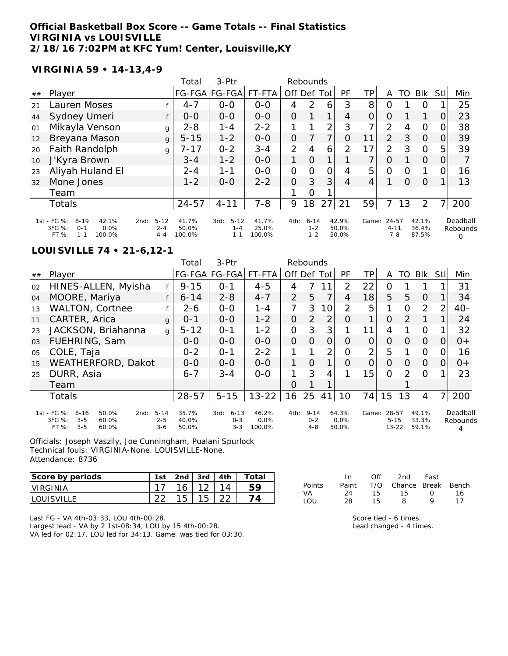### **Official Basketball Box Score -- Game Totals -- Final Statistics VIRGINIA vs LOUISVILLE 2/18/16 7:02PM at KFC Yum! Center, Louisville,KY**

## **VIRGINIA 59 • 14-13,4-9**

|    |                                                                                           |                                        | Total                    | 3-Ptr                                  |                          |                | Rebounds                   |                |                         |                |                                  |          |                         |      |                           |
|----|-------------------------------------------------------------------------------------------|----------------------------------------|--------------------------|----------------------------------------|--------------------------|----------------|----------------------------|----------------|-------------------------|----------------|----------------------------------|----------|-------------------------|------|---------------------------|
| ## | Player                                                                                    |                                        | <b>FG-FGA</b>            | FG-FGA                                 | FT-FTA                   | Off Def        |                            | Tot            | PF                      | ΤP             | A                                | TO       | <b>BIK</b>              | Stll | Min                       |
| 21 | Lauren Moses                                                                              |                                        | $4 - 7$                  | $O-O$                                  | $O-O$                    | 4              | $\mathcal{P}$              | 6              | 3                       | 8              | O                                |          | O                       |      | 25                        |
| 44 | Sydney Umeri                                                                              |                                        | $0 - 0$                  | $0-0$                                  | $0-0$                    | 0              |                            |                | 4                       | 0              | $\Omega$                         |          |                         | 0    | 23                        |
| 01 | Mikayla Venson                                                                            | g                                      | $2 - 8$                  | $1 - 4$                                | $2 - 2$                  | 1              |                            | 2              | 3                       | $\overline{ }$ | $\overline{2}$                   | 4        | $\circ$                 | 0    | 38                        |
| 12 | Breyana Mason                                                                             | $\mathbf{q}$                           | $5 - 15$                 | $1 - 2$                                | $0 - 0$                  | 0              |                            | 7              | $\Omega$                | 11             | $\mathcal{P}$                    | 3        | $\Omega$                | 0    | 39                        |
| 20 | Faith Randolph                                                                            | g                                      | $7 - 17$                 | $0 - 2$                                | $3 - 4$                  | $\overline{2}$ | 4                          | 6              | 2                       | 17             | 2                                | 3        | $\Omega$                | 5    | 39                        |
| 10 | J'Kyra Brown                                                                              |                                        | $3 - 4$                  | $1 - 2$                                | $0 - 0$                  | 1              | $\Omega$                   | 1              |                         | 7              | O                                |          | $\Omega$                | 0    |                           |
| 23 | Aliyah Huland El                                                                          |                                        | $2 - 4$                  | $1 - 1$                                | $O - O$                  | 0              | $\Omega$                   | $\overline{O}$ | 4                       | 5              | $\Omega$                         | O        |                         | 0    | 16                        |
| 32 | Mone Jones                                                                                |                                        | $1 - 2$                  | $0 - 0$                                | $2 - 2$                  | $\overline{O}$ | 3                          | 3              | 4                       | 4              |                                  | $\Omega$ | $\Omega$                |      | 13                        |
|    | Team                                                                                      |                                        |                          |                                        |                          |                | $\overline{O}$             |                |                         |                |                                  |          |                         |      |                           |
|    | Totals                                                                                    |                                        | $24 - 57$                | $4 - 11$                               | $7 - 8$                  | 9              | 18                         | 27             | 21                      | 59             | 7                                | 13       | 2                       | 7.   | 200                       |
|    | 1st - FG %:<br>$8 - 19$<br>42.1%<br>3FG %:<br>0.0%<br>$0 - 1$<br>FT%<br>$1 - 1$<br>100.0% | $5 - 12$<br>2nd:<br>$2 - 4$<br>$4 - 4$ | 41.7%<br>50.0%<br>100.0% | $5 - 12$<br>3rd:<br>$1 - 4$<br>$1 - 1$ | 41.7%<br>25.0%<br>100.0% | 4th:           | $6 - 14$<br>$1 - 2$<br>1-2 |                | 42.9%<br>50.0%<br>50.0% | Game:          | $24 - 57$<br>$4 - 11$<br>$7 - 8$ |          | 42.1%<br>36.4%<br>87.5% |      | Deadball<br>Rebounds<br>Ω |

#### **LOUISVILLE 74 • 21-6,12-1**

|    |                                                                                                                                       |              | Total                   | $3-$ Ptr                               |                            |                | Rebounds                       |                |                           |          |                                |          |                         |               |                      |
|----|---------------------------------------------------------------------------------------------------------------------------------------|--------------|-------------------------|----------------------------------------|----------------------------|----------------|--------------------------------|----------------|---------------------------|----------|--------------------------------|----------|-------------------------|---------------|----------------------|
| ## | Player                                                                                                                                |              |                         | FG-FGA FG-FGA                          | FT-FTA                     | Off            | Def                            | Tot            | PF                        | TP.      | A                              | TO       | <b>BIK</b>              | Stll          | Min                  |
| 02 | HINES-ALLEN, Myisha                                                                                                                   |              | $9 - 15$                | $0 - 1$                                | $4 - 5$                    | 4              |                                | 11             | 2                         | 22       | 0                              |          |                         |               | 31                   |
| 04 | MOORE, Mariya                                                                                                                         |              | $6 - 14$                | $2 - 8$                                | $4 - 7$                    | 2              | 5                              | 7              | 4                         | 18       | 5                              | 5        | $\Omega$                |               | 34                   |
| 13 | <b>WALTON, Cortnee</b>                                                                                                                |              | 2-6                     | $0-0$                                  | $1 - 4$                    | 7              | 3                              | 10             | $\overline{2}$            | 5        |                                | Ω        | 2                       | $\mathcal{P}$ | $40-$                |
| 11 | CARTER, Arica                                                                                                                         | q            | $0 - 1$                 | $0 - 0$                                | $1 - 2$                    | $\Omega$       | $\overline{2}$                 | 2              | Ο                         |          | 0                              | 2        |                         |               | 24                   |
| 23 | JACKSON, Briahanna                                                                                                                    | $\mathbf{q}$ | $5 - 12$                | $O - 1$                                | $1 - 2$                    | 0              | 3                              | 3              |                           | 11       | 4                              |          | $\Omega$                |               | 32                   |
| 03 | FUEHRING, Sam                                                                                                                         |              | $O-O$                   | $0-0$                                  | $0 - 0$                    | $\overline{O}$ | $\Omega$                       | 0              | Ω                         | Ο        | 0                              | $\Omega$ | $\Omega$                | $\Omega$      | $0+$                 |
| 05 | COLE, Taja                                                                                                                            |              | $0 - 2$                 | $O - 1$                                | $2 - 2$                    |                |                                | $\overline{2}$ | Ω                         | 2        | 5                              |          | 0                       | ( )           | 16                   |
| 15 | WEATHERFORD, Dakot                                                                                                                    |              | $0 - 0$                 | $0 - 0$                                | $0 - 0$                    | $\mathbf{1}$   | $\Omega$                       | 1              | O                         | $\Omega$ | $\Omega$                       | $\Omega$ | $\Omega$                | 0             | $O +$                |
| 25 | DURR, Asia                                                                                                                            |              | $6 - 7$                 | $3 - 4$                                | $0-0$                      |                | 3                              | 4              |                           | 15       | $\Omega$                       | 2        | $\Omega$                |               | 23                   |
|    | Team                                                                                                                                  |              |                         |                                        |                            | $\Omega$       |                                |                |                           |          |                                |          |                         |               |                      |
|    | Totals                                                                                                                                |              | $28 - 57$               | $5 - 15$                               | $13 - 22$                  | 16             | 25                             | 41             | 10                        | 74       | 15                             | 13       | 4                       | 71            | 200                  |
|    | 1st - FG %:<br>$8 - 16$<br>50.0%<br>$5 - 14$<br>2nd:<br>3FG %:<br>$3 - 5$<br>60.0%<br>$2 - 5$<br>$3 - 5$<br>FT %:<br>60.0%<br>$3 - 6$ |              | 35.7%<br>40.0%<br>50.0% | $6 - 13$<br>3rd:<br>$0 - 3$<br>$3 - 3$ | 46.2%<br>$0.0\%$<br>100.0% | 4th:           | $9 - 14$<br>$0 - 2$<br>$4 - 8$ |                | 64.3%<br>$0.0\%$<br>50.0% | Game:    | 28-57<br>$5 - 15$<br>$13 - 22$ |          | 49.1%<br>33.3%<br>59.1% |               | Deadball<br>Rebounds |

Officials: Joseph Vaszily, Joe Cunningham, Pualani Spurlock Technical fouls: VIRGINIA-None. LOUISVILLE-None. Attendance: 8736

| Score by periods   | 1st    | 2 <sub>nd</sub> | 3rd      | 4th | $\tau$ otai |
|--------------------|--------|-----------------|----------|-----|-------------|
| <b>IVIRGINIA</b>   |        |                 | $\Omega$ |     |             |
| <b>ILOUISVILLE</b> | $\cap$ |                 | 15       |     |             |

| Last FG - VA 4th-03:33, LOU 4th-00:28.                        |
|---------------------------------------------------------------|
| Largest lead - VA by 2 1st-08:34, LOU by 15 4th-00:28.        |
| VA led for 02:17. LOU led for 34:13. Game was tied for 03:30. |

|        | In.   | Off | 2nd                    | Fast             |    |
|--------|-------|-----|------------------------|------------------|----|
| Points | Paint |     | T/O Chance Break Bench |                  |    |
| VA.    | 24    | 15. | 15.                    | $\left( \right)$ | 16 |
| $1$ OU | 28.   | 15. | 8                      | o                | 17 |

Score tied - 6 times. Lead changed - 4 times.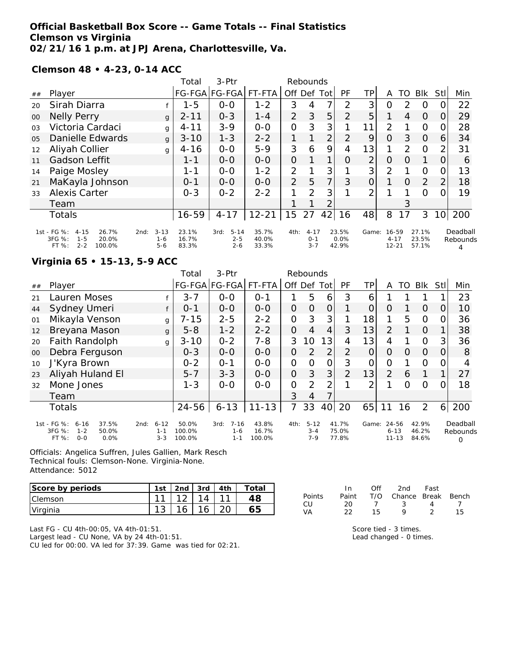## **Official Basketball Box Score -- Game Totals -- Final Statistics Clemson vs Virginia 02/21/16 1 p.m. at JPJ Arena, Charlottesville, Va.**

**Clemson 48 • 4-23, 0-14 ACC**

|                |                                                                                              |                                        | Total                   | $3-Ptr$                                |                         |                | Rebounds                       |                |                        |                |                                |               |                         |                 |                      |
|----------------|----------------------------------------------------------------------------------------------|----------------------------------------|-------------------------|----------------------------------------|-------------------------|----------------|--------------------------------|----------------|------------------------|----------------|--------------------------------|---------------|-------------------------|-----------------|----------------------|
| ##             | Player                                                                                       |                                        |                         | FG-FGA FG-FGA                          | FT-FTA                  | Off Def        |                                | Tot            | PF                     | TPI            | A                              | TO            | Blk                     | <b>Stll</b>     | Min                  |
| 20             | Sirah Diarra                                                                                 |                                        | $1 - 5$                 | $0-0$                                  | $1 - 2$                 | 3              | 4                              | 7              | 2                      | 3              | O                              | $\mathcal{P}$ | O                       | $\Omega$        | 22                   |
| $00\,$         | <b>Nelly Perry</b>                                                                           | g                                      | $2 - 11$                | $0 - 3$                                | $1 - 4$                 | 2              | 3                              | 5              | 2                      | 5              |                                | 4             | 0                       | O.              | 29                   |
| 0 <sub>3</sub> | Victoria Cardaci                                                                             | g                                      | $4 - 11$                | $3 - 9$                                | $0-0$                   | $\overline{O}$ | 3                              | 3              |                        | 11             | $\overline{2}$                 |               | $\Omega$                | O.              | 28                   |
| 0 <sub>5</sub> | Danielle Edwards                                                                             | g                                      | $3 - 10$                | $1 - 3$                                | $2 - 2$                 |                |                                | $\overline{2}$ | 2                      | 9              | $\Omega$                       | 3             | $\Omega$                | 6               | 34                   |
| 12             | Aliyah Collier                                                                               | g                                      | $4 - 16$                | $0 - 0$                                | $5 - 9$                 | 3              | 6                              | 9              | 4                      | 13             |                                | $\mathcal{P}$ | O                       | $\overline{2}$  | 31                   |
| 11             | <b>Gadson Leffit</b>                                                                         |                                        | $1 - 1$                 | $0-0$                                  | $0-0$                   | 0              |                                | 1              | Ο                      | $\overline{2}$ | 0                              | O             |                         | O               | 6                    |
| 14             | Paige Mosley                                                                                 |                                        | 1-1                     | $0 - 0$                                | $1 - 2$                 | $\overline{2}$ |                                | 3              |                        | 3 <sup>1</sup> | 2                              |               | O                       | 0               | 13                   |
| 21             | MaKayla Johnson                                                                              |                                        | $0 - 1$                 | $0 - 0$                                | $0 - 0$                 | $\overline{2}$ | 5                              | $\overline{7}$ | 3                      | $\overline{O}$ |                                | 0             | 2                       | $\overline{2}$  | 18                   |
| 33             | <b>Alexis Carter</b>                                                                         |                                        | $O - 3$                 | $0 - 2$                                | $2 - 2$                 |                | $\mathcal{P}$                  | 3              |                        | 2              |                                |               | $\Omega$                |                 | 19                   |
|                | Team                                                                                         |                                        |                         |                                        |                         |                |                                | 2              |                        |                |                                | 3             |                         |                 |                      |
|                | <b>Totals</b>                                                                                |                                        | $16 - 59$               | $4 - 17$                               | $12 - 21$               | 15             | 27                             | 42             | 16                     | 48             | 8                              | 17            | 3                       | 10 <sup>1</sup> | 200                  |
|                | 1st - FG %:<br>$4 - 15$<br>26.7%<br>3FG %:<br>20.0%<br>$1 - 5$<br>$2 - 2$<br>FT %:<br>100.0% | $3 - 13$<br>2nd:<br>$1 - 6$<br>$5 - 6$ | 23.1%<br>16.7%<br>83.3% | $5 - 14$<br>3rd:<br>$2 - 5$<br>$2 - 6$ | 35.7%<br>40.0%<br>33.3% | 4th:           | $4 - 17$<br>$O - 1$<br>$3 - 7$ |                | 23.5%<br>0.0%<br>42.9% | Game:          | 16-59<br>$4 - 17$<br>$12 - 21$ |               | 27.1%<br>23.5%<br>57.1% |                 | Deadball<br>Rebounds |

## **Virginia 65 • 15-13, 5-9 ACC**

|        |                                                                                          |                                        | Total                     | $3-Ptr$                                |                          |                | Rebounds                       |                |                         |       |                                |          |                         |     |                           |
|--------|------------------------------------------------------------------------------------------|----------------------------------------|---------------------------|----------------------------------------|--------------------------|----------------|--------------------------------|----------------|-------------------------|-------|--------------------------------|----------|-------------------------|-----|---------------------------|
| ##     | Player                                                                                   |                                        |                           | FG-FGA FG-FGA                          | FT-FTA                   | Off            | Def                            | Tot            | <b>PF</b>               | ТP    | A                              | TO       | <b>BIK</b>              | Stl | Min                       |
| 21     | Lauren Moses                                                                             |                                        | $3 - 7$                   | $0-0$                                  | $O - 1$                  |                | 5                              | 6              | 3                       | 6     |                                |          |                         |     | 23                        |
| 44     | Sydney Umeri                                                                             | f                                      | $O - 1$                   | $0 - 0$                                | $0 - 0$                  | $\overline{O}$ | 0                              | $\overline{O}$ |                         | O     | O                              |          | $\Omega$                | 0   | 10                        |
| 01     | Mikayla Venson                                                                           | g                                      | $7 - 15$                  | $2 - 5$                                | $2 - 2$                  | $\mathcal{O}$  | 3                              | 3              |                         | 18    | 1                              | 5        | $\Omega$                | O   | 36                        |
| 12     | Breyana Mason                                                                            | g                                      | $5 - 8$                   | $1 - 2$                                | $2 - 2$                  | $\overline{O}$ | 4                              | 4              | 3                       | 13    | $\overline{2}$                 |          | $\Omega$                |     | 38                        |
| 20     | Faith Randolph                                                                           | g                                      | $3 - 10$                  | $0 - 2$                                | $7 - 8$                  | 3              | 10                             | 13             | 4                       | 13    | 4                              |          | $\Omega$                | 3   | 36                        |
| $00\,$ | Debra Ferguson                                                                           |                                        | $0 - 3$                   | $0-0$                                  | $0-0$                    | 0              | 2                              | $\overline{2}$ | 2                       | 0     | O                              | $\Omega$ | $\Omega$                |     | 8                         |
| 10     | J'Kyra Brown                                                                             |                                        | $0 - 2$                   | $O - 1$                                | $0 - 0$                  | $\mathcal{O}$  | $\Omega$                       | $\mathcal{O}$  | 3                       | 0     | O                              |          | $\Omega$                | O   | 4                         |
| 23     | Aliyah Huland El                                                                         |                                        | $5 - 7$                   | $3 - 3$                                | $0 - 0$                  | $\Omega$       | 3                              | 3 <sup>1</sup> | $\overline{2}$          | 13    | $\overline{2}$                 | 6        | 1                       |     | 27                        |
| 32     | Mone Jones                                                                               |                                        | $1 - 3$                   | $0 - 0$                                | $0-0$                    | 0              | 2                              | 2              |                         | 2     |                                | Ω        | $\Omega$                |     | 18                        |
|        | Team                                                                                     |                                        |                           |                                        |                          | 3              | 4                              | 7              |                         |       |                                |          |                         |     |                           |
|        | Totals                                                                                   |                                        | $24 - 56$                 | $6 - 13$                               | $11 - 13$                | 7              | 33                             | 40             | 20                      | 65    | 11                             | 16       | $\overline{2}$          | 6   | 200                       |
|        | 1st - FG %:<br>37.5%<br>$6 - 16$<br>3FG %:<br>50.0%<br>$1 - 2$<br>FT%<br>$0 - 0$<br>0.0% | $6 - 12$<br>2nd:<br>$1 - 1$<br>$3 - 3$ | 50.0%<br>100.0%<br>100.0% | $7 - 16$<br>3rd:<br>$1 - 6$<br>$1 - 1$ | 43.8%<br>16.7%<br>100.0% | 4th:           | $5 - 12$<br>$3 - 4$<br>$7 - 9$ |                | 41.7%<br>75.0%<br>77.8% | Game: | 24-56<br>$6 - 13$<br>$11 - 13$ |          | 42.9%<br>46.2%<br>84.6% |     | Deadball<br>Rebounds<br>0 |

Officials: Angelica Suffren, Jules Gallien, Mark Resch Technical fouls: Clemson-None. Virginia-None. Attendance: 5012

| Score by periods | 1st |       | 2nd $3rd$ $4th$ | Total |
|------------------|-----|-------|-----------------|-------|
| <b>Clemson</b>   | 11  | . 12. | 14              |       |
| Virginia         |     |       | 16              | 65    |

Last FG - CU 4th-00:05, VA 4th-01:51.

Largest lead - CU None, VA by 24 4th-01:51. CU led for 00:00. VA led for 37:39. Game was tied for 02:21.

| Paint T/O Chance Break Bench |
|------------------------------|
|                              |
| 15.                          |
|                              |

Score tied - 3 times.

Lead changed - 0 times.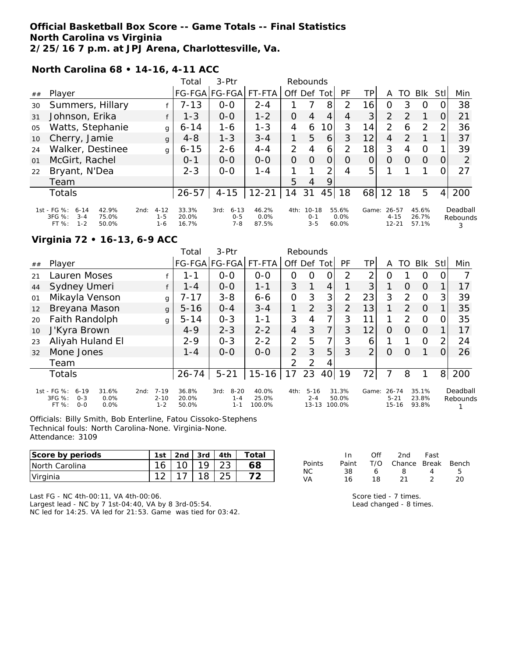## **Official Basketball Box Score -- Game Totals -- Final Statistics North Carolina vs Virginia 2/25/16 7 p.m. at JPJ Arena, Charlottesville, Va.**

**North Carolina 68 • 14-16, 4-11 ACC**

|    |                                                                                               |                                        | Total                   | 3-Ptr                                  |                        | Rebounds       |                                 |                |                           |                 |                                |               |                         |                |                           |
|----|-----------------------------------------------------------------------------------------------|----------------------------------------|-------------------------|----------------------------------------|------------------------|----------------|---------------------------------|----------------|---------------------------|-----------------|--------------------------------|---------------|-------------------------|----------------|---------------------------|
| ## | Player                                                                                        |                                        |                         | FG-FGA FG-FGA                          | FT-FTA                 | Off Def Tot    |                                 |                | PF                        | TP              | A                              | TO.           | <b>BIK</b>              | Stll           | Min                       |
| 30 | Summers, Hillary                                                                              |                                        | $7 - 13$                | $0 - 0$                                | $2 - 4$                |                |                                 | 8              | 2                         | 16              | 0                              | 3             | O                       |                | 38                        |
| 31 | Johnson, Erika                                                                                |                                        | $1 - 3$                 | $0 - 0$                                | $1 - 2$                | 0              | 4                               | 4              | 4                         | 3 <sup>1</sup>  | $\overline{2}$                 | $\mathcal{P}$ |                         | 0              | 21                        |
| 05 | Watts, Stephanie                                                                              | g                                      | $6 - 14$                | 1-6                                    | $1 - 3$                | 4              | 6                               | 10             | 3                         | 14              | $\overline{2}$                 | 6             | $\mathcal{P}$           | 2              | 36                        |
| 10 | Cherry, Jamie                                                                                 | g                                      | $4 - 8$                 | $1 - 3$                                | $3 - 4$                | 1              | 5                               | 6              | 3                         | 12 <sub>1</sub> | $\overline{4}$                 | 2             |                         |                | 37                        |
| 24 | Walker, Destinee                                                                              | g                                      | $6 - 15$                | $2 - 6$                                | $4 - 4$                | $\overline{2}$ | 4                               | 6              | 2                         | 18              | 3                              | 4             | $\Omega$                |                | 39                        |
| 01 | McGirt, Rachel                                                                                |                                        | $O - 1$                 | $0 - 0$                                | $0 - 0$                | $\overline{O}$ | 0                               | $\overline{O}$ | O                         | 0               | $\Omega$                       | O             | $\Omega$                | 0              | 2                         |
| 22 | Bryant, N'Dea                                                                                 |                                        | $2 - 3$                 | $0 - 0$                                | $1 - 4$                |                |                                 | っ              | 4                         | 5               |                                |               |                         |                | 27                        |
|    | Team                                                                                          |                                        |                         |                                        |                        | 5              | 4                               | 9              |                           |                 |                                |               |                         |                |                           |
|    | Totals                                                                                        |                                        | $26 - 57$               | $4 - 15$                               | $12 - 21$              | 14             | 31                              | 45             | 18                        | 68              | 12                             | 18            | 5                       | 4 <sup>1</sup> | 200                       |
|    | 1st - FG %:<br>42.9%<br>$6 - 14$<br>3FG %:<br>$3 - 4$<br>75.0%<br>$1 - 2$<br>$FT%$ :<br>50.0% | $4 - 12$<br>2nd:<br>$1 - 5$<br>$1 - 6$ | 33.3%<br>20.0%<br>16.7% | $6 - 13$<br>3rd:<br>$0 - 5$<br>$7 - 8$ | 46.2%<br>0.0%<br>87.5% | 4th:           | $10 - 18$<br>$O - 1$<br>$3 - 5$ |                | 55.6%<br>$0.0\%$<br>60.0% | Game:           | 26-57<br>$4 - 15$<br>$12 - 21$ |               | 45.6%<br>26.7%<br>57.1% |                | Deadball<br>Rebounds<br>3 |

## **Virginia 72 • 16-13, 6-9 ACC**

|    |                                                                                           |                                         | Total                   | 3-Ptr                                  |                          |                | Rebounds                         |                 |                          |                |                                    |                |                         |                |                      |
|----|-------------------------------------------------------------------------------------------|-----------------------------------------|-------------------------|----------------------------------------|--------------------------|----------------|----------------------------------|-----------------|--------------------------|----------------|------------------------------------|----------------|-------------------------|----------------|----------------------|
| ## | Player                                                                                    |                                         |                         | FG-FGA FG-FGA FT-FTA                   |                          | Off Def Tot    |                                  |                 | PF                       | ΤP             | A                                  | TO             | Blk                     | Stl            | Min                  |
| 21 | Lauren Moses                                                                              |                                         | $1 - 1$                 | $0 - 0$                                | $0-0$                    | $\Omega$       | $\Omega$                         | 0               | 2                        | 2              | $\Omega$                           |                | $\Omega$                |                |                      |
| 44 | Sydney Umeri                                                                              | f                                       | $1 - 4$                 | $O-O$                                  | $1 - 1$                  | 3              | 1                                | 4               |                          | 3 <sup>1</sup> |                                    | $\Omega$       | $\Omega$                |                | 17                   |
| 01 | Mikayla Venson                                                                            | g                                       | 7-17                    | $3 - 8$                                | $6 - 6$                  | 0              | 3                                | 3 <sub>l</sub>  | 2                        | 23             | 3                                  | 2              | $\Omega$                | 3              | 39                   |
| 12 | Breyana Mason                                                                             | $\mathbf{q}$                            | $5 - 16$                | $0 - 4$                                | $3 - 4$                  |                | 2                                | 3               | 2                        | 13             | 1                                  | $\overline{2}$ | $\Omega$                |                | 35                   |
| 20 | Faith Randolph                                                                            | g                                       | $5 - 14$                | $O - 3$                                | 1-1                      | 3              | 4                                | 7 <sub>1</sub>  | 3                        | 11             |                                    | $\mathcal{P}$  | $\Omega$                |                | 35                   |
| 10 | J'Kyra Brown                                                                              |                                         | $4 - 9$                 | $2 - 3$                                | $2 - 2$                  | $\overline{4}$ | 3                                | 7 <sub>1</sub>  | 3                        | 12             | $\Omega$                           | $\Omega$       | $\Omega$                |                | 17                   |
| 23 | Aliyah Huland El                                                                          |                                         | $2 - 9$                 | $0 - 3$                                | $2 - 2$                  | 2              | 5                                | 7 <sub>1</sub>  | 3                        | 6              |                                    |                | $\Omega$                | 2              | 24                   |
| 32 | Mone Jones                                                                                |                                         | $1 - 4$                 | $0 - 0$                                | $0 - 0$                  | 2              | 3                                | 5               | 3                        | $\overline{2}$ | $\Omega$                           | $\Omega$       |                         |                | 26                   |
|    | Team                                                                                      |                                         |                         |                                        |                          | $\overline{2}$ | 2                                | 4               |                          |                |                                    |                |                         |                |                      |
|    | <b>Totals</b>                                                                             |                                         | $26 - 74$               | $5 - 21$                               | $15 - 16$                | 17             | 23                               | 40 <sup>1</sup> | 19                       | 72             |                                    | 8              |                         | 8 <sup>1</sup> | 200                  |
|    | 1st - FG %:<br>31.6%<br>$6 - 19$<br>3FG %:<br>0.0%<br>$O - 3$<br>$O - O$<br>FT %:<br>0.0% | $7 - 19$<br>2nd:<br>$2 - 10$<br>$1 - 2$ | 36.8%<br>20.0%<br>50.0% | $8 - 20$<br>3rd:<br>$1 - 4$<br>$1 - 1$ | 40.0%<br>25.0%<br>100.0% | 4th:           | $5 - 16$<br>$2 - 4$<br>$13 - 13$ |                 | 31.3%<br>50.0%<br>100.0% | Game:          | $26 - 74$<br>$5 - 21$<br>$15 - 16$ |                | 35.1%<br>23.8%<br>93.8% |                | Deadball<br>Rebounds |

Officials: Billy Smith, Bob Enterline, Fatou Cissoko-Stephens Technical fouls: North Carolina-None. Virginia-None. Attendance: 3109

| Score by periods | 1st    | 2nd | 3rd I | 4th | ⊤otar |
|------------------|--------|-----|-------|-----|-------|
| INorth Carolina  | 16     |     |       | つつ  | 68    |
| Virginia         | $\sim$ |     |       | つに  |       |

|        | In.   | Off | 2nd                    | Fast              |    |
|--------|-------|-----|------------------------|-------------------|----|
| Points | Paint |     | T/O Chance Break Bench |                   |    |
| NС     | 38.   | 6   | 8.                     | $\mathbf{\Delta}$ | 5  |
| VA     | 16    | 18. | -21                    | $\mathcal{P}$     | 20 |

Last FG - NC 4th-00:11, VA 4th-00:06.

Largest lead - NC by 7 1st-04:40, VA by 8 3rd-05:54. NC led for 14:25. VA led for 21:53. Game was tied for 03:42. Score tied - 7 times. Lead changed - 8 times.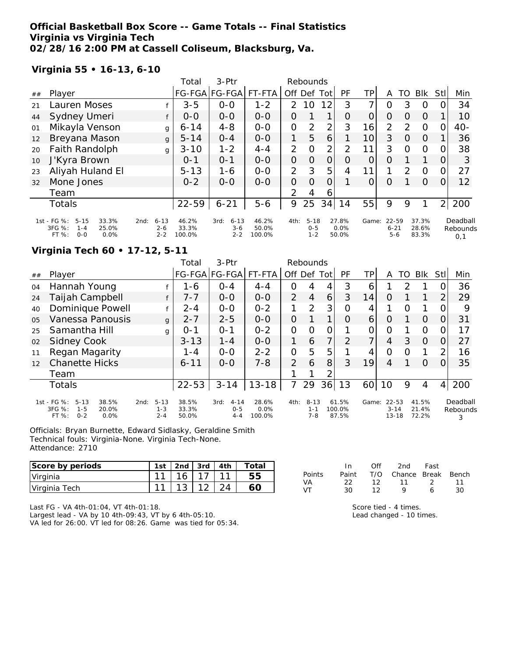## **Official Basketball Box Score -- Game Totals -- Final Statistics Virginia vs Virginia Tech 02/28/16 2:00 PM at Cassell Coliseum, Blacksburg, Va.**

## **Virginia 55 • 16-13, 6-10**

|    |                                                                                          |                                        | Total                    | 3-Ptr                                |                          |                | Rebounds                       |                |                           |                |                              |               |                         |          |                             |
|----|------------------------------------------------------------------------------------------|----------------------------------------|--------------------------|--------------------------------------|--------------------------|----------------|--------------------------------|----------------|---------------------------|----------------|------------------------------|---------------|-------------------------|----------|-----------------------------|
| ## | Player                                                                                   |                                        |                          | FG-FGA FG-FGA                        | FT-FTA                   | Off Def        |                                | Totl           | PF                        | TP             | A                            | TO            | Blk                     | Stl      | Min                         |
| 21 | Lauren Moses                                                                             |                                        | $3 - 5$                  | $0 - 0$                              | $1 - 2$                  | $\mathcal{P}$  | 10                             | 12             | 3                         | 7              | Ω                            | 3             | $\Omega$                |          | 34                          |
| 44 | Sydney Umeri                                                                             |                                        | $0-0$                    | $0-0$                                | $0-0$                    | 0              |                                | 1              | $\Omega$                  | $\Omega$       | 0                            | $\Omega$      | $\Omega$                |          | 10                          |
| 01 | Mikayla Venson                                                                           | g                                      | $6 - 14$                 | $4 - 8$                              | $0-0$                    | 0              | $\overline{2}$                 | 2              | 3                         | 16             | 2                            | $\mathcal{P}$ | $\Omega$                | O        | 40-                         |
| 12 | Breyana Mason                                                                            | g                                      | $5 - 14$                 | $0 - 4$                              | $0-0$                    | 1              | 5                              | 6              |                           | 10             | 3                            | $\Omega$      | $\Omega$                |          | 36                          |
| 20 | Faith Randolph                                                                           | g                                      | $3 - 10$                 | $1 - 2$                              | $4 - 4$                  | $\overline{2}$ | $\Omega$                       | $\overline{2}$ | 2                         | 11             | 3                            | $\Omega$      | $\Omega$                |          | 38                          |
| 10 | J'Kyra Brown                                                                             |                                        | $0 - 1$                  | $0 - 1$                              | $0 - 0$                  | 0              | Ο                              | 0              | O                         | $\overline{O}$ | 0                            |               |                         |          | 3                           |
| 23 | Aliyah Huland El                                                                         |                                        | $5 - 13$                 | $1 - 6$                              | $0-0$                    | $\overline{2}$ | 3                              | 5              | 4                         | 11             | 1                            | 2             | $\Omega$                | $\Omega$ | 27                          |
| 32 | Mone Jones                                                                               |                                        | $0 - 2$                  | $0 - 0$                              | $0 - 0$                  | 0              | $\Omega$                       |                |                           | O              | O                            |               | $\Omega$                |          | 12                          |
|    | Team                                                                                     |                                        |                          |                                      |                          | 2              | 4                              | 6              |                           |                |                              |               |                         |          |                             |
|    | Totals                                                                                   |                                        | $22 - 59$                | $6 - 21$                             | $5 - 6$                  | 9              | 25                             | 34             | 14                        | 55             | 9                            | 9             |                         | 2        | 200                         |
|    | 1st - FG %:<br>$5 - 15$<br>33.3%<br>$3FG \%$<br>25.0%<br>$1 - 4$<br>$O-O$<br>FT%<br>0.0% | $6 - 13$<br>2nd:<br>$2 - 6$<br>$2 - 2$ | 46.2%<br>33.3%<br>100.0% | $6 - 13$<br>3rd:<br>$3-6$<br>$2 - 2$ | 46.2%<br>50.0%<br>100.0% | 4th:           | $5 - 18$<br>$0 - 5$<br>$1 - 2$ |                | 27.8%<br>$0.0\%$<br>50.0% | Game:          | 22-59<br>$6 - 21$<br>$5 - 6$ |               | 37.3%<br>28.6%<br>83.3% |          | Deadball<br>Rebounds<br>0,1 |

## **Virginia Tech 60 • 17-12, 5-11**

|                |                                                                                            |                                        | Total                   | $3-Ptr$                                |                         |                | Rebounds                       |                |                          |                |                                |               |                         |          |                           |
|----------------|--------------------------------------------------------------------------------------------|----------------------------------------|-------------------------|----------------------------------------|-------------------------|----------------|--------------------------------|----------------|--------------------------|----------------|--------------------------------|---------------|-------------------------|----------|---------------------------|
| ##             | Player                                                                                     |                                        |                         | FG-FGA FG-FGA  FT-FTA                  |                         | Off            | Def                            | Totl           | PF                       | ΤP             | A                              | TO            | <b>Blk</b>              | Stl      | Min                       |
| 04             | Hannah Young                                                                               |                                        | 1-6                     | $0 - 4$                                | $4 - 4$                 | O              | 4                              | 4              | 3                        | 6              |                                | $\mathcal{P}$ |                         |          | 36                        |
| 24             | Taijah Campbell                                                                            | f                                      | $7 - 7$                 | $0 - 0$                                | $0 - 0$                 | $\overline{2}$ | $\overline{4}$                 | 6              | 3                        | 14             | 0                              |               |                         | 2        | 29                        |
| 40             | Dominique Powell                                                                           |                                        | $2 - 4$                 | $0 - 0$                                | $0 - 2$                 | 1              | 2                              | 3              | Ω                        | 4              |                                | $\Omega$      |                         |          | 9                         |
| 0 <sub>5</sub> | Vanessa Panousis                                                                           | $\mathbf{q}$                           | $2 - 7$                 | $2 - 5$                                | $O-O$                   | O              |                                | 1              | Ω                        | 6              | O                              |               | $\Omega$                |          | 31                        |
| 25             | Samantha Hill                                                                              | g                                      | $O - 1$                 | $O - 1$                                | $0 - 2$                 | 0              | $\Omega$                       | 0              |                          | 0              | 0                              |               | $\Omega$                |          | 17                        |
| 02             | <b>Sidney Cook</b>                                                                         |                                        | $3 - 13$                | $1 - 4$                                | $0 - 0$                 |                | 6                              | $\overline{7}$ | $\mathcal{P}$            | $\overline{7}$ | 4                              | 3             | $\Omega$                | 0        | 27                        |
| 11             | Regan Magarity                                                                             |                                        | 1 - 4                   | $0 - 0$                                | $2 - 2$                 | 0              | 5                              | 5              |                          | 4              | 0                              | O             |                         | 2        | 16                        |
| 12             | <b>Chanette Hicks</b>                                                                      |                                        | $6 - 11$                | $0 - 0$                                | $7 - 8$                 | $\overline{2}$ | 6                              | 8              | 3                        | 19             | 4                              |               | $\Omega$                | $\Omega$ | 35                        |
|                | Team                                                                                       |                                        |                         |                                        |                         |                |                                | ာ              |                          |                |                                |               |                         |          |                           |
|                | Totals                                                                                     |                                        | $22 - 53$               | $3 - 14$                               | $13 - 18$               | 7              | 29                             | 36             | 13                       | 60             | 10                             | 9             | 4                       | 4        | 200                       |
|                | 1st - FG %:<br>$5 - 13$<br>38.5%<br>3FG %:<br>$1 - 5$<br>20.0%<br>$0 - 2$<br>FT %:<br>0.0% | $5 - 13$<br>2nd:<br>$1 - 3$<br>$2 - 4$ | 38.5%<br>33.3%<br>50.0% | 3rd:<br>$4 - 14$<br>$0 - 5$<br>$4 - 4$ | 28.6%<br>0.0%<br>100.0% | 4th:           | $8 - 13$<br>$1 - 1$<br>$7 - 8$ |                | 61.5%<br>100.0%<br>87.5% | Game:          | 22-53<br>$3 - 14$<br>$13 - 18$ |               | 41.5%<br>21.4%<br>72.2% |          | Deadball<br>Rebounds<br>3 |

Officials: Bryan Burnette, Edward Sidlasky, Geraldine Smith Technical fouls: Virginia-None. Virginia Tech-None. Attendance: 2710

| Score by periods | 1st | 2 <sub>nd</sub> | 3rd | 4th | $\tau$ otai |
|------------------|-----|-----------------|-----|-----|-------------|
| Virginia         | 11  | 16 <sub>1</sub> |     |     |             |
| Virginia Tech    | 11  |                 |     |     |             |

|               | In.   | ∩ff             | 2nd Fast               |          |      |
|---------------|-------|-----------------|------------------------|----------|------|
| <b>Points</b> | Paint |                 | T/O Chance Break Bench |          |      |
| VA            | -22.  | 12 <sup>7</sup> | 11                     | $\sim$ 2 | - 11 |
| VT.           | ה ?   | 12              | Q                      |          | 30   |

Last FG - VA 4th-01:04, VT 4th-01:18. Largest lead - VA by 10 4th-09:43, VT by 6 4th-05:10. VA led for 26:00. VT led for 08:26. Game was tied for 05:34. Score tied - 4 times. Lead changed - 10 times.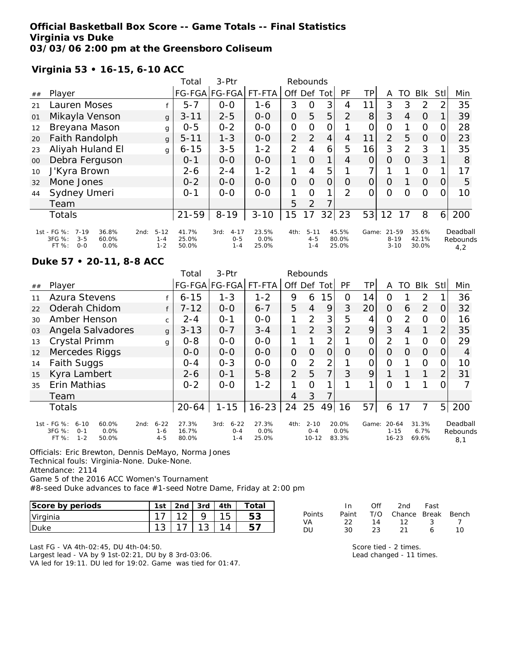### **Official Basketball Box Score -- Game Totals -- Final Statistics Virginia vs Duke 03/03/06 2:00 pm at the Greensboro Coliseum**

# **Virginia 53 • 16-15, 6-10 ACC**

|    |                                                                                            |                                        | Total                   | $3-Ptr$                                |                        |                | Rebounds                       |                |                         |                |                               |    |                         |                |                             |
|----|--------------------------------------------------------------------------------------------|----------------------------------------|-------------------------|----------------------------------------|------------------------|----------------|--------------------------------|----------------|-------------------------|----------------|-------------------------------|----|-------------------------|----------------|-----------------------------|
| ## | Player                                                                                     |                                        |                         | FG-FGA FG-FGA                          | FT-FTA                 | Off            | Def                            | Tot            | PF                      | TP             | A                             | TO | <b>Blk</b>              | <b>Stll</b>    | Min                         |
| 21 | Lauren Moses                                                                               |                                        | $5 - 7$                 | $0-0$                                  | $1 - 6$                | 3              | $\overline{O}$                 | 3              | 4                       | 11             | 3                             | 3  | 2                       | 2              | 35                          |
| 01 | Mikayla Venson                                                                             | g                                      | $3 - 11$                | $2 - 5$                                | $0-0$                  | $\overline{O}$ | 5                              | 5              | 2                       | 8 <sup>1</sup> | 3                             | 4  | $\Omega$                |                | 39                          |
| 12 | Breyana Mason                                                                              | g                                      | $0 - 5$                 | $0 - 2$                                | $0-0$                  | $\overline{O}$ | 0                              | O              |                         | $\mathcal{O}$  | $\overline{O}$                |    | $\Omega$                | 0              | 28                          |
| 20 | Faith Randolph                                                                             | g                                      | $5 - 11$                | $1 - 3$                                | $0 - 0$                | $\overline{2}$ | 2                              | 4              | 4                       | 11             | $\overline{2}$                | 5  | $\Omega$                | 0              | 23                          |
| 23 | Aliyah Huland El                                                                           | g                                      | $6 - 15$                | $3 - 5$                                | $1 - 2$                | 2              | 4                              | 6              | 5                       | 16             | 3                             | 2  | 3                       |                | 35                          |
| 00 | Debra Ferguson                                                                             |                                        | $0 - 1$                 | $0-0$                                  | $0-0$                  | 1              | $\Omega$                       | 1              | 4                       | 0              | $\Omega$                      | 0  | 3                       |                | 8                           |
| 10 | J'Kyra Brown                                                                               |                                        | $2 - 6$                 | $2 - 4$                                | $1 - 2$                | 1              | 4                              | 5              |                         | 7.             |                               |    | $\circ$                 |                | 17                          |
| 32 | Mone Jones                                                                                 |                                        | $0 - 2$                 | $0 - 0$                                | $0 - 0$                | $\overline{O}$ | $\Omega$                       | $\overline{O}$ | $\Omega$                | $\Omega$       | $\circ$                       |    | $\Omega$                | $\Omega$       | 5                           |
| 44 | Sydney Umeri                                                                               |                                        | $O - 1$                 | $0 - 0$                                | $0 - 0$                |                | $\Omega$                       | 1              | 2                       | 0              | 0                             | O  | $\circ$                 | 0              | 10                          |
|    | Team                                                                                       |                                        |                         |                                        |                        | 5              | 2                              | 7              |                         |                |                               |    |                         |                |                             |
|    | Totals                                                                                     |                                        | $21 - 59$               | $8 - 19$                               | $3 - 10$               | 15             | 17                             | 32             | 23                      | 53             | 12                            | 17 | 8                       | 6 <sup>1</sup> | 200                         |
|    | 1st - FG %:<br>$7 - 19$<br>36.8%<br>3FG %:<br>$3 - 5$<br>60.0%<br>FT %:<br>$0 - 0$<br>0.0% | $5 - 12$<br>2nd:<br>$1 - 4$<br>$1 - 2$ | 41.7%<br>25.0%<br>50.0% | $4 - 17$<br>3rd:<br>$0 - 5$<br>$1 - 4$ | 23.5%<br>0.0%<br>25.0% | 4th:           | $5 - 11$<br>$4 - 5$<br>$1 - 4$ |                | 45.5%<br>80.0%<br>25.0% | Game:          | 21-59<br>$8 - 19$<br>$3 - 10$ |    | 35.6%<br>42.1%<br>30.0% |                | Deadball<br>Rebounds<br>4,2 |

#### **Duke 57 • 20-11, 8-8 ACC**

|    |                                                                                            |                                        | Total                   | 3-Ptr                                  |                        |                | Rebounds                         |     |                        |       |                                    |               |                        |                |                             |
|----|--------------------------------------------------------------------------------------------|----------------------------------------|-------------------------|----------------------------------------|------------------------|----------------|----------------------------------|-----|------------------------|-------|------------------------------------|---------------|------------------------|----------------|-----------------------------|
| ## | Player                                                                                     |                                        |                         | FG-FGA FG-FGA                          | FT-FTA                 | Off            | Def                              | Tot | <b>PF</b>              | TP.   | A                                  | TO            | <b>BIK</b>             | Stl            | Min                         |
| 11 | <b>Azura Stevens</b>                                                                       |                                        | $6 - 15$                | $1 - 3$                                | $1 - 2$                | 9              | 6                                | 15  | 0                      | 14    | 0                                  |               | 2                      |                | 36                          |
| 22 | Oderah Chidom                                                                              |                                        | $7 - 12$                | $0 - 0$                                | $6 - 7$                | 5              | $\overline{4}$                   | 9   | 3                      | 20    | $\Omega$                           | 6             | 2                      | $\Omega$       | 32                          |
| 30 | Amber Henson                                                                               | $\mathsf{C}$                           | $2 - 4$                 | $O - 1$                                | $O-O$                  | 1              | 2                                | 3   | 5                      | 4     | 0                                  | $\mathcal{P}$ | $\Omega$               |                | 16                          |
| 03 | Angela Salvadores                                                                          | $\mathbf{q}$                           | $3 - 13$                | $0 - 7$                                | $3 - 4$                | 1              | 2                                | 3   | $\overline{2}$         | 9     | 3                                  | 4             | $\mathbf 1$            | $\overline{2}$ | 35                          |
| 13 | Crystal Primm                                                                              | g                                      | $0 - 8$                 | $0 - 0$                                | $0 - 0$                |                |                                  | 2   |                        | 0     | $\overline{2}$                     |               | 0                      |                | 29                          |
| 12 | Mercedes Riggs                                                                             |                                        | $0 - 0$                 | $0-0$                                  | $0-0$                  | $\overline{O}$ | 0                                | 0   | Ω                      | O     | O                                  | $\Omega$      | $\Omega$               | 0              | 4                           |
| 14 | <b>Faith Suggs</b>                                                                         |                                        | $0 - 4$                 | $0 - 3$                                | $0-0$                  | $\overline{O}$ | 2                                | 2   |                        | O     | O                                  |               | 0                      | Ω              | 10                          |
| 15 | Kyra Lambert                                                                               |                                        | $2 - 6$                 | $0 - 1$                                | $5 - 8$                | $\overline{2}$ | 5                                | 7   | 3                      | 9     |                                    |               | $\mathbf{1}$           | 2              | 31                          |
| 35 | Erin Mathias                                                                               |                                        | $0 - 2$                 | $0 - 0$                                | $1 - 2$                |                | Ω                                |     |                        | 1     | Ω                                  |               |                        |                |                             |
|    | Team                                                                                       |                                        |                         |                                        |                        | 4              | 3                                | 7   |                        |       |                                    |               |                        |                |                             |
|    | Totals                                                                                     |                                        | 20-64                   | $1 - 15$                               | $16 - 23$              | 24             | 25                               | 49  | 16                     | 57    | 6                                  | 17            | 7                      | 5 <sup>1</sup> | 200                         |
|    | 1st - FG %:<br>$6 - 10$<br>60.0%<br>3FG %:<br>0.0%<br>$O - 1$<br>$1 - 2$<br>FT %:<br>50.0% | $6 - 22$<br>2nd:<br>$1 - 6$<br>$4 - 5$ | 27.3%<br>16.7%<br>80.0% | $6 - 22$<br>3rd:<br>$0 - 4$<br>$1 - 4$ | 27.3%<br>0.0%<br>25.0% | 4th:           | $2 - 10$<br>$0 - 4$<br>$10 - 12$ |     | 20.0%<br>0.0%<br>83.3% | Game: | $20 - 64$<br>$1 - 15$<br>$16 - 23$ |               | 31.3%<br>6.7%<br>69.6% |                | Deadball<br>Rebounds<br>8,1 |

Officials: Eric Brewton, Dennis DeMayo, Norma Jones Technical fouls: Virginia-None. Duke-None. Attendance: 2114 Game 5 of the 2016 ACC Women's Tournament

#8-seed Duke advances to face #1-seed Notre Dame, Friday at 2:00 pm

| Score by periods | $1c +$   | 2 <sub>nd</sub> | 3rd    |   | ١ta       |
|------------------|----------|-----------------|--------|---|-----------|
| Virginia         |          | $\sim$          |        | ٮ | にっ<br>ت ب |
| Duke             | ◢<br>. ت |                 | ⌒<br>ٮ |   |           |

Last FG - VA 4th-02:45, DU 4th-04:50. Largest lead - VA by 9 1st-02:21, DU by 8 3rd-03:06. VA led for 19:11. DU led for 19:02. Game was tied for 01:47.

|        | In.   | $\bigcap \{f\}$ | 2nd Fast               |   |          |
|--------|-------|-----------------|------------------------|---|----------|
| Points | Paint |                 | T/O Chance Break Bench |   |          |
| VA     | -22.  | 14              | $\frac{12}{3}$         |   |          |
| DU     | 30    | 23.             | -21                    | 6 | 1 $\cap$ |

Score tied - 2 times. Lead changed - 11 times.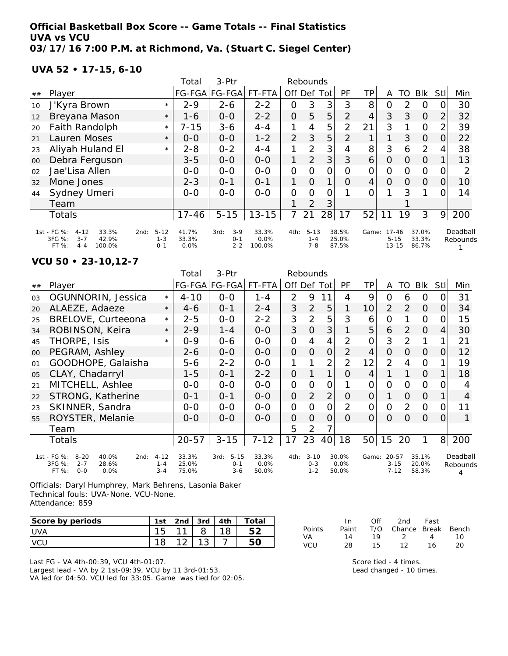## **Official Basketball Box Score -- Game Totals -- Final Statistics UVA vs VCU 03/17/16 7:00 P.M. at Richmond, Va. (Stuart C. Siegel Center)**

**UVA 52 • 17-15, 6-10**

|    |                                                                                              |                                        | Total                  | $3-Ptr$                             |                         |                | Rebounds                       |                |                         |                |                                    |          |                         |                |                      |
|----|----------------------------------------------------------------------------------------------|----------------------------------------|------------------------|-------------------------------------|-------------------------|----------------|--------------------------------|----------------|-------------------------|----------------|------------------------------------|----------|-------------------------|----------------|----------------------|
| ## | Player                                                                                       |                                        |                        | FG-FGA FG-FGA                       | FT-FTA                  | Off            | Def                            | Tot            | PF                      | TPI            | A                                  | TO       | Blk                     | <b>Stll</b>    | Min                  |
| 10 | J'Kyra Brown                                                                                 | $\star$                                | $2 - 9$                | $2 - 6$                             | $2 - 2$                 | $\overline{O}$ | 3                              | 3              | 3                       | 8              | O                                  | 2        | O                       | O              | 30                   |
| 12 | Breyana Mason                                                                                | $\star$                                | $1 - 6$                | $0-0$                               | $2 - 2$                 | $\overline{O}$ | 5                              | 5              | 2                       | 4              | 3                                  | 3        | $\Omega$                | $\overline{2}$ | 32                   |
| 20 | Faith Randolph                                                                               | $\star$                                | $7 - 15$               | $3 - 6$                             | $4 - 4$                 | 1              | $\overline{4}$                 | 5              | $\overline{2}$          | 21             | 3                                  |          | $\Omega$                | $\overline{2}$ | 39                   |
| 21 | Lauren Moses                                                                                 | $\star$                                | $0 - 0$                | $0 - 0$                             | $1 - 2$                 | $\overline{2}$ | 3                              | 5              | $\overline{2}$          | 1              |                                    | 3        | $\Omega$                | 0              | 22                   |
| 23 | Aliyah Huland El                                                                             | $\star$                                | $2 - 8$                | $0 - 2$                             | $4 - 4$                 | 1              | 2                              | 3              | 4                       | 8              | 3                                  | 6        | $\overline{2}$          | 4              | 38                   |
| 00 | Debra Ferguson                                                                               |                                        | $3 - 5$                | $0-0$                               | $0-0$                   | 1              | $\overline{2}$                 | 3 <sup>1</sup> | 3                       | 6              | $\Omega$                           | 0        | $\Omega$                |                | 13                   |
| 02 | Jae'Lisa Allen                                                                               |                                        | $0-0$                  | $0 - 0$                             | $0 - 0$                 | $\mathbf{O}$   | 0                              | 0              | O                       | $\overline{O}$ | $\Omega$                           | 0        | $\Omega$                | O              | 2                    |
| 32 | Mone Jones                                                                                   |                                        | $2 - 3$                | $O - 1$                             | $O - 1$                 | 1              | $\Omega$                       | 1              | $\Omega$                | $\overline{4}$ | $\Omega$                           | $\Omega$ | $\Omega$                | $\Omega$       | 10                   |
| 44 | Sydney Umeri                                                                                 |                                        | $0 - 0$                | $0 - 0$                             | $0 - 0$                 | 0              | 0                              | 0              |                         | 0              |                                    | 3        |                         | O.             | 14                   |
|    | Team                                                                                         |                                        |                        |                                     |                         |                | 2                              | 3              |                         |                |                                    |          |                         |                |                      |
|    | Totals                                                                                       |                                        | $17 - 46$              | $5 - 15$                            | $13 - 15$               | 7              | 21                             | 28             | 17                      | 52             | 11                                 | 19       | 3                       | 9              | 200                  |
|    | 1st - FG %:<br>$4 - 12$<br>33.3%<br>3FG %:<br>42.9%<br>$3 - 7$<br>FT %:<br>$4 - 4$<br>100.0% | $5 - 12$<br>2nd:<br>$1 - 3$<br>$O - 1$ | 41.7%<br>33.3%<br>0.0% | $3-9$<br>3rd:<br>$O - 1$<br>$2 - 2$ | 33.3%<br>0.0%<br>100.0% | 4th:           | $5 - 13$<br>$1 - 4$<br>$7 - 8$ |                | 38.5%<br>25.0%<br>87.5% | Game:          | $17 - 46$<br>$5 - 15$<br>$13 - 15$ |          | 37.0%<br>33.3%<br>86.7% |                | Deadball<br>Rebounds |

**VCU 50 • 23-10,12-7**

|    |                                                                                                        |                                | Total                   | 3-Ptr                                  |                        |                | Rebounds                       |                |                           |                 |                                     |               |                         |                |                           |
|----|--------------------------------------------------------------------------------------------------------|--------------------------------|-------------------------|----------------------------------------|------------------------|----------------|--------------------------------|----------------|---------------------------|-----------------|-------------------------------------|---------------|-------------------------|----------------|---------------------------|
| ## | Player                                                                                                 |                                |                         | FG-FGA FG-FGA                          | FT-FTA                 | Off Def        |                                | Tot            | <b>PF</b>                 | <b>TP</b>       | A                                   | TO            | <b>Blk</b>              | Stll           | Min                       |
| 03 | OGUNNORIN, Jessica                                                                                     | $\star$                        | $4 - 10$                | $0 - 0$                                | $1 - 4$                | $\overline{2}$ | 9                              |                | 4                         | 9               | 0                                   | 6             | $\Omega$                | 0              | 31                        |
| 20 | ALAEZE, Adaeze                                                                                         | $\star$                        | 4-6                     | $0 - 1$                                | $2 - 4$                | 3              | $\overline{2}$                 | 5              | 1                         | 10 <sup>1</sup> | $\overline{2}$                      | 2             | $\Omega$                | 0              | 34                        |
| 25 | BRELOVE, Curteeona                                                                                     | $\star$                        | $2 - 5$                 | $0 - 0$                                | $2 - 2$                | 3              | $\overline{2}$                 | 5              | 3                         | 6               | $\overline{O}$                      |               | $\Omega$                | 0              | 15                        |
| 34 | ROBINSON, Keira                                                                                        | $\star$                        | $2 - 9$                 | $1 - 4$                                | $0 - 0$                | 3              | $\Omega$                       | 3              | 1                         | 5               | 6                                   | $\mathcal{P}$ | $\Omega$                | 4              | 30                        |
| 45 | THORPE, Isis                                                                                           | $\star$                        | $0 - 9$                 | $0 - 6$                                | $0 - 0$                | $\mathcal{O}$  | 4                              | 4              | 2                         | 0               | 3                                   | $\mathcal{P}$ |                         |                | 21                        |
| 00 | PEGRAM, Ashley                                                                                         |                                | $2 - 6$                 | $0 - 0$                                | $0 - 0$                | $\overline{O}$ | $\Omega$                       | 0              | $\overline{2}$            | 4               | O                                   | O             | $\Omega$                | 0              | 12                        |
| 01 | GOODHOPE, Galaisha                                                                                     |                                | $5 - 6$                 | $2 - 2$                                | $O-O$                  | 1              |                                | 2              | $\overline{2}$            | 12              | $\overline{2}$                      | 4             | O                       |                | 19                        |
| 05 | CLAY, Chadarryl                                                                                        |                                | $1 - 5$                 | $0 - 1$                                | $2 - 2$                | 0              |                                | 1              | Ο                         | 4               |                                     |               | $\Omega$                |                | 18                        |
| 21 | MITCHELL, Ashlee                                                                                       |                                | $0 - 0$                 | $0 - 0$                                | $0 - 0$                | $\overline{O}$ | 0                              | O              |                           | O               | 0                                   | 0             | $\Omega$                | 0              | 4                         |
| 22 | STRONG, Katherine                                                                                      |                                | $0 - 1$                 | $0 - 1$                                | $0 - 0$                | $\overline{O}$ | $\overline{2}$                 | $\overline{2}$ | O                         | $\overline{O}$  | 1                                   | 0             | $\Omega$                |                | 4                         |
| 23 | SKINNER, Sandra                                                                                        |                                | $O-O$                   | $0 - 0$                                | $0 - 0$                | $\overline{O}$ | $\Omega$                       | 0              | $\overline{2}$            | $\overline{O}$  | $\Omega$                            | 2             | $\Omega$                | $\Omega$       | 11                        |
| 55 | ROYSTER, Melanie                                                                                       |                                | $0 - 0$                 | $0 - 0$                                | $0-0$                  | $\Omega$       | $\Omega$                       | $\Omega$       | $\Omega$                  | $\Omega$        | $\Omega$                            | 0             | $\Omega$                | $\Omega$       |                           |
|    | Team                                                                                                   |                                |                         |                                        |                        | 5              | $\overline{2}$                 | 7              |                           |                 |                                     |               |                         |                |                           |
|    | <b>Totals</b>                                                                                          |                                | $20 - 57$               | $3 - 15$                               | $7 - 12$               | 17             | 23                             | 40             | 18                        | 50 <sub>l</sub> | 15                                  | 20            | 1                       | 8 <sup>1</sup> | 200                       |
|    | 1st - FG %:<br>$8 - 20$<br>40.0%<br>2nd:<br>$3FG \%$ :<br>28.6%<br>$2 - 7$<br>FT %:<br>$O - O$<br>0.0% | $4 - 12$<br>$1 - 4$<br>$3 - 4$ | 33.3%<br>25.0%<br>75.0% | $5 - 15$<br>3rd:<br>$0 - 1$<br>$3 - 6$ | 33.3%<br>0.0%<br>50.0% | 4th:           | $3 - 10$<br>$O - 3$<br>$1 - 2$ |                | 30.0%<br>$0.0\%$<br>50.0% |                 | Game: 20-57<br>$3 - 15$<br>$7 - 12$ |               | 35.1%<br>20.0%<br>58.3% |                | Deadball<br>Rebounds<br>4 |

Officials: Daryl Humphrey, Mark Behrens, Lasonia Baker Technical fouls: UVA-None. VCU-None. Attendance: 859

| Score by periods | 1st | 2 <sub>nd</sub> | 3rd    | 4th | Total |
|------------------|-----|-----------------|--------|-----|-------|
| <b>IUVA</b>      |     | $\sim$          |        |     |       |
|                  |     |                 | $\sim$ |     |       |

Last FG - VA 4th-00:39, VCU 4th-01:07. Largest lead - VA by 2 1st-09:39, VCU by 11 3rd-01:53. VA led for 04:50. VCU led for 33:05. Game was tied for 02:05.

|            | In.   | Off | 2nd                    | Fast |    |
|------------|-------|-----|------------------------|------|----|
| Points     | Paint |     | T/O Chance Break Bench |      |    |
| VA.        | 14    | 19  | $\mathcal{D}$          | 4    | 10 |
| <b>VCU</b> | 28    | 15. | 12                     | 16   | 20 |

Score tied - 4 times. Lead changed - 10 times.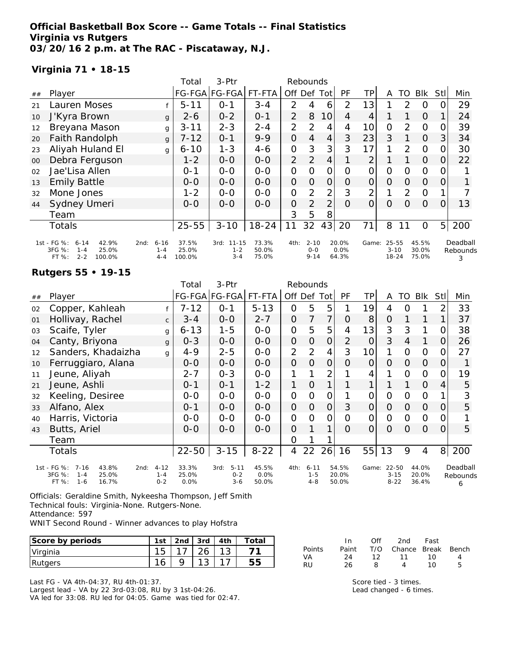## **Official Basketball Box Score -- Game Totals -- Final Statistics Virginia vs Rutgers 03/20/16 2 p.m. at The RAC - Piscataway, N.J.**

### **Virginia 71 • 18-15**

|    |                                                                                              |                                        |   | Total                    | 3-Ptr                            |                         |                | Rebounds                        |                |                        |                 |                                |    |                         |                |                           |
|----|----------------------------------------------------------------------------------------------|----------------------------------------|---|--------------------------|----------------------------------|-------------------------|----------------|---------------------------------|----------------|------------------------|-----------------|--------------------------------|----|-------------------------|----------------|---------------------------|
| ## | Player                                                                                       |                                        |   |                          | FG-FGA FG-FGA                    | FT-FTA                  | Off Def        |                                 | Tot            | PF                     | TP              | A                              | TO | <b>BIK</b>              | StII           | Min                       |
| 21 | Lauren Moses                                                                                 |                                        |   | $5 - 11$                 | $0 - 1$                          | $3 - 4$                 | 2              | 4                               | 6              | 2                      | 13              |                                | 2  | $\Omega$                | 0              | 29                        |
| 10 | J'Kyra Brown                                                                                 |                                        | g | $2 - 6$                  | $0 - 2$                          | $0 - 1$                 | $\overline{2}$ | 8                               | 10             | 4                      | 4               |                                |    | 0                       |                | 24                        |
| 12 | Breyana Mason                                                                                |                                        | g | $3 - 11$                 | $2 - 3$                          | $2 - 4$                 | 2              | 2                               | 4              | 4                      | 10 <sup>1</sup> | $\overline{O}$                 | 2  | $\Omega$                | 0              | 39                        |
| 20 | Faith Randolph                                                                               |                                        | g | $7 - 12$                 | $O - 1$                          | $9 - 9$                 | $\overline{O}$ | $\overline{4}$                  | $\overline{4}$ | 3                      | 23              | 3                              |    | $\Omega$                | 3              | 34                        |
| 23 | Aliyah Huland El                                                                             |                                        | g | $6 - 10$                 | $1 - 3$                          | $4 - 6$                 | $\overline{O}$ | 3                               | 3              | 3                      | 17              |                                | 2  | $\Omega$                | 0              | 30                        |
| 00 | Debra Ferguson                                                                               |                                        |   | $1 - 2$                  | $O-O$                            | $O-O$                   | 2              | 2                               | 4              |                        | 2               |                                |    | $\overline{O}$          | 0              | 22                        |
| 02 | Jae'Lisa Allen                                                                               |                                        |   | $0 - 1$                  | $0-0$                            | $0-0$                   | 0              | O                               | 0              | O                      | 0               | $\overline{O}$                 | 0  | $\Omega$                | 0              |                           |
| 13 | <b>Emily Battle</b>                                                                          |                                        |   | $O-O$                    | $0 - 0$                          | $0 - 0$                 | $\overline{O}$ | $\Omega$                        | $\overline{O}$ | $\Omega$               | $\overline{O}$  | $\Omega$                       | 0  | $\Omega$                | O              |                           |
| 32 | Mone Jones                                                                                   |                                        |   | $1 - 2$                  | $0-0$                            | $0-0$                   | $\overline{O}$ | 2                               | $\overline{2}$ | 3                      | $\overline{2}$  |                                | 2  | $\Omega$                |                |                           |
| 44 | Sydney Umeri                                                                                 |                                        |   | $0 - 0$                  | $0 - 0$                          | $O - O$                 | $\Omega$       | $\overline{2}$                  | $\overline{2}$ | $\Omega$               | $\overline{O}$  | $\Omega$                       | 0  | $\Omega$                | $\Omega$       | 13                        |
|    | Team                                                                                         |                                        |   |                          |                                  |                         | 3              | 5                               | 8              |                        |                 |                                |    |                         |                |                           |
|    | <b>Totals</b>                                                                                |                                        |   | $25 - 55$                | $3 - 10$                         | $18 - 24$               | 11             | 32                              | 43             | 20                     | 71              | 8                              | 11 | $\circ$                 | 5 <sub>l</sub> | 200                       |
|    | 1st - FG %:<br>42.9%<br>$6 - 14$<br>3FG %:<br>25.0%<br>$1 - 4$<br>$2 - 2$<br>100.0%<br>FT %: | $6 - 16$<br>2nd:<br>$1 - 4$<br>$4 - 4$ |   | 37.5%<br>25.0%<br>100.0% | 3rd: 11-15<br>$1 - 2$<br>$3 - 4$ | 73.3%<br>50.0%<br>75.0% | 4th:           | $2 - 10$<br>$0 - 0$<br>$9 - 14$ |                | 20.0%<br>0.0%<br>64.3% | Game:           | 25-55<br>$3 - 10$<br>$18 - 24$ |    | 45.5%<br>30.0%<br>75.0% |                | Deadball<br>Rebounds<br>3 |

#### **Rutgers 55 • 19-15**

|    |                                                                                                     |                                | Total                  | 3-Ptr                                  |                        |                     | Rebounds                       |                |                         |                |                                   |                |                         |             |                           |
|----|-----------------------------------------------------------------------------------------------------|--------------------------------|------------------------|----------------------------------------|------------------------|---------------------|--------------------------------|----------------|-------------------------|----------------|-----------------------------------|----------------|-------------------------|-------------|---------------------------|
| ## | Player                                                                                              |                                |                        | FG-FGA   FG-FGA                        | FT-FTA                 | Off Def             |                                | Totl           | PF                      | ΤP             | A                                 | TO             | <b>Blk</b>              | <b>Stll</b> | Min                       |
| 02 | Copper, Kahleah                                                                                     |                                | 7-12                   | $0 - 1$                                | $5 - 13$               | O                   | 5                              | 5              |                         | 19             | 4                                 | O              |                         | 2           | 33                        |
| 01 | Hollivay, Rachel                                                                                    | $\mathsf{C}$                   | $3 - 4$                | $0-0$                                  | $2 - 7$                | $\overline{O}$      | 7                              | 7              | 0                       | 8              | 0                                 |                |                         |             | 37                        |
| 03 | Scaife, Tyler                                                                                       | g                              | $6 - 13$               | $1 - 5$                                | $0-0$                  | $\overline{O}$      | 5                              | 5              | 4                       | 13             | 3                                 | 3              | 1                       | 0           | 38                        |
| 04 | Canty, Briyona                                                                                      | g                              | $0 - 3$                | $0-0$                                  | $0-0$                  | $\overline{O}$      | $\overline{O}$                 | $\overline{O}$ | $\overline{2}$          | 0              | 3                                 | $\overline{4}$ | 1                       | 0           | 26                        |
| 12 | Sanders, Khadaizha                                                                                  | g                              | $4 - 9$                | $2 - 5$                                | $0-0$                  | $\overline{2}$      | $\overline{2}$                 | $\overline{4}$ | 3                       | 10             | 1                                 | 0              | $\mathbf{O}$            | 0           | 27                        |
| 10 | Ferruggiaro, Alana                                                                                  |                                | $0-0$                  | $0-0$                                  | $0-0$                  | $\overline{O}$      | $\Omega$                       | $\overline{O}$ | 0                       | $\overline{O}$ | $\overline{O}$                    | 0              | $\overline{O}$          | 0           |                           |
| 11 | Jeune, Aliyah                                                                                       |                                | $2 - 7$                | $0 - 3$                                | $0-0$                  | 1                   |                                | 2              |                         | 4              |                                   | 0              | $\mathcal{O}$           | O           | 19                        |
| 21 | Jeune, Ashli                                                                                        |                                | $0 - 1$                | $0 - 1$                                | $1 - 2$                | 1                   | $\overline{O}$                 |                |                         |                |                                   |                | $\Omega$                | 4           | 5                         |
| 32 | Keeling, Desiree                                                                                    |                                | $0-0$                  | $0-0$                                  | $0-0$                  | $\mathsf{O}\xspace$ | O                              | $\overline{O}$ |                         | O              | $\Omega$                          | 0              | $\Omega$                |             | 3                         |
| 33 | Alfano, Alex                                                                                        |                                | $0 - 1$                | $0-0$                                  | $0-0$                  | $\overline{O}$      | $\Omega$                       | $\overline{O}$ | 3                       | $\mathbf 0$    | $\overline{O}$                    | 0              | $\Omega$                | O           | 5                         |
| 40 | Harris, Victoria                                                                                    |                                | $0-0$                  | $0-0$                                  | $0-0$                  | $\overline{O}$      | O                              | 0              | O                       | 0              | $\Omega$                          | 0              | $\Omega$                | 0           |                           |
| 43 | Butts, Ariel                                                                                        |                                | $0 - 0$                | $0-0$                                  | $0-0$                  | $\overline{O}$      |                                |                | O                       | $\overline{O}$ | $\Omega$                          | Ο              | $\Omega$                | 0           | 5                         |
|    | Team                                                                                                |                                |                        |                                        |                        | 0                   |                                |                |                         |                |                                   |                |                         |             |                           |
|    | Totals                                                                                              |                                | $22 - 50$              | $3 - 15$                               | $8 - 22$               | 4                   | 22                             | 26             | 16                      | 55             | 13                                | 9              | 4                       |             | 8 200                     |
|    | 1st - FG %:<br>$7 - 16$<br>43.8%<br>2nd:<br>3FG %:<br>25.0%<br>$1 - 4$<br>FT %:<br>16.7%<br>$1 - 6$ | $4 - 12$<br>$1 - 4$<br>$0 - 2$ | 33.3%<br>25.0%<br>0.0% | $5 - 11$<br>3rd:<br>$0 - 2$<br>$3 - 6$ | 45.5%<br>0.0%<br>50.0% | 4th:                | $6 - 11$<br>$1 - 5$<br>$4 - 8$ |                | 54.5%<br>20.0%<br>50.0% | Game:          | $22 - 50$<br>$3 - 15$<br>$8 - 22$ |                | 44.0%<br>20.0%<br>36.4% |             | Deadball<br>Rebounds<br>6 |

Officials: Geraldine Smith, Nykeesha Thompson, Jeff Smith Technical fouls: Virginia-None. Rutgers-None.

Attendance: 597

WNIT Second Round - Winner advances to play Hofstra

| Score by periods | 1st     | 2 <sub>nd</sub> | 3rd         | 4th | $\tau$ otai |
|------------------|---------|-----------------|-------------|-----|-------------|
| Virginia         | ◡       |                 | $\sim$      |     |             |
| Rutgers          | -1<br>O |                 | $\sim$<br>◡ |     |             |

Last FG - VA 4th-04:37, RU 4th-01:37. Largest lead - VA by 22 3rd-03:08, RU by 3 1st-04:26. VA led for 33:08. RU led for 04:05. Game was tied for 02:47.

|        | In.   | ∩ff | 2nd -                  | Fast |    |
|--------|-------|-----|------------------------|------|----|
| Points | Paint |     | T/O Chance Break Bench |      |    |
| VA     | 24    | 12. | $-11$                  | 10   | Δ  |
| RU     | 26    | я   |                        | 10.  | Б. |

Score tied - 3 times. Lead changed - 6 times.